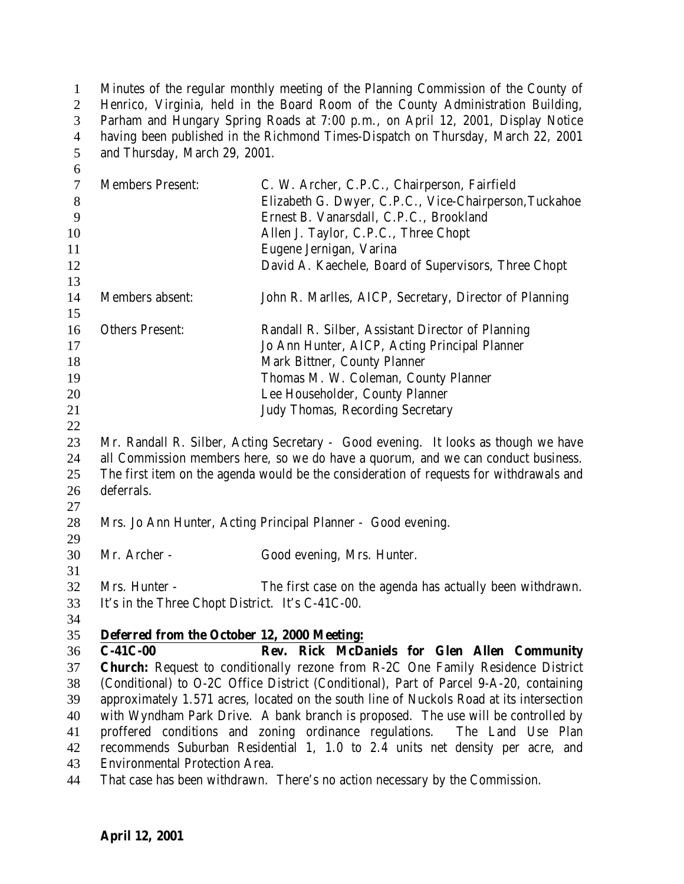| $\mathbf{1}$     | Minutes of the regular monthly meeting of the Planning Commission of the County of |                                                                                                                                                                                    |  |
|------------------|------------------------------------------------------------------------------------|------------------------------------------------------------------------------------------------------------------------------------------------------------------------------------|--|
| $\overline{2}$   | Henrico, Virginia, held in the Board Room of the County Administration Building,   |                                                                                                                                                                                    |  |
| 3                |                                                                                    | Parham and Hungary Spring Roads at 7:00 p.m., on April 12, 2001, Display Notice                                                                                                    |  |
| $\overline{4}$   |                                                                                    | having been published in the Richmond Times-Dispatch on Thursday, March 22, 2001                                                                                                   |  |
| 5                | and Thursday, March 29, 2001.                                                      |                                                                                                                                                                                    |  |
| 6                |                                                                                    |                                                                                                                                                                                    |  |
| $\boldsymbol{7}$ | <b>Members Present:</b>                                                            | C. W. Archer, C.P.C., Chairperson, Fairfield                                                                                                                                       |  |
| $8\,$            |                                                                                    | Elizabeth G. Dwyer, C.P.C., Vice-Chairperson, Tuckahoe                                                                                                                             |  |
| 9                |                                                                                    | Ernest B. Vanarsdall, C.P.C., Brookland                                                                                                                                            |  |
| 10               |                                                                                    | Allen J. Taylor, C.P.C., Three Chopt                                                                                                                                               |  |
| 11               |                                                                                    | Eugene Jernigan, Varina                                                                                                                                                            |  |
| 12               |                                                                                    | David A. Kaechele, Board of Supervisors, Three Chopt                                                                                                                               |  |
| 13<br>14         | Members absent:                                                                    |                                                                                                                                                                                    |  |
| 15               |                                                                                    | John R. Marlles, AICP, Secretary, Director of Planning                                                                                                                             |  |
| 16               | <b>Others Present:</b>                                                             | Randall R. Silber, Assistant Director of Planning                                                                                                                                  |  |
| 17               |                                                                                    | Jo Ann Hunter, AICP, Acting Principal Planner                                                                                                                                      |  |
| 18               |                                                                                    | Mark Bittner, County Planner                                                                                                                                                       |  |
| 19               |                                                                                    | Thomas M. W. Coleman, County Planner                                                                                                                                               |  |
| 20               |                                                                                    | Lee Householder, County Planner                                                                                                                                                    |  |
| 21               |                                                                                    | Judy Thomas, Recording Secretary                                                                                                                                                   |  |
| 22               |                                                                                    |                                                                                                                                                                                    |  |
| 23               |                                                                                    | Mr. Randall R. Silber, Acting Secretary - Good evening. It looks as though we have                                                                                                 |  |
| 24               |                                                                                    | all Commission members here, so we do have a quorum, and we can conduct business.                                                                                                  |  |
| 25               |                                                                                    | The first item on the agenda would be the consideration of requests for withdrawals and                                                                                            |  |
| 26               | deferrals.                                                                         |                                                                                                                                                                                    |  |
| 27               |                                                                                    |                                                                                                                                                                                    |  |
| 28               |                                                                                    | Mrs. Jo Ann Hunter, Acting Principal Planner - Good evening.                                                                                                                       |  |
| 29               |                                                                                    |                                                                                                                                                                                    |  |
| 30               | Mr. Archer -                                                                       | Good evening, Mrs. Hunter.                                                                                                                                                         |  |
| 31               |                                                                                    |                                                                                                                                                                                    |  |
| 32               | Mrs. Hunter -                                                                      | The first case on the agenda has actually been withdrawn.                                                                                                                          |  |
| 33               | It's in the Three Chopt District. It's C-41C-00.                                   |                                                                                                                                                                                    |  |
| 34               |                                                                                    |                                                                                                                                                                                    |  |
| 35               | Deferred from the October 12, 2000 Meeting:                                        |                                                                                                                                                                                    |  |
| 36               | $C-41C-00$                                                                         | Rev. Rick McDaniels for Glen Allen Community                                                                                                                                       |  |
| 37               |                                                                                    | <b>Church:</b> Request to conditionally rezone from R-2C One Family Residence District                                                                                             |  |
| 38<br>39         |                                                                                    | (Conditional) to O-2C Office District (Conditional), Part of Parcel 9-A-20, containing<br>approximately 1.571 acres, located on the south line of Nuckols Road at its intersection |  |
| 40               |                                                                                    | with Wyndham Park Drive. A bank branch is proposed. The use will be controlled by                                                                                                  |  |
| 41               |                                                                                    | proffered conditions and zoning ordinance regulations.<br>The Land Use Plan                                                                                                        |  |
| 42               |                                                                                    | recommends Suburban Residential 1, 1.0 to 2.4 units net density per acre, and                                                                                                      |  |
| 43               | <b>Environmental Protection Area.</b>                                              |                                                                                                                                                                                    |  |
| 44               |                                                                                    | That case has been withdrawn. There's no action necessary by the Commission.                                                                                                       |  |
|                  |                                                                                    |                                                                                                                                                                                    |  |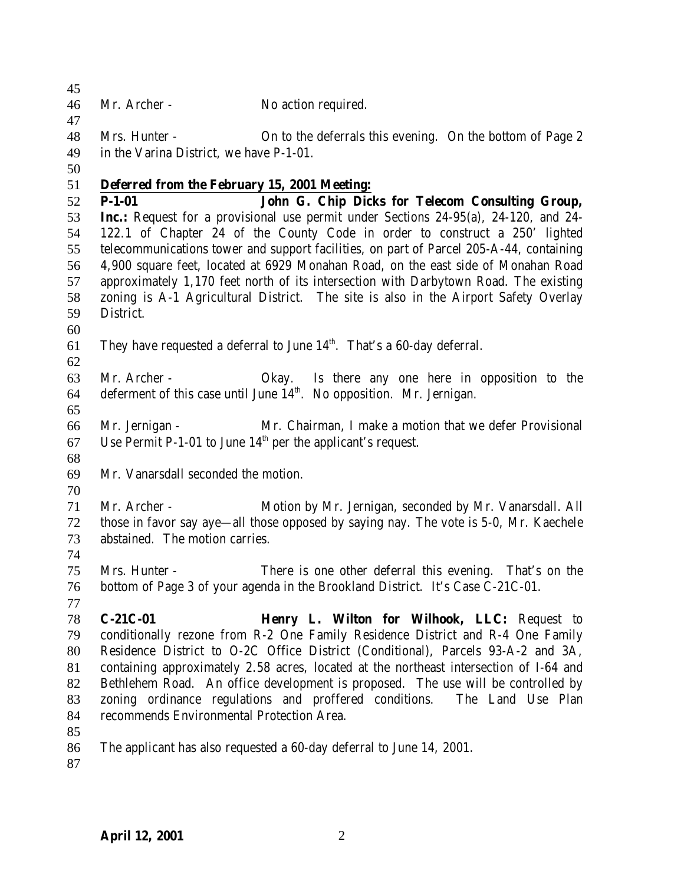Mr. Archer - No action required. Mrs. Hunter - On to the deferrals this evening. On the bottom of Page 2 in the Varina District, we have P-1-01. **Deferred from the February 15, 2001 Meeting: P-1-01 John G. Chip Dicks for Telecom Consulting Group, Inc.:** Request for a provisional use permit under Sections 24-95(a), 24-120, and 24- 122.1 of Chapter 24 of the County Code in order to construct a 250' lighted telecommunications tower and support facilities, on part of Parcel 205-A-44, containing 4,900 square feet, located at 6929 Monahan Road, on the east side of Monahan Road approximately 1,170 feet north of its intersection with Darbytown Road. The existing zoning is A-1 Agricultural District. The site is also in the Airport Safety Overlay District. 61 They have requested a deferral to June  $14<sup>th</sup>$ . That's a 60-day deferral. Mr. Archer - Okay. Is there any one here in opposition to the 64 deferment of this case until June  $14<sup>th</sup>$ . No opposition. Mr. Jernigan. Mr. Jernigan - Mr. Chairman, I make a motion that we defer Provisional 67 Use Permit P-1-01 to June  $14<sup>th</sup>$  per the applicant's request. Mr. Vanarsdall seconded the motion. Mr. Archer - Motion by Mr. Jernigan, seconded by Mr. Vanarsdall. All those in favor say aye—all those opposed by saying nay. The vote is 5-0, Mr. Kaechele abstained. The motion carries. Mrs. Hunter - There is one other deferral this evening. That's on the bottom of Page 3 of your agenda in the Brookland District. It's Case C-21C-01. **C-21C-01 Henry L. Wilton for Wilhook, LLC:** Request to conditionally rezone from R-2 One Family Residence District and R-4 One Family Residence District to O-2C Office District (Conditional), Parcels 93-A-2 and 3A, containing approximately 2.58 acres, located at the northeast intersection of I-64 and Bethlehem Road. An office development is proposed. The use will be controlled by zoning ordinance regulations and proffered conditions. The Land Use Plan recommends Environmental Protection Area. The applicant has also requested a 60-day deferral to June 14, 2001.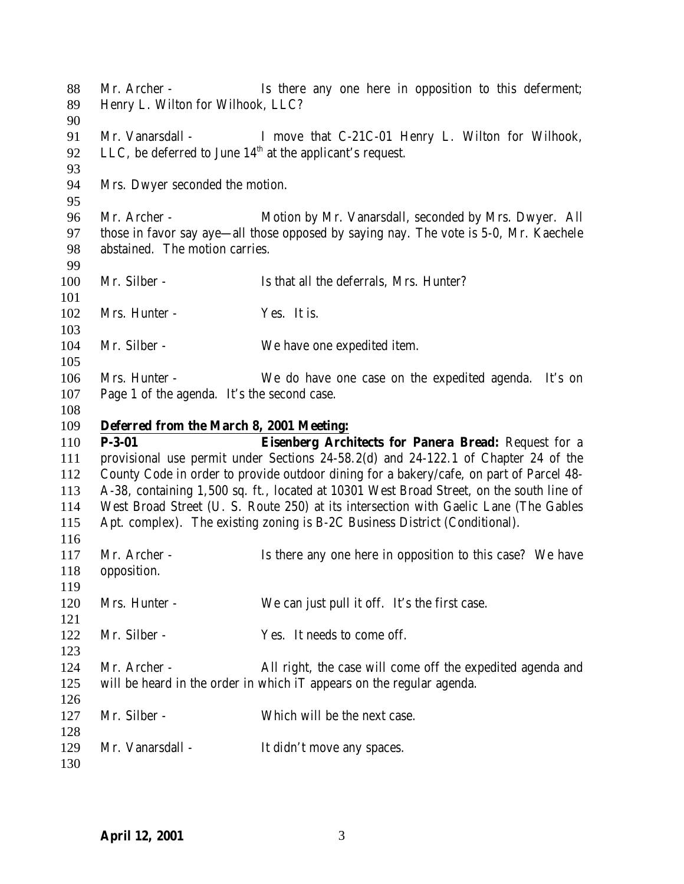88 Mr. Archer - Is there any one here in opposition to this deferment; Henry L. Wilton for Wilhook, LLC? 91 Mr. Vanarsdall - I move that C-21C-01 Henry L. Wilton for Wilhook, 92 LLC, be deferred to June  $14<sup>th</sup>$  at the applicant's request. Mrs. Dwyer seconded the motion. Mr. Archer - Motion by Mr. Vanarsdall, seconded by Mrs. Dwyer. All those in favor say aye—all those opposed by saying nay. The vote is 5-0, Mr. Kaechele abstained. The motion carries. 100 Mr. Silber - Is that all the deferrals, Mrs. Hunter? 102 Mrs. Hunter - Yes. It is. 104 Mr. Silber - We have one expedited item. Mrs. Hunter - We do have one case on the expedited agenda. It's on Page 1 of the agenda. It's the second case. **Deferred from the March 8, 2001 Meeting: P-3-01 Eisenberg Architects for Panera Bread:** Request for a provisional use permit under Sections 24-58.2(d) and 24-122.1 of Chapter 24 of the County Code in order to provide outdoor dining for a bakery/cafe, on part of Parcel 48- A-38, containing 1,500 sq. ft., located at 10301 West Broad Street, on the south line of West Broad Street (U. S. Route 250) at its intersection with Gaelic Lane (The Gables Apt. complex). The existing zoning is B-2C Business District (Conditional). 117 Mr. Archer - Is there any one here in opposition to this case? We have opposition. Mrs. Hunter - We can just pull it off. It's the first case. Mr. Silber - Yes. It needs to come off. Mr. Archer - All right, the case will come off the expedited agenda and will be heard in the order in which iT appears on the regular agenda. 127 Mr. Silber - Which will be the next case. 129 Mr. Vanarsdall - It didn't move any spaces.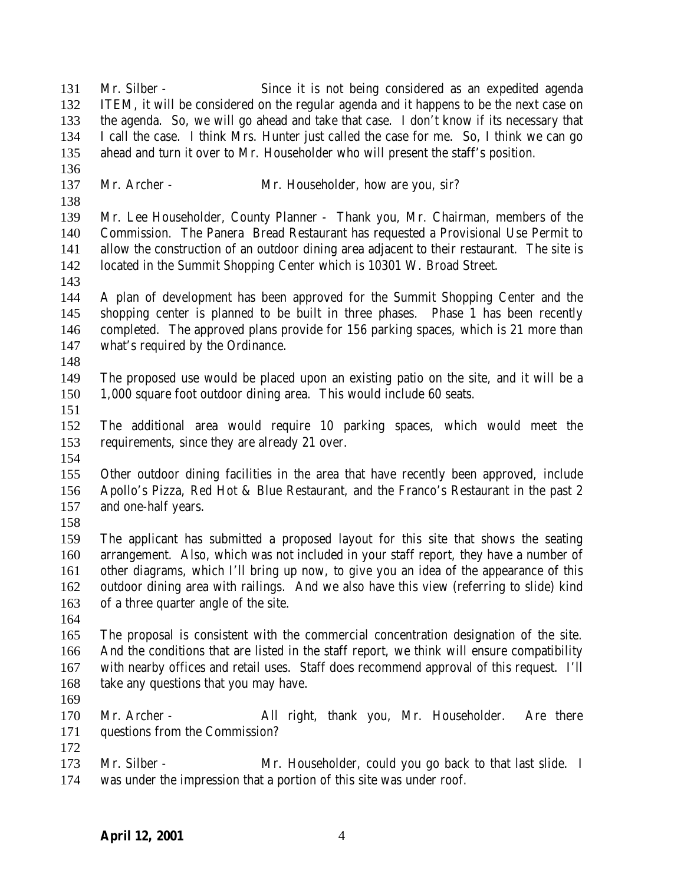**April 12, 2001** 4 ahead and turn it over to Mr. Householder who will present the staff's position. 137 Mr. Archer - Mr. Householder, how are you, sir? Mr. Lee Householder, County Planner - Thank you, Mr. Chairman, members of the Commission. The Panera Bread Restaurant has requested a Provisional Use Permit to allow the construction of an outdoor dining area adjacent to their restaurant. The site is located in the Summit Shopping Center which is 10301 W. Broad Street. A plan of development has been approved for the Summit Shopping Center and the shopping center is planned to be built in three phases. Phase 1 has been recently completed. The approved plans provide for 156 parking spaces, which is 21 more than what's required by the Ordinance. The proposed use would be placed upon an existing patio on the site, and it will be a 1,000 square foot outdoor dining area. This would include 60 seats. The additional area would require 10 parking spaces, which would meet the requirements, since they are already 21 over. Other outdoor dining facilities in the area that have recently been approved, include Apollo's Pizza, Red Hot & Blue Restaurant, and the Franco's Restaurant in the past 2 and one-half years. The applicant has submitted a proposed layout for this site that shows the seating arrangement. Also, which was not included in your staff report, they have a number of other diagrams, which I'll bring up now, to give you an idea of the appearance of this outdoor dining area with railings. And we also have this view (referring to slide) kind of a three quarter angle of the site. The proposal is consistent with the commercial concentration designation of the site. And the conditions that are listed in the staff report, we think will ensure compatibility with nearby offices and retail uses. Staff does recommend approval of this request. I'll 168 take any questions that you may have. Mr. Archer - All right, thank you, Mr. Householder. Are there questions from the Commission? Mr. Silber - Mr. Householder, could you go back to that last slide. I was under the impression that a portion of this site was under roof.

 Mr. Silber - Since it is not being considered as an expedited agenda ITEM, it will be considered on the regular agenda and it happens to be the next case on the agenda. So, we will go ahead and take that case. I don't know if its necessary that I call the case. I think Mrs. Hunter just called the case for me. So, I think we can go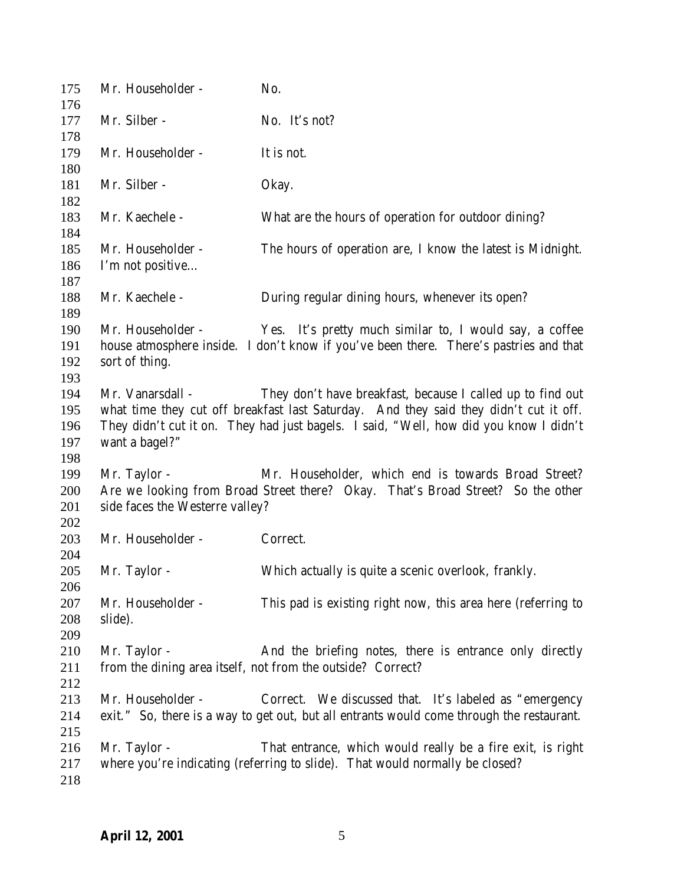| 175        | Mr. Householder -               | No.                                                                                       |
|------------|---------------------------------|-------------------------------------------------------------------------------------------|
| 176<br>177 | Mr. Silber -                    | No. It's not?                                                                             |
| 178        |                                 |                                                                                           |
| 179        | Mr. Householder -               | It is not.                                                                                |
| 180        |                                 |                                                                                           |
| 181        | Mr. Silber -                    | Okay.                                                                                     |
| 182        |                                 |                                                                                           |
| 183        | Mr. Kaechele -                  | What are the hours of operation for outdoor dining?                                       |
| 184        |                                 |                                                                                           |
| 185        | Mr. Householder -               | The hours of operation are, I know the latest is Midnight.                                |
| 186        | I'm not positive                |                                                                                           |
| 187        |                                 |                                                                                           |
| 188        | Mr. Kaechele -                  | During regular dining hours, whenever its open?                                           |
| 189        |                                 |                                                                                           |
| 190        | Mr. Householder -               | Yes. It's pretty much similar to, I would say, a coffee                                   |
| 191        |                                 | house atmosphere inside. I don't know if you've been there. There's pastries and that     |
| 192        | sort of thing.                  |                                                                                           |
| 193        |                                 |                                                                                           |
| 194        | Mr. Vanarsdall -                | They don't have breakfast, because I called up to find out                                |
| 195        |                                 | what time they cut off breakfast last Saturday. And they said they didn't cut it off.     |
| 196        |                                 | They didn't cut it on. They had just bagels. I said, "Well, how did you know I didn't     |
| 197        | want a bagel?"                  |                                                                                           |
| 198        |                                 |                                                                                           |
| 199        | Mr. Taylor -                    | Mr. Householder, which end is towards Broad Street?                                       |
| 200        |                                 | Are we looking from Broad Street there? Okay. That's Broad Street? So the other           |
| 201        | side faces the Westerre valley? |                                                                                           |
| 202        |                                 |                                                                                           |
| 203        | Mr. Householder -               | Correct.                                                                                  |
| 204        |                                 |                                                                                           |
| 205        | Mr. Taylor -                    | Which actually is quite a scenic overlook, frankly.                                       |
| 206        |                                 |                                                                                           |
| 207        | Mr. Householder -               | This pad is existing right now, this area here (referring to                              |
| 208        | slide).                         |                                                                                           |
| 209        |                                 |                                                                                           |
| 210        | Mr. Taylor -                    | And the briefing notes, there is entrance only directly                                   |
| 211        |                                 | from the dining area itself, not from the outside? Correct?                               |
| 212        |                                 |                                                                                           |
| 213        | Mr. Householder -               | Correct. We discussed that. It's labeled as "emergency                                    |
| 214        |                                 | exit." So, there is a way to get out, but all entrants would come through the restaurant. |
| 215        |                                 |                                                                                           |
| 216        | Mr. Taylor -                    | That entrance, which would really be a fire exit, is right                                |
| 217        |                                 | where you're indicating (referring to slide). That would normally be closed?              |
| 218        |                                 |                                                                                           |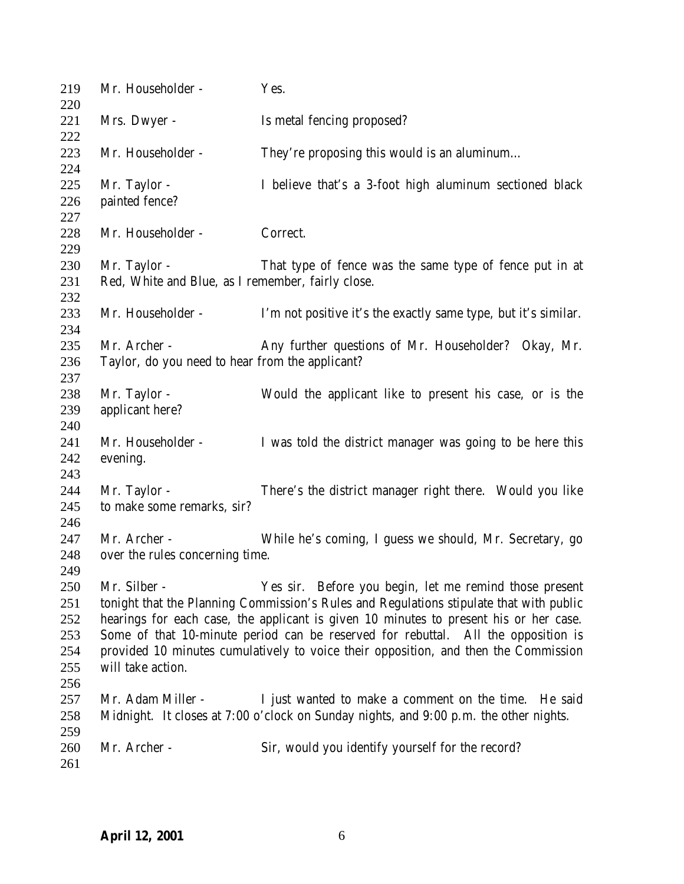| 219<br>220                                    | Mr. Householder -                                                                                                                                                                                                                                                                                                                                                                                                                                           | Yes.                                                                                                                                          |
|-----------------------------------------------|-------------------------------------------------------------------------------------------------------------------------------------------------------------------------------------------------------------------------------------------------------------------------------------------------------------------------------------------------------------------------------------------------------------------------------------------------------------|-----------------------------------------------------------------------------------------------------------------------------------------------|
| 221<br>222                                    | Mrs. Dwyer -                                                                                                                                                                                                                                                                                                                                                                                                                                                | Is metal fencing proposed?                                                                                                                    |
| 223<br>224                                    | Mr. Householder -                                                                                                                                                                                                                                                                                                                                                                                                                                           | They're proposing this would is an aluminum                                                                                                   |
| 225<br>226<br>227                             | Mr. Taylor -<br>painted fence?                                                                                                                                                                                                                                                                                                                                                                                                                              | I believe that's a 3-foot high aluminum sectioned black                                                                                       |
| 228<br>229                                    | Mr. Householder -                                                                                                                                                                                                                                                                                                                                                                                                                                           | Correct.                                                                                                                                      |
| 230<br>231<br>232                             | Mr. Taylor -<br>Red, White and Blue, as I remember, fairly close.                                                                                                                                                                                                                                                                                                                                                                                           | That type of fence was the same type of fence put in at                                                                                       |
| 233<br>234                                    | Mr. Householder -                                                                                                                                                                                                                                                                                                                                                                                                                                           | I'm not positive it's the exactly same type, but it's similar.                                                                                |
| 235<br>236<br>237                             | Mr. Archer -<br>Taylor, do you need to hear from the applicant?                                                                                                                                                                                                                                                                                                                                                                                             | Any further questions of Mr. Householder? Okay, Mr.                                                                                           |
| 238<br>239<br>240                             | Mr. Taylor -<br>applicant here?                                                                                                                                                                                                                                                                                                                                                                                                                             | Would the applicant like to present his case, or is the                                                                                       |
| 241<br>242<br>243                             | Mr. Householder -<br>evening.                                                                                                                                                                                                                                                                                                                                                                                                                               | I was told the district manager was going to be here this                                                                                     |
| 244<br>245<br>246                             | Mr. Taylor -<br>to make some remarks, sir?                                                                                                                                                                                                                                                                                                                                                                                                                  | There's the district manager right there. Would you like                                                                                      |
| 247<br>248<br>249                             | Mr. Archer -<br>over the rules concerning time.                                                                                                                                                                                                                                                                                                                                                                                                             | While he's coming, I guess we should, Mr. Secretary, go                                                                                       |
| 250<br>251<br>252<br>253<br>254<br>255<br>256 | Mr. Silber -<br>Yes sir. Before you begin, let me remind those present<br>tonight that the Planning Commission's Rules and Regulations stipulate that with public<br>hearings for each case, the applicant is given 10 minutes to present his or her case.<br>Some of that 10-minute period can be reserved for rebuttal. All the opposition is<br>provided 10 minutes cumulatively to voice their opposition, and then the Commission<br>will take action. |                                                                                                                                               |
| 257<br>258<br>259                             | Mr. Adam Miller -                                                                                                                                                                                                                                                                                                                                                                                                                                           | I just wanted to make a comment on the time. He said<br>Midnight. It closes at 7:00 o'clock on Sunday nights, and 9:00 p.m. the other nights. |
| 260<br>261                                    | Mr. Archer -                                                                                                                                                                                                                                                                                                                                                                                                                                                | Sir, would you identify yourself for the record?                                                                                              |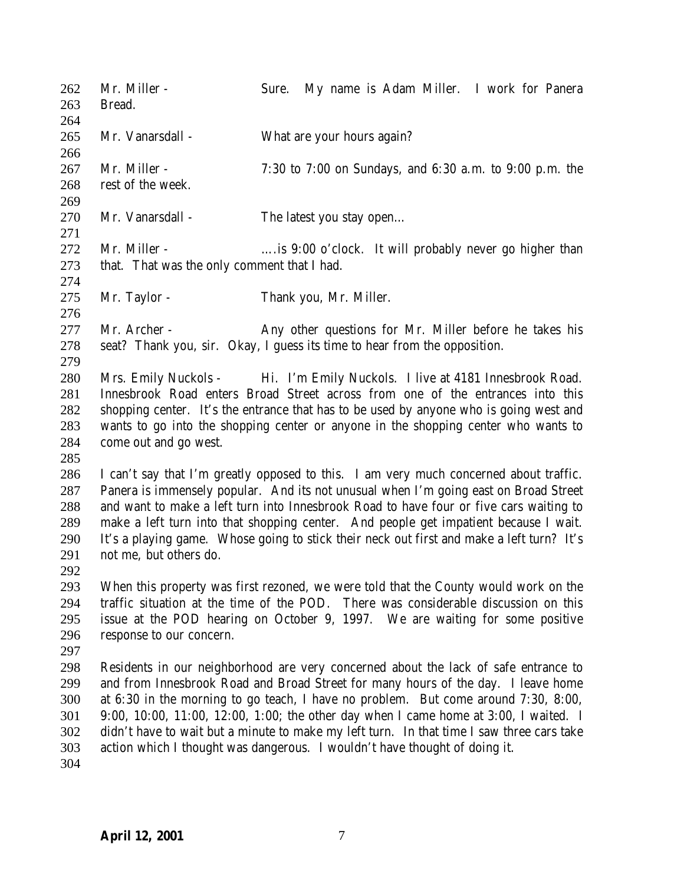| 262<br>263                                    | Mr. Miller -<br>Bread.                                                                                                                                                                                                                                                                                                                                                 | My name is Adam Miller. I work for Panera<br>Sure.                                                                                                                                                                                                                                                                                                                                                                                                                                                                                |
|-----------------------------------------------|------------------------------------------------------------------------------------------------------------------------------------------------------------------------------------------------------------------------------------------------------------------------------------------------------------------------------------------------------------------------|-----------------------------------------------------------------------------------------------------------------------------------------------------------------------------------------------------------------------------------------------------------------------------------------------------------------------------------------------------------------------------------------------------------------------------------------------------------------------------------------------------------------------------------|
| 264<br>265<br>266                             | Mr. Vanarsdall -                                                                                                                                                                                                                                                                                                                                                       | What are your hours again?                                                                                                                                                                                                                                                                                                                                                                                                                                                                                                        |
| 267<br>268<br>269                             | Mr. Miller -<br>rest of the week.                                                                                                                                                                                                                                                                                                                                      | 7:30 to 7:00 on Sundays, and $6:30$ a.m. to $9:00$ p.m. the                                                                                                                                                                                                                                                                                                                                                                                                                                                                       |
| 270<br>271                                    | Mr. Vanarsdall -                                                                                                                                                                                                                                                                                                                                                       | The latest you stay open                                                                                                                                                                                                                                                                                                                                                                                                                                                                                                          |
| 272<br>273<br>274                             | Mr. Miller -<br>that. That was the only comment that I had.                                                                                                                                                                                                                                                                                                            | is 9:00 o'clock. It will probably never go higher than                                                                                                                                                                                                                                                                                                                                                                                                                                                                            |
| 275<br>276                                    | Mr. Taylor -                                                                                                                                                                                                                                                                                                                                                           | Thank you, Mr. Miller.                                                                                                                                                                                                                                                                                                                                                                                                                                                                                                            |
| 277<br>278<br>279                             | Mr. Archer -                                                                                                                                                                                                                                                                                                                                                           | Any other questions for Mr. Miller before he takes his<br>seat? Thank you, sir. Okay, I guess its time to hear from the opposition.                                                                                                                                                                                                                                                                                                                                                                                               |
| 280<br>281<br>282<br>283<br>284<br>285        | Mrs. Emily Nuckols - Hi. I'm Emily Nuckols. I live at 4181 Innesbrook Road.<br>Innesbrook Road enters Broad Street across from one of the entrances into this<br>shopping center. It's the entrance that has to be used by anyone who is going west and<br>wants to go into the shopping center or anyone in the shopping center who wants to<br>come out and go west. |                                                                                                                                                                                                                                                                                                                                                                                                                                                                                                                                   |
| 286<br>287<br>288<br>289<br>290<br>291<br>292 | not me, but others do.                                                                                                                                                                                                                                                                                                                                                 | I can't say that I'm greatly opposed to this. I am very much concerned about traffic.<br>Panera is immensely popular. And its not unusual when I'm going east on Broad Street<br>and want to make a left turn into Innesbrook Road to have four or five cars waiting to<br>make a left turn into that shopping center. And people get impatient because I wait.<br>It's a playing game. Whose going to stick their neck out first and make a left turn? It's                                                                      |
| 293<br>294<br>295<br>296<br>297               | When this property was first rezoned, we were told that the County would work on the<br>traffic situation at the time of the POD. There was considerable discussion on this<br>issue at the POD hearing on October 9, 1997. We are waiting for some positive<br>response to our concern.                                                                               |                                                                                                                                                                                                                                                                                                                                                                                                                                                                                                                                   |
| 298<br>299<br>300<br>301<br>302<br>303<br>304 |                                                                                                                                                                                                                                                                                                                                                                        | Residents in our neighborhood are very concerned about the lack of safe entrance to<br>and from Innesbrook Road and Broad Street for many hours of the day. I leave home<br>at 6:30 in the morning to go teach, I have no problem. But come around 7:30, 8:00,<br>9:00, 10:00, 11:00, 12:00, 1:00; the other day when I came home at 3:00, I waited. I<br>didn't have to wait but a minute to make my left turn. In that time I saw three cars take<br>action which I thought was dangerous. I wouldn't have thought of doing it. |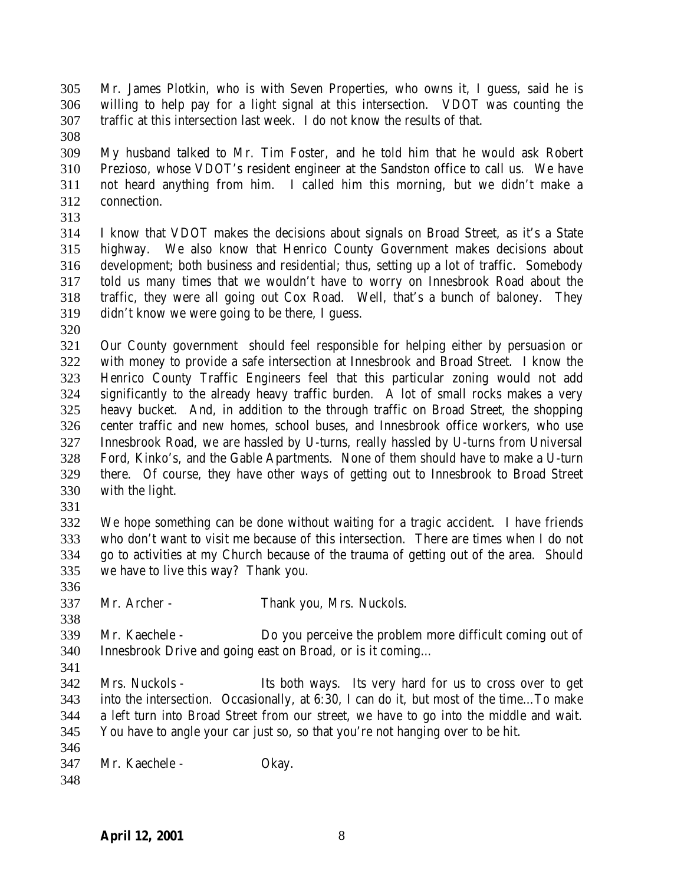Mr. James Plotkin, who is with Seven Properties, who owns it, I guess, said he is willing to help pay for a light signal at this intersection. VDOT was counting the traffic at this intersection last week. I do not know the results of that.

 My husband talked to Mr. Tim Foster, and he told him that he would ask Robert Prezioso, whose VDOT's resident engineer at the Sandston office to call us. We have not heard anything from him. I called him this morning, but we didn't make a connection.

 I know that VDOT makes the decisions about signals on Broad Street, as it's a State highway. We also know that Henrico County Government makes decisions about development; both business and residential; thus, setting up a lot of traffic. Somebody told us many times that we wouldn't have to worry on Innesbrook Road about the traffic, they were all going out Cox Road. Well, that's a bunch of baloney. They didn't know we were going to be there, I guess.

 Our County government should feel responsible for helping either by persuasion or with money to provide a safe intersection at Innesbrook and Broad Street. I know the Henrico County Traffic Engineers feel that this particular zoning would not add significantly to the already heavy traffic burden. A lot of small rocks makes a very heavy bucket. And, in addition to the through traffic on Broad Street, the shopping center traffic and new homes, school buses, and Innesbrook office workers, who use Innesbrook Road, we are hassled by U-turns, really hassled by U-turns from Universal Ford, Kinko's, and the Gable Apartments. None of them should have to make a U-turn there. Of course, they have other ways of getting out to Innesbrook to Broad Street with the light.

 We hope something can be done without waiting for a tragic accident. I have friends who don't want to visit me because of this intersection. There are times when I do not go to activities at my Church because of the trauma of getting out of the area. Should we have to live this way? Thank you.

- Mr. Archer Thank you, Mrs. Nuckols.
- Mr. Kaechele Do you perceive the problem more difficult coming out of Innesbrook Drive and going east on Broad, or is it coming…
- 
- Mrs. Nuckols Its both ways. Its very hard for us to cross over to get into the intersection. Occasionally, at 6:30, I can do it, but most of the time…To make a left turn into Broad Street from our street, we have to go into the middle and wait. You have to angle your car just so, so that you're not hanging over to be hit.
- 
- Mr. Kaechele Okay.
-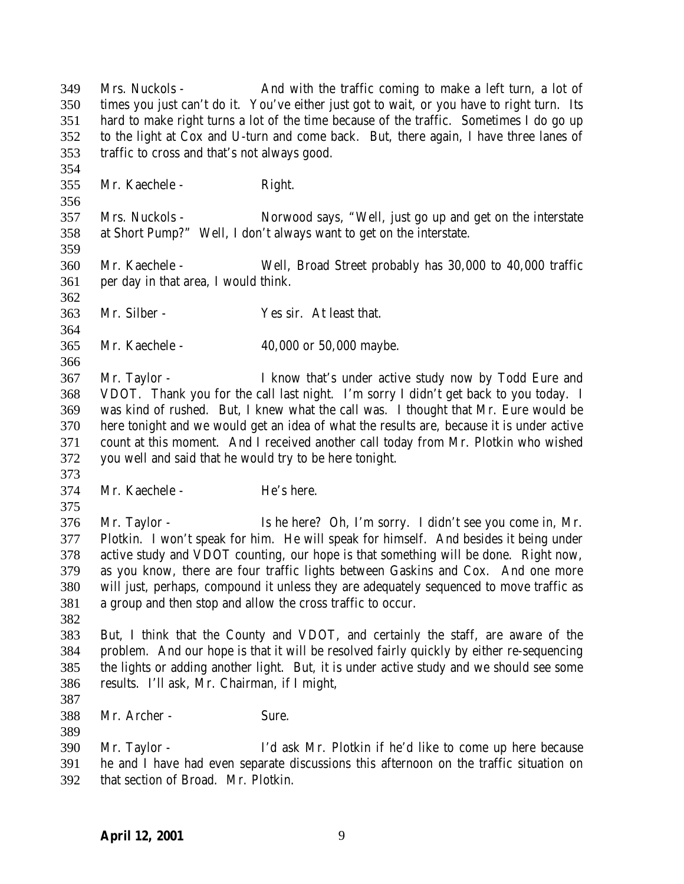Mrs. Nuckols - And with the traffic coming to make a left turn, a lot of times you just can't do it. You've either just got to wait, or you have to right turn. Its hard to make right turns a lot of the time because of the traffic. Sometimes I do go up to the light at Cox and U-turn and come back. But, there again, I have three lanes of traffic to cross and that's not always good. Mr. Kaechele - Right. Mrs. Nuckols - Norwood says, "Well, just go up and get on the interstate at Short Pump?" Well, I don't always want to get on the interstate. Mr. Kaechele - Well, Broad Street probably has 30,000 to 40,000 traffic per day in that area, I would think. Mr. Silber - Yes sir. At least that. Mr. Kaechele - 40,000 or 50,000 maybe. Mr. Taylor - I know that's under active study now by Todd Eure and VDOT. Thank you for the call last night. I'm sorry I didn't get back to you today. I was kind of rushed. But, I knew what the call was. I thought that Mr. Eure would be here tonight and we would get an idea of what the results are, because it is under active count at this moment. And I received another call today from Mr. Plotkin who wished you well and said that he would try to be here tonight. Mr. Kaechele - He's here. Mr. Taylor - Is he here? Oh, I'm sorry. I didn't see you come in, Mr. Plotkin. I won't speak for him. He will speak for himself. And besides it being under active study and VDOT counting, our hope is that something will be done. Right now, as you know, there are four traffic lights between Gaskins and Cox. And one more will just, perhaps, compound it unless they are adequately sequenced to move traffic as a group and then stop and allow the cross traffic to occur. But, I think that the County and VDOT, and certainly the staff, are aware of the problem. And our hope is that it will be resolved fairly quickly by either re-sequencing the lights or adding another light. But, it is under active study and we should see some results. I'll ask, Mr. Chairman, if I might, Mr. Archer - Sure. Mr. Taylor - I'd ask Mr. Plotkin if he'd like to come up here because he and I have had even separate discussions this afternoon on the traffic situation on that section of Broad. Mr. Plotkin.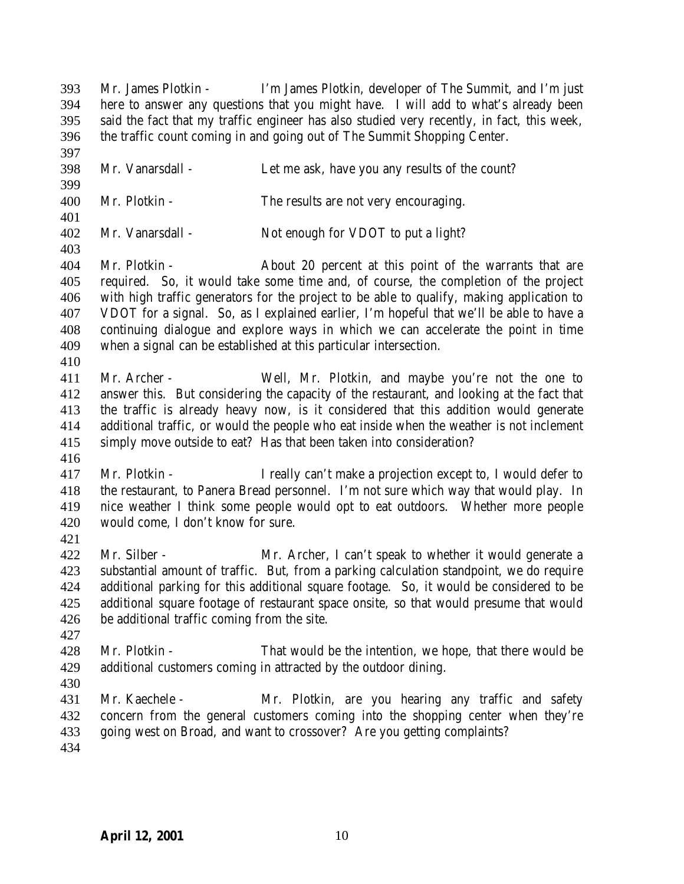Mr. Vanarsdall - Let me ask, have you any results of the count? Mr. Plotkin - The results are not very encouraging. Mr. Vanarsdall - Not enough for VDOT to put a light? Mr. Plotkin - About 20 percent at this point of the warrants that are required. So, it would take some time and, of course, the completion of the project with high traffic generators for the project to be able to qualify, making application to VDOT for a signal. So, as I explained earlier, I'm hopeful that we'll be able to have a continuing dialogue and explore ways in which we can accelerate the point in time when a signal can be established at this particular intersection. Mr. Archer - Well, Mr. Plotkin, and maybe you're not the one to answer this. But considering the capacity of the restaurant, and looking at the fact that the traffic is already heavy now, is it considered that this addition would generate additional traffic, or would the people who eat inside when the weather is not inclement simply move outside to eat? Has that been taken into consideration? Mr. Plotkin - I really can't make a projection except to, I would defer to the restaurant, to Panera Bread personnel. I'm not sure which way that would play. In nice weather I think some people would opt to eat outdoors. Whether more people would come, I don't know for sure. Mr. Silber - Mr. Archer, I can't speak to whether it would generate a substantial amount of traffic. But, from a parking calculation standpoint, we do require additional parking for this additional square footage. So, it would be considered to be additional square footage of restaurant space onsite, so that would presume that would be additional traffic coming from the site. 428 Mr. Plotkin - That would be the intention, we hope, that there would be additional customers coming in attracted by the outdoor dining. Mr. Kaechele - Mr. Plotkin, are you hearing any traffic and safety concern from the general customers coming into the shopping center when they're going west on Broad, and want to crossover? Are you getting complaints? 

 Mr. James Plotkin - I'm James Plotkin, developer of The Summit, and I'm just here to answer any questions that you might have. I will add to what's already been said the fact that my traffic engineer has also studied very recently, in fact, this week,

the traffic count coming in and going out of The Summit Shopping Center.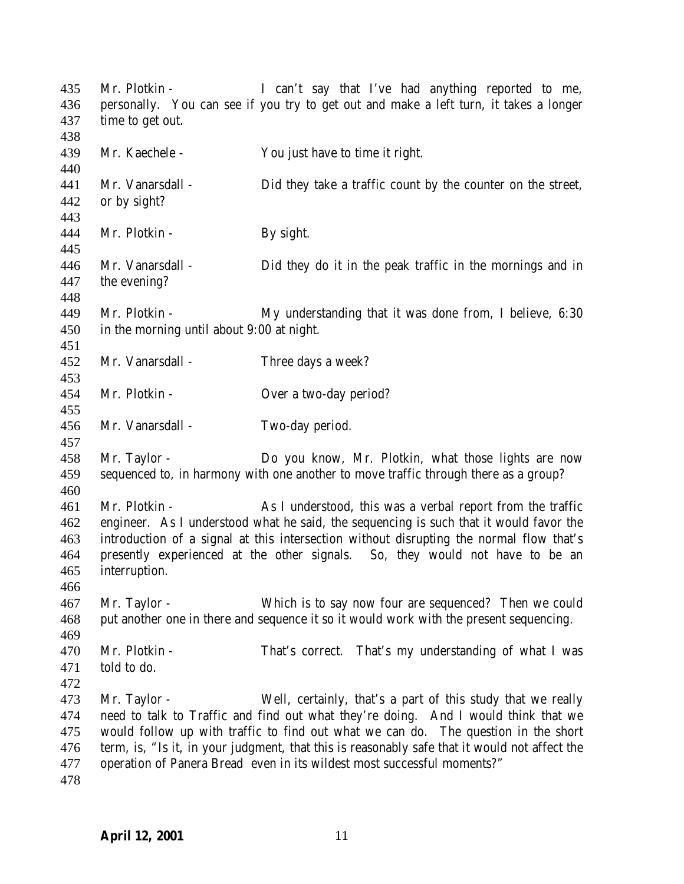Mr. Plotkin - I can't say that I've had anything reported to me, personally. You can see if you try to get out and make a left turn, it takes a longer time to get out. Mr. Kaechele - You just have to time it right. Mr. Vanarsdall - Did they take a traffic count by the counter on the street, or by sight? 444 Mr. Plotkin - By sight. Mr. Vanarsdall - Did they do it in the peak traffic in the mornings and in the evening? Mr. Plotkin - My understanding that it was done from, I believe, 6:30 in the morning until about 9:00 at night. Mr. Vanarsdall - Three days a week? Mr. Plotkin - Over a two-day period? Mr. Vanarsdall - Two-day period. Mr. Taylor - Do you know, Mr. Plotkin, what those lights are now sequenced to, in harmony with one another to move traffic through there as a group? Mr. Plotkin - As I understood, this was a verbal report from the traffic engineer. As I understood what he said, the sequencing is such that it would favor the introduction of a signal at this intersection without disrupting the normal flow that's presently experienced at the other signals. So, they would not have to be an interruption. Mr. Taylor - Which is to say now four are sequenced? Then we could put another one in there and sequence it so it would work with the present sequencing. Mr. Plotkin - That's correct. That's my understanding of what I was told to do. Mr. Taylor - Well, certainly, that's a part of this study that we really need to talk to Traffic and find out what they're doing. And I would think that we would follow up with traffic to find out what we can do. The question in the short term, is, "Is it, in your judgment, that this is reasonably safe that it would not affect the operation of Panera Bread even in its wildest most successful moments?"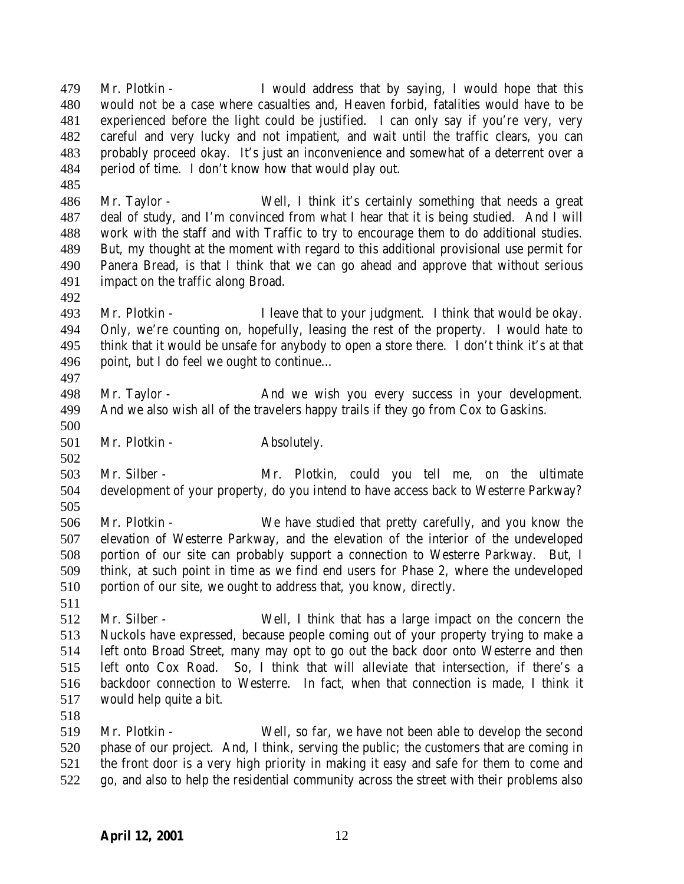Mr. Plotkin - I would address that by saying, I would hope that this would not be a case where casualties and, Heaven forbid, fatalities would have to be experienced before the light could be justified. I can only say if you're very, very careful and very lucky and not impatient, and wait until the traffic clears, you can probably proceed okay. It's just an inconvenience and somewhat of a deterrent over a period of time. I don't know how that would play out.

 Mr. Taylor - Well, I think it's certainly something that needs a great deal of study, and I'm convinced from what I hear that it is being studied. And I will work with the staff and with Traffic to try to encourage them to do additional studies. But, my thought at the moment with regard to this additional provisional use permit for Panera Bread, is that I think that we can go ahead and approve that without serious impact on the traffic along Broad.

 Mr. Plotkin - I leave that to your judgment. I think that would be okay. Only, we're counting on, hopefully, leasing the rest of the property. I would hate to think that it would be unsafe for anybody to open a store there. I don't think it's at that point, but I do feel we ought to continue… 

 Mr. Taylor - And we wish you every success in your development. And we also wish all of the travelers happy trails if they go from Cox to Gaskins.

501 Mr. Plotkin - Absolutely.

 Mr. Silber - Mr. Plotkin, could you tell me, on the ultimate development of your property, do you intend to have access back to Westerre Parkway? 

 Mr. Plotkin - We have studied that pretty carefully, and you know the elevation of Westerre Parkway, and the elevation of the interior of the undeveloped portion of our site can probably support a connection to Westerre Parkway. But, I think, at such point in time as we find end users for Phase 2, where the undeveloped portion of our site, we ought to address that, you know, directly. 

 Mr. Silber - Well, I think that has a large impact on the concern the Nuckols have expressed, because people coming out of your property trying to make a left onto Broad Street, many may opt to go out the back door onto Westerre and then left onto Cox Road. So, I think that will alleviate that intersection, if there's a backdoor connection to Westerre. In fact, when that connection is made, I think it would help quite a bit.

 Mr. Plotkin - Well, so far, we have not been able to develop the second phase of our project. And, I think, serving the public; the customers that are coming in the front door is a very high priority in making it easy and safe for them to come and go, and also to help the residential community across the street with their problems also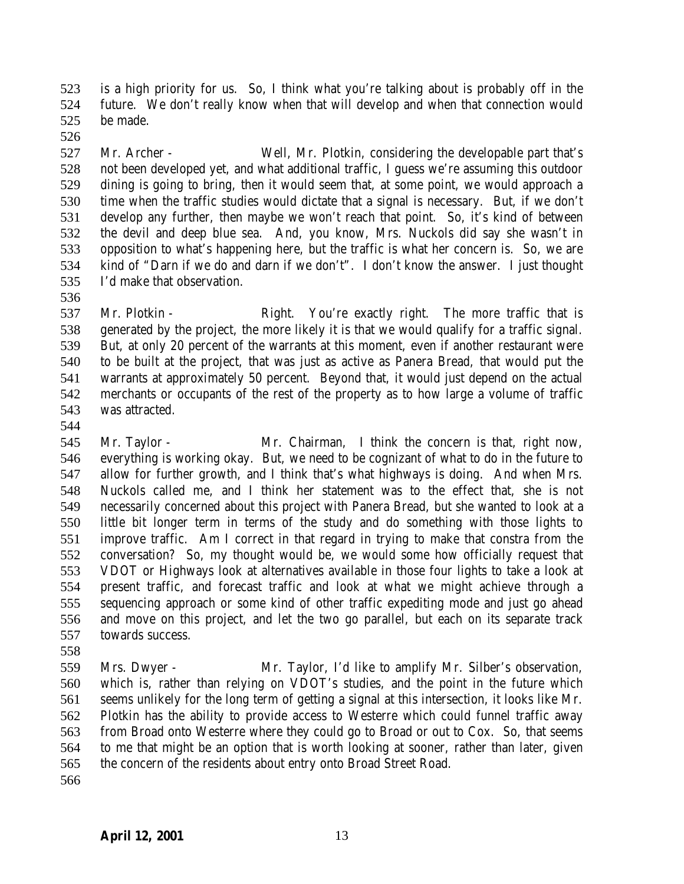is a high priority for us. So, I think what you're talking about is probably off in the future. We don't really know when that will develop and when that connection would be made.

 Mr. Archer - Well, Mr. Plotkin, considering the developable part that's not been developed yet, and what additional traffic, I guess we're assuming this outdoor dining is going to bring, then it would seem that, at some point, we would approach a time when the traffic studies would dictate that a signal is necessary. But, if we don't develop any further, then maybe we won't reach that point. So, it's kind of between the devil and deep blue sea. And, you know, Mrs. Nuckols did say she wasn't in opposition to what's happening here, but the traffic is what her concern is. So, we are kind of "Darn if we do and darn if we don't". I don't know the answer. I just thought I'd make that observation.

537 Mr. Plotkin - Right. You're exactly right. The more traffic that is generated by the project, the more likely it is that we would qualify for a traffic signal. But, at only 20 percent of the warrants at this moment, even if another restaurant were to be built at the project, that was just as active as Panera Bread, that would put the warrants at approximately 50 percent. Beyond that, it would just depend on the actual merchants or occupants of the rest of the property as to how large a volume of traffic was attracted.

 Mr. Taylor - Mr. Chairman, I think the concern is that, right now, everything is working okay. But, we need to be cognizant of what to do in the future to allow for further growth, and I think that's what highways is doing. And when Mrs. Nuckols called me, and I think her statement was to the effect that, she is not necessarily concerned about this project with Panera Bread, but she wanted to look at a little bit longer term in terms of the study and do something with those lights to improve traffic. Am I correct in that regard in trying to make that constra from the conversation? So, my thought would be, we would some how officially request that VDOT or Highways look at alternatives available in those four lights to take a look at present traffic, and forecast traffic and look at what we might achieve through a sequencing approach or some kind of other traffic expediting mode and just go ahead and move on this project, and let the two go parallel, but each on its separate track towards success.

 Mrs. Dwyer - Mr. Taylor, I'd like to amplify Mr. Silber's observation, which is, rather than relying on VDOT's studies, and the point in the future which seems unlikely for the long term of getting a signal at this intersection, it looks like Mr. Plotkin has the ability to provide access to Westerre which could funnel traffic away from Broad onto Westerre where they could go to Broad or out to Cox. So, that seems to me that might be an option that is worth looking at sooner, rather than later, given the concern of the residents about entry onto Broad Street Road.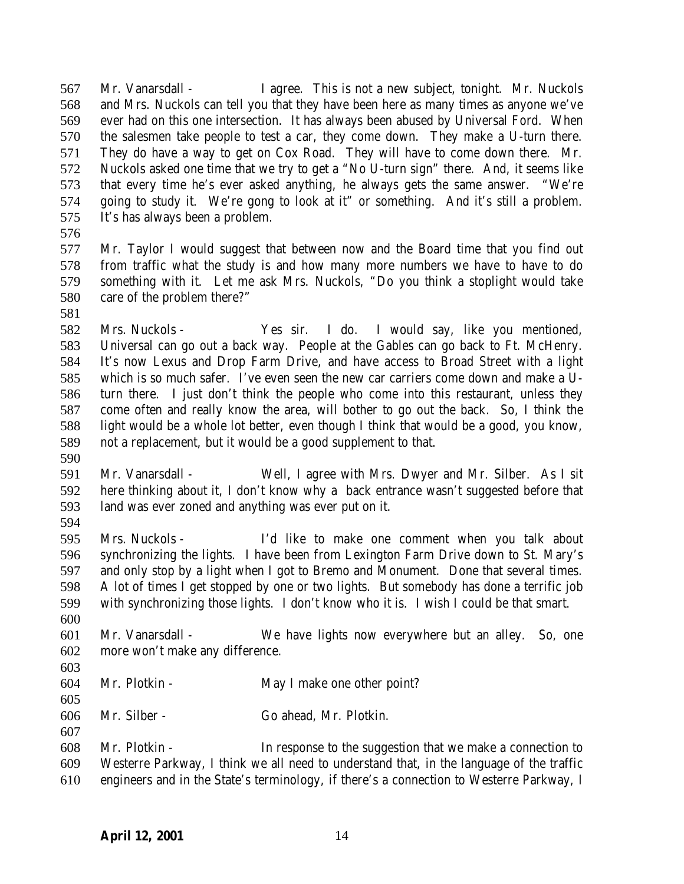Mr. Vanarsdall - I agree. This is not a new subject, tonight. Mr. Nuckols and Mrs. Nuckols can tell you that they have been here as many times as anyone we've ever had on this one intersection. It has always been abused by Universal Ford. When the salesmen take people to test a car, they come down. They make a U-turn there. They do have a way to get on Cox Road. They will have to come down there. Mr. Nuckols asked one time that we try to get a "No U-turn sign" there. And, it seems like that every time he's ever asked anything, he always gets the same answer. "We're going to study it. We're gong to look at it" or something. And it's still a problem. It's has always been a problem.

 Mr. Taylor I would suggest that between now and the Board time that you find out from traffic what the study is and how many more numbers we have to have to do something with it. Let me ask Mrs. Nuckols, "Do you think a stoplight would take care of the problem there?"

 Mrs. Nuckols - Yes sir. I do. I would say, like you mentioned, Universal can go out a back way. People at the Gables can go back to Ft. McHenry. It's now Lexus and Drop Farm Drive, and have access to Broad Street with a light which is so much safer. I've even seen the new car carriers come down and make a U- turn there. I just don't think the people who come into this restaurant, unless they come often and really know the area, will bother to go out the back. So, I think the light would be a whole lot better, even though I think that would be a good, you know, not a replacement, but it would be a good supplement to that.

- Mr. Vanarsdall - Well, I agree with Mrs. Dwyer and Mr. Silber. As I sit here thinking about it, I don't know why a back entrance wasn't suggested before that land was ever zoned and anything was ever put on it.
- 

 Mrs. Nuckols - I'd like to make one comment when you talk about synchronizing the lights. I have been from Lexington Farm Drive down to St. Mary's and only stop by a light when I got to Bremo and Monument. Done that several times. A lot of times I get stopped by one or two lights. But somebody has done a terrific job with synchronizing those lights. I don't know who it is. I wish I could be that smart. 

- Mr. Vanarsdall We have lights now everywhere but an alley. So, one more won't make any difference.
- 

- Mr. Plotkin May I make one other point?
- Mr. Silber Go ahead, Mr. Plotkin.

 Mr. Plotkin - In response to the suggestion that we make a connection to Westerre Parkway, I think we all need to understand that, in the language of the traffic engineers and in the State's terminology, if there's a connection to Westerre Parkway, I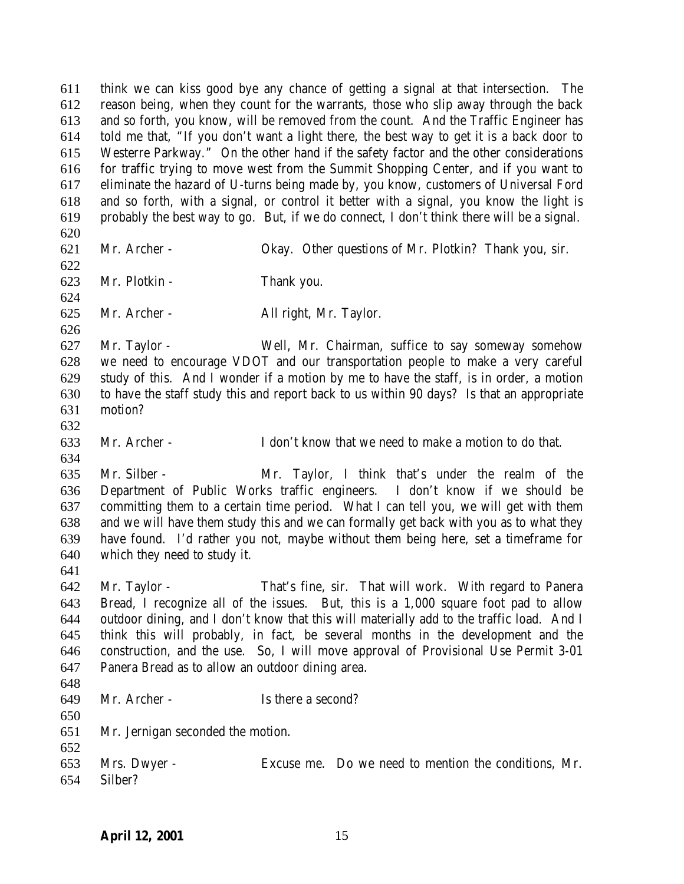think we can kiss good bye any chance of getting a signal at that intersection. The reason being, when they count for the warrants, those who slip away through the back and so forth, you know, will be removed from the count. And the Traffic Engineer has told me that, "If you don't want a light there, the best way to get it is a back door to Westerre Parkway." On the other hand if the safety factor and the other considerations for traffic trying to move west from the Summit Shopping Center, and if you want to eliminate the hazard of U-turns being made by, you know, customers of Universal Ford and so forth, with a signal, or control it better with a signal, you know the light is probably the best way to go. But, if we do connect, I don't think there will be a signal. Mr. Archer - Okay. Other questions of Mr. Plotkin? Thank you, sir. Mr. Plotkin - Thank you. Mr. Archer - All right, Mr. Taylor. Mr. Taylor - Well, Mr. Chairman, suffice to say someway somehow we need to encourage VDOT and our transportation people to make a very careful study of this. And I wonder if a motion by me to have the staff, is in order, a motion to have the staff study this and report back to us within 90 days? Is that an appropriate motion? Mr. Archer - I don't know that we need to make a motion to do that. Mr. Silber - Mr. Taylor, I think that's under the realm of the Department of Public Works traffic engineers. I don't know if we should be committing them to a certain time period. What I can tell you, we will get with them and we will have them study this and we can formally get back with you as to what they have found. I'd rather you not, maybe without them being here, set a timeframe for which they need to study it. Mr. Taylor - That's fine, sir. That will work. With regard to Panera Bread, I recognize all of the issues. But, this is a 1,000 square foot pad to allow outdoor dining, and I don't know that this will materially add to the traffic load. And I think this will probably, in fact, be several months in the development and the construction, and the use. So, I will move approval of Provisional Use Permit 3-01 Panera Bread as to allow an outdoor dining area. Mr. Archer - Is there a second? Mr. Jernigan seconded the motion. Mrs. Dwyer - Excuse me. Do we need to mention the conditions, Mr. Silber?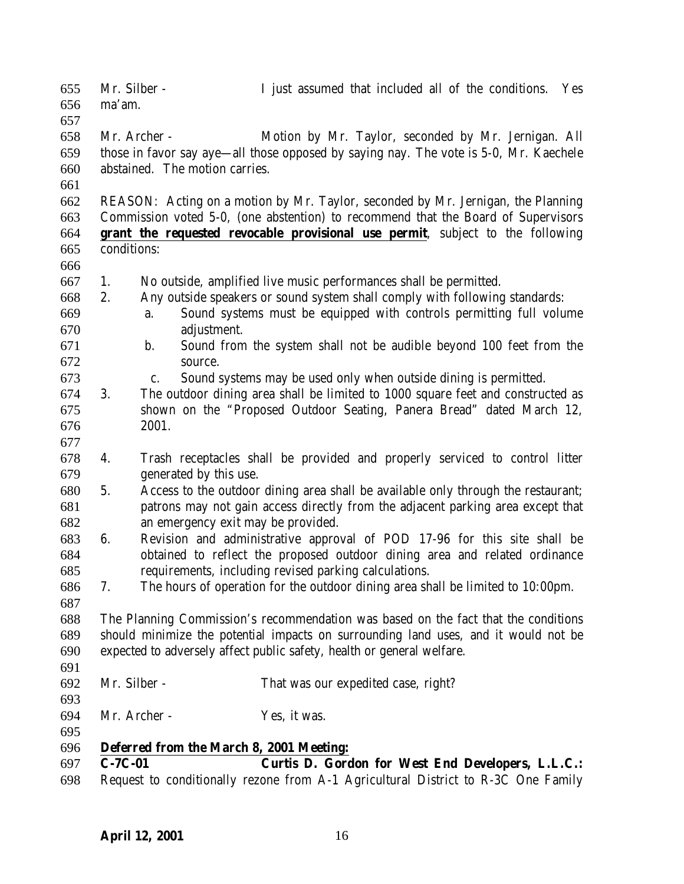Mr. Silber - I just assumed that included all of the conditions. Yes ma'am. Mr. Archer - Motion by Mr. Taylor, seconded by Mr. Jernigan. All those in favor say aye—all those opposed by saying nay. The vote is 5-0, Mr. Kaechele abstained. The motion carries. REASON: Acting on a motion by Mr. Taylor, seconded by Mr. Jernigan, the Planning Commission voted 5-0, (one abstention) to recommend that the Board of Supervisors **grant the requested revocable provisional use permit**, subject to the following conditions: 1. No outside, amplified live music performances shall be permitted. 2. Any outside speakers or sound system shall comply with following standards: a. Sound systems must be equipped with controls permitting full volume adjustment. b. Sound from the system shall not be audible beyond 100 feet from the source. c. Sound systems may be used only when outside dining is permitted. 3. The outdoor dining area shall be limited to 1000 square feet and constructed as shown on the "Proposed Outdoor Seating, Panera Bread" dated March 12, 2001. 4. Trash receptacles shall be provided and properly serviced to control litter generated by this use. 5. Access to the outdoor dining area shall be available only through the restaurant; patrons may not gain access directly from the adjacent parking area except that an emergency exit may be provided. 6. Revision and administrative approval of POD 17-96 for this site shall be obtained to reflect the proposed outdoor dining area and related ordinance requirements, including revised parking calculations. 7. The hours of operation for the outdoor dining area shall be limited to 10:00pm. The Planning Commission's recommendation was based on the fact that the conditions should minimize the potential impacts on surrounding land uses, and it would not be expected to adversely affect public safety, health or general welfare. Mr. Silber - That was our expedited case, right? Mr. Archer - Yes, it was. **Deferred from the March 8, 2001 Meeting: C-7C-01 Curtis D. Gordon for West End Developers, L.L.C.:** Request to conditionally rezone from A-1 Agricultural District to R-3C One Family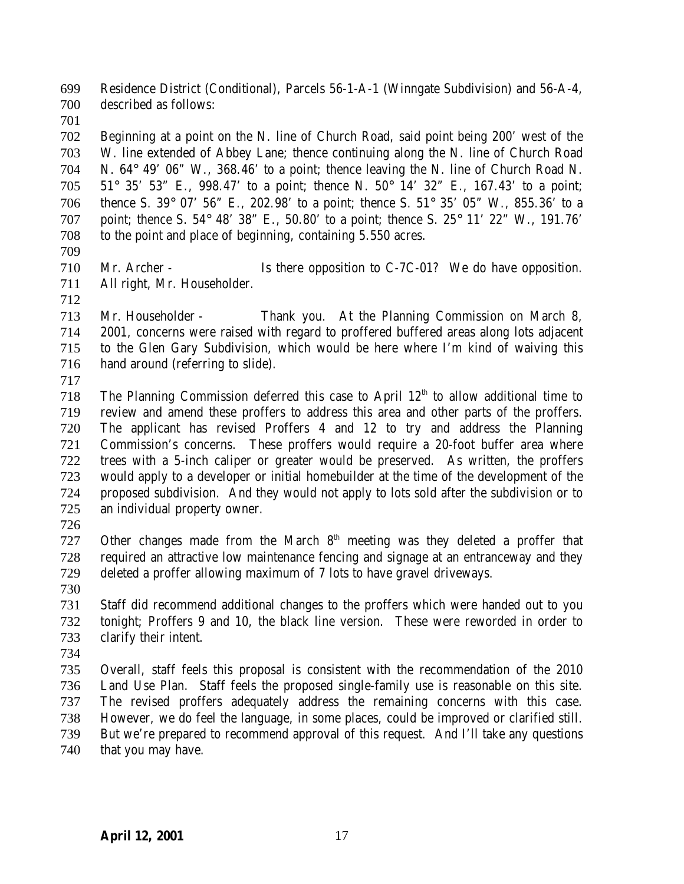Residence District (Conditional), Parcels 56-1-A-1 (Winngate Subdivision) and 56-A-4, described as follows:

 Beginning at a point on the N. line of Church Road, said point being 200' west of the W. line extended of Abbey Lane; thence continuing along the N. line of Church Road N. 64° 49' 06" W., 368.46' to a point; thence leaving the N. line of Church Road N. 51° 35' 53" E., 998.47' to a point; thence N. 50° 14' 32" E., 167.43' to a point; thence S. 39° 07' 56" E., 202.98' to a point; thence S. 51° 35' 05" W., 855.36' to a point; thence S. 54° 48' 38" E., 50.80' to a point; thence S. 25° 11' 22" W., 191.76' to the point and place of beginning, containing 5.550 acres.

 Mr. Archer - Is there opposition to C-7C-01? We do have opposition. All right, Mr. Householder.

 Mr. Householder - Thank you. At the Planning Commission on March 8, 2001, concerns were raised with regard to proffered buffered areas along lots adjacent to the Glen Gary Subdivision, which would be here where I'm kind of waiving this hand around (referring to slide).

 The Planning Commission deferred this case to April  $12<sup>th</sup>$  to allow additional time to review and amend these proffers to address this area and other parts of the proffers. The applicant has revised Proffers 4 and 12 to try and address the Planning Commission's concerns. These proffers would require a 20-foot buffer area where trees with a 5-inch caliper or greater would be preserved. As written, the proffers would apply to a developer or initial homebuilder at the time of the development of the proposed subdivision. And they would not apply to lots sold after the subdivision or to an individual property owner.

727 Other changes made from the March  $8<sup>th</sup>$  meeting was they deleted a proffer that required an attractive low maintenance fencing and signage at an entranceway and they deleted a proffer allowing maximum of 7 lots to have gravel driveways.

 Staff did recommend additional changes to the proffers which were handed out to you tonight; Proffers 9 and 10, the black line version. These were reworded in order to clarify their intent.

 Overall, staff feels this proposal is consistent with the recommendation of the 2010 Land Use Plan. Staff feels the proposed single-family use is reasonable on this site. The revised proffers adequately address the remaining concerns with this case. However, we do feel the language, in some places, could be improved or clarified still. But we're prepared to recommend approval of this request. And I'll take any questions 740 that you may have.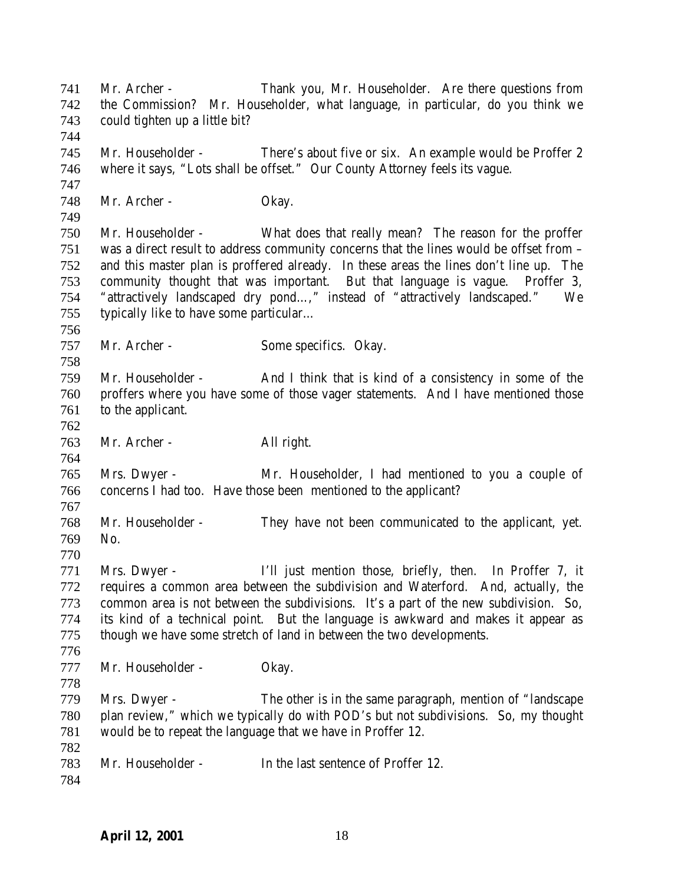Mr. Archer - Thank you, Mr. Householder. Are there questions from the Commission? Mr. Householder, what language, in particular, do you think we could tighten up a little bit? Mr. Householder - There's about five or six. An example would be Proffer 2 where it says, "Lots shall be offset." Our County Attorney feels its vague. Mr. Archer - Okay. Mr. Householder - What does that really mean? The reason for the proffer was a direct result to address community concerns that the lines would be offset from – and this master plan is proffered already. In these areas the lines don't line up. The community thought that was important. But that language is vague. Proffer 3, "attractively landscaped dry pond…," instead of "attractively landscaped." We typically like to have some particular… Mr. Archer - Some specifics. Okay. Mr. Householder - And I think that is kind of a consistency in some of the proffers where you have some of those vager statements. And I have mentioned those to the applicant. Mr. Archer - All right. Mrs. Dwyer - Mr. Householder, I had mentioned to you a couple of concerns I had too. Have those been mentioned to the applicant? Mr. Householder - They have not been communicated to the applicant, yet. No. Mrs. Dwyer - I'll just mention those, briefly, then. In Proffer 7, it requires a common area between the subdivision and Waterford. And, actually, the common area is not between the subdivisions. It's a part of the new subdivision. So, its kind of a technical point. But the language is awkward and makes it appear as though we have some stretch of land in between the two developments. Mr. Householder - Okay. Mrs. Dwyer - The other is in the same paragraph, mention of "landscape plan review," which we typically do with POD's but not subdivisions. So, my thought would be to repeat the language that we have in Proffer 12. Mr. Householder - In the last sentence of Proffer 12.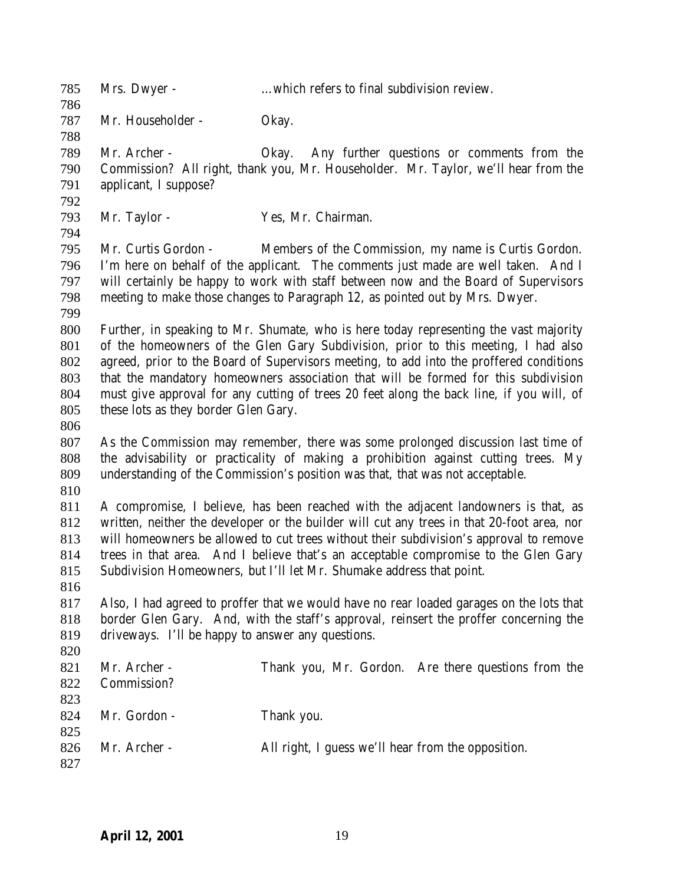| 785<br>786 | Mrs. Dwyer -                                                                               | which refers to final subdivision review.                                                |  |
|------------|--------------------------------------------------------------------------------------------|------------------------------------------------------------------------------------------|--|
| 787        | Mr. Householder -                                                                          | Okay.                                                                                    |  |
| 788        |                                                                                            |                                                                                          |  |
| 789        | Mr. Archer -                                                                               | Any further questions or comments from the<br>Okay.                                      |  |
| 790        |                                                                                            | Commission? All right, thank you, Mr. Householder. Mr. Taylor, we'll hear from the       |  |
| 791        | applicant, I suppose?                                                                      |                                                                                          |  |
| 792        |                                                                                            |                                                                                          |  |
| 793        | Mr. Taylor -                                                                               | Yes, Mr. Chairman.                                                                       |  |
| 794        |                                                                                            |                                                                                          |  |
| 795        | Mr. Curtis Gordon -                                                                        | Members of the Commission, my name is Curtis Gordon.                                     |  |
| 796        |                                                                                            | I'm here on behalf of the applicant. The comments just made are well taken. And I        |  |
| 797        | will certainly be happy to work with staff between now and the Board of Supervisors        |                                                                                          |  |
| 798        | meeting to make those changes to Paragraph 12, as pointed out by Mrs. Dwyer.               |                                                                                          |  |
| 799        |                                                                                            |                                                                                          |  |
| 800        |                                                                                            | Further, in speaking to Mr. Shumate, who is here today representing the vast majority    |  |
| 801        |                                                                                            | of the homeowners of the Glen Gary Subdivision, prior to this meeting, I had also        |  |
| 802        | agreed, prior to the Board of Supervisors meeting, to add into the proffered conditions    |                                                                                          |  |
| 803        |                                                                                            | that the mandatory homeowners association that will be formed for this subdivision       |  |
| 804        | must give approval for any cutting of trees 20 feet along the back line, if you will, of   |                                                                                          |  |
| 805        | these lots as they border Glen Gary.                                                       |                                                                                          |  |
| 806        |                                                                                            |                                                                                          |  |
| 807        |                                                                                            | As the Commission may remember, there was some prolonged discussion last time of         |  |
| 808        | the advisability or practicality of making a prohibition against cutting trees. My         |                                                                                          |  |
| 809        |                                                                                            | understanding of the Commission's position was that, that was not acceptable.            |  |
| 810        |                                                                                            |                                                                                          |  |
| 811        | A compromise, I believe, has been reached with the adjacent landowners is that, as         |                                                                                          |  |
| 812        | written, neither the developer or the builder will cut any trees in that 20-foot area, nor |                                                                                          |  |
| 813        | will homeowners be allowed to cut trees without their subdivision's approval to remove     |                                                                                          |  |
| 814        | trees in that area. And I believe that's an acceptable compromise to the Glen Gary         |                                                                                          |  |
| 815        |                                                                                            | Subdivision Homeowners, but I'll let Mr. Shumake address that point.                     |  |
| 816        |                                                                                            |                                                                                          |  |
| 817        |                                                                                            | Also, I had agreed to proffer that we would have no rear loaded garages on the lots that |  |
| 818        | border Glen Gary. And, with the staff's approval, reinsert the proffer concerning the      |                                                                                          |  |
| 819        | driveways. I'll be happy to answer any questions.                                          |                                                                                          |  |
| 820        |                                                                                            |                                                                                          |  |
| 821        | Mr. Archer -                                                                               | Thank you, Mr. Gordon. Are there questions from the                                      |  |
| 822        | Commission?                                                                                |                                                                                          |  |
| 823        |                                                                                            |                                                                                          |  |
| 824        | Mr. Gordon -                                                                               | Thank you.                                                                               |  |
| 825        |                                                                                            |                                                                                          |  |
| 826        | Mr. Archer -                                                                               | All right, I guess we'll hear from the opposition.                                       |  |
| 827        |                                                                                            |                                                                                          |  |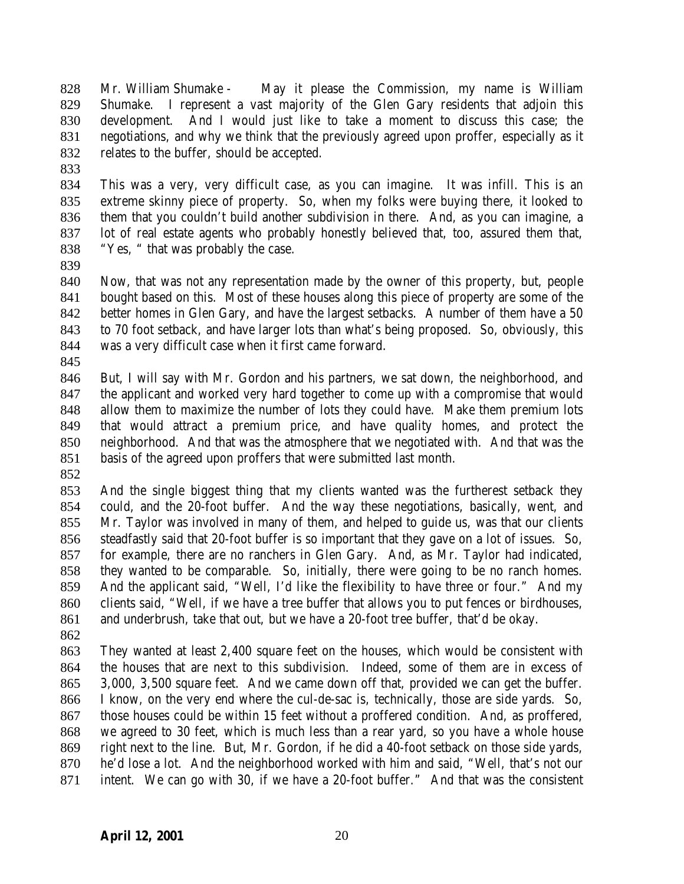Mr. William Shumake - May it please the Commission, my name is William Shumake. I represent a vast majority of the Glen Gary residents that adjoin this development. And I would just like to take a moment to discuss this case; the negotiations, and why we think that the previously agreed upon proffer, especially as it relates to the buffer, should be accepted.

 This was a very, very difficult case, as you can imagine. It was infill. This is an extreme skinny piece of property. So, when my folks were buying there, it looked to them that you couldn't build another subdivision in there. And, as you can imagine, a lot of real estate agents who probably honestly believed that, too, assured them that, "Yes, " that was probably the case.

 Now, that was not any representation made by the owner of this property, but, people bought based on this. Most of these houses along this piece of property are some of the better homes in Glen Gary, and have the largest setbacks. A number of them have a 50 to 70 foot setback, and have larger lots than what's being proposed. So, obviously, this was a very difficult case when it first came forward.

 But, I will say with Mr. Gordon and his partners, we sat down, the neighborhood, and the applicant and worked very hard together to come up with a compromise that would allow them to maximize the number of lots they could have. Make them premium lots that would attract a premium price, and have quality homes, and protect the neighborhood. And that was the atmosphere that we negotiated with. And that was the basis of the agreed upon proffers that were submitted last month.

 And the single biggest thing that my clients wanted was the furtherest setback they could, and the 20-foot buffer. And the way these negotiations, basically, went, and Mr. Taylor was involved in many of them, and helped to guide us, was that our clients steadfastly said that 20-foot buffer is so important that they gave on a lot of issues. So, for example, there are no ranchers in Glen Gary. And, as Mr. Taylor had indicated, they wanted to be comparable. So, initially, there were going to be no ranch homes. And the applicant said, "Well, I'd like the flexibility to have three or four." And my clients said, "Well, if we have a tree buffer that allows you to put fences or birdhouses, and underbrush, take that out, but we have a 20-foot tree buffer, that'd be okay.

 They wanted at least 2,400 square feet on the houses, which would be consistent with the houses that are next to this subdivision. Indeed, some of them are in excess of 3,000, 3,500 square feet. And we came down off that, provided we can get the buffer. I know, on the very end where the cul-de-sac is, technically, those are side yards. So, those houses could be within 15 feet without a proffered condition. And, as proffered, we agreed to 30 feet, which is much less than a rear yard, so you have a whole house right next to the line. But, Mr. Gordon, if he did a 40-foot setback on those side yards, he'd lose a lot. And the neighborhood worked with him and said, "Well, that's not our intent. We can go with 30, if we have a 20-foot buffer." And that was the consistent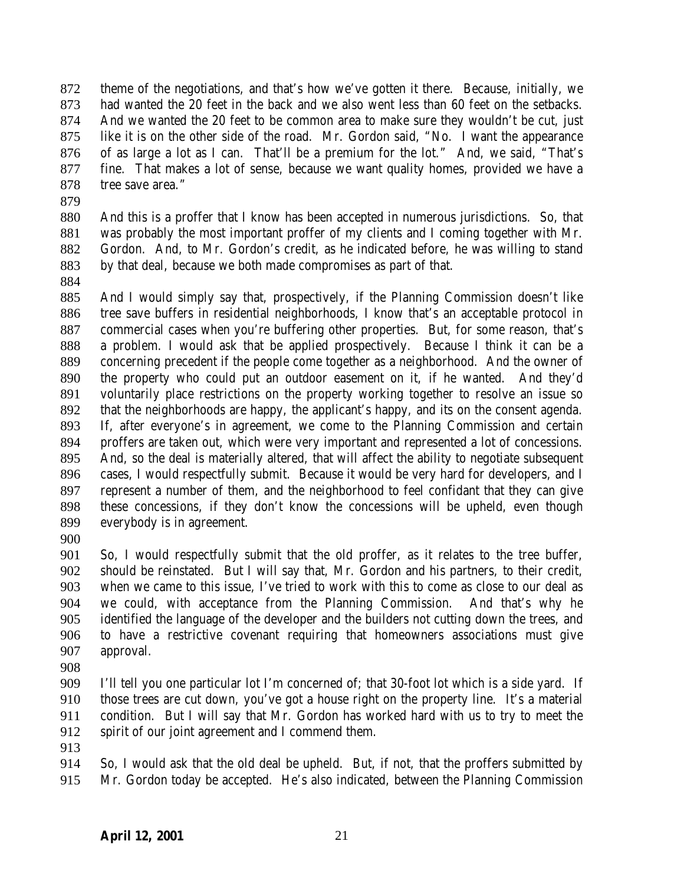theme of the negotiations, and that's how we've gotten it there. Because, initially, we had wanted the 20 feet in the back and we also went less than 60 feet on the setbacks. And we wanted the 20 feet to be common area to make sure they wouldn't be cut, just like it is on the other side of the road. Mr. Gordon said, "No. I want the appearance of as large a lot as I can. That'll be a premium for the lot." And, we said, "That's fine. That makes a lot of sense, because we want quality homes, provided we have a tree save area."

 And this is a proffer that I know has been accepted in numerous jurisdictions. So, that was probably the most important proffer of my clients and I coming together with Mr. Gordon. And, to Mr. Gordon's credit, as he indicated before, he was willing to stand by that deal, because we both made compromises as part of that.

 And I would simply say that, prospectively, if the Planning Commission doesn't like tree save buffers in residential neighborhoods, I know that's an acceptable protocol in commercial cases when you're buffering other properties. But, for some reason, that's a problem. I would ask that be applied prospectively. Because I think it can be a concerning precedent if the people come together as a neighborhood. And the owner of the property who could put an outdoor easement on it, if he wanted. And they'd voluntarily place restrictions on the property working together to resolve an issue so that the neighborhoods are happy, the applicant's happy, and its on the consent agenda. If, after everyone's in agreement, we come to the Planning Commission and certain proffers are taken out, which were very important and represented a lot of concessions. And, so the deal is materially altered, that will affect the ability to negotiate subsequent cases, I would respectfully submit. Because it would be very hard for developers, and I represent a number of them, and the neighborhood to feel confidant that they can give these concessions, if they don't know the concessions will be upheld, even though everybody is in agreement.

 So, I would respectfully submit that the old proffer, as it relates to the tree buffer, should be reinstated. But I will say that, Mr. Gordon and his partners, to their credit, when we came to this issue, I've tried to work with this to come as close to our deal as we could, with acceptance from the Planning Commission. And that's why he identified the language of the developer and the builders not cutting down the trees, and to have a restrictive covenant requiring that homeowners associations must give approval.

 I'll tell you one particular lot I'm concerned of; that 30-foot lot which is a side yard. If those trees are cut down, you've got a house right on the property line. It's a material condition. But I will say that Mr. Gordon has worked hard with us to try to meet the spirit of our joint agreement and I commend them.

 So, I would ask that the old deal be upheld. But, if not, that the proffers submitted by Mr. Gordon today be accepted. He's also indicated, between the Planning Commission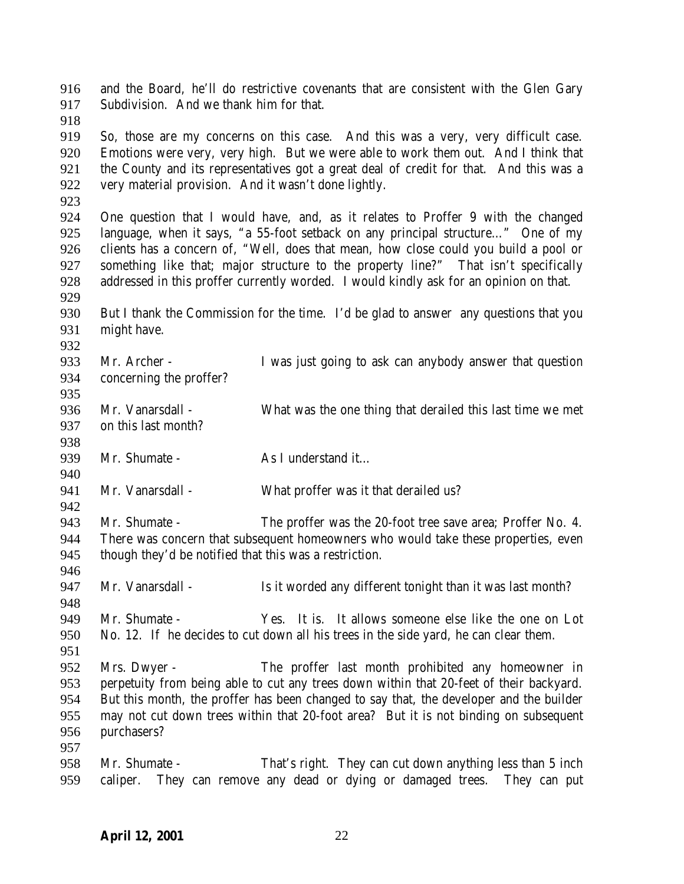and the Board, he'll do restrictive covenants that are consistent with the Glen Gary Subdivision. And we thank him for that. So, those are my concerns on this case. And this was a very, very difficult case. Emotions were very, very high. But we were able to work them out. And I think that

the County and its representatives got a great deal of credit for that. And this was a

- One question that I would have, and, as it relates to Proffer 9 with the changed language, when it says, "a 55-foot setback on any principal structure…" One of my clients has a concern of, "Well, does that mean, how close could you build a pool or something like that; major structure to the property line?" That isn't specifically addressed in this proffer currently worded. I would kindly ask for an opinion on that.
- 

- But I thank the Commission for the time. I'd be glad to answer any questions that you might have.
- Mr. Archer I was just going to ask can anybody answer that question concerning the proffer?
- Mr. Vanarsdall What was the one thing that derailed this last time we met on this last month?
- 939 Mr. Shumate As I understand it…

very material provision. And it wasn't done lightly.

- 941 Mr. Vanarsdall What proffer was it that derailed us?
- Mr. Shumate - The proffer was the 20-foot tree save area; Proffer No. 4. There was concern that subsequent homeowners who would take these properties, even though they'd be notified that this was a restriction.
- 947 Mr. Vanarsdall Is it worded any different tonight than it was last month?
- Mr. Shumate Yes. It is. It allows someone else like the one on Lot No. 12. If he decides to cut down all his trees in the side yard, he can clear them.
- Mrs. Dwyer The proffer last month prohibited any homeowner in perpetuity from being able to cut any trees down within that 20-feet of their backyard. But this month, the proffer has been changed to say that, the developer and the builder may not cut down trees within that 20-foot area? But it is not binding on subsequent purchasers?
- Mr. Shumate That's right. They can cut down anything less than 5 inch caliper. They can remove any dead or dying or damaged trees. They can put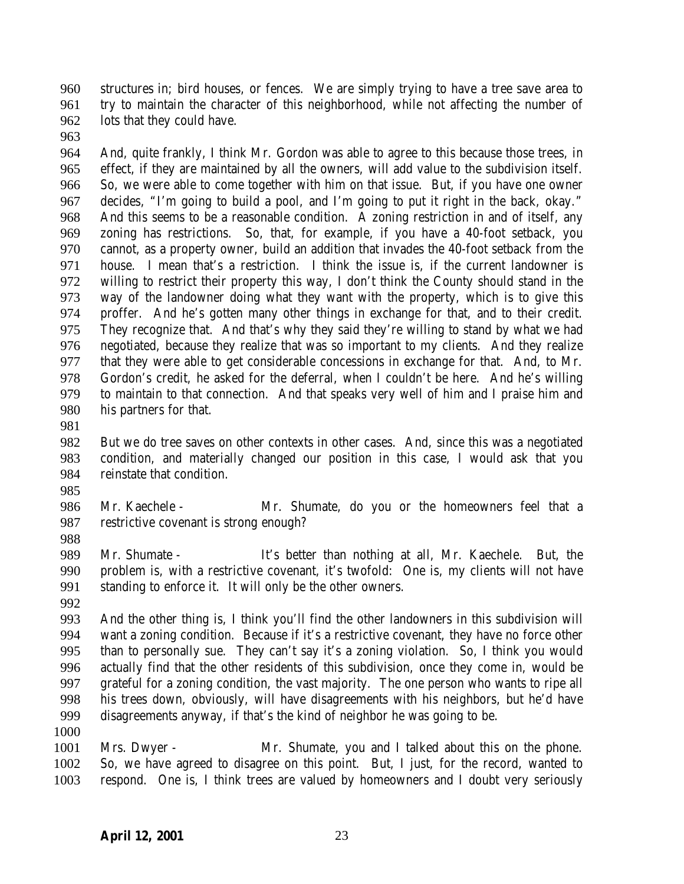structures in; bird houses, or fences. We are simply trying to have a tree save area to try to maintain the character of this neighborhood, while not affecting the number of lots that they could have.

 And, quite frankly, I think Mr. Gordon was able to agree to this because those trees, in effect, if they are maintained by all the owners, will add value to the subdivision itself. So, we were able to come together with him on that issue. But, if you have one owner decides, "I'm going to build a pool, and I'm going to put it right in the back, okay." And this seems to be a reasonable condition. A zoning restriction in and of itself, any zoning has restrictions. So, that, for example, if you have a 40-foot setback, you cannot, as a property owner, build an addition that invades the 40-foot setback from the house. I mean that's a restriction. I think the issue is, if the current landowner is willing to restrict their property this way, I don't think the County should stand in the way of the landowner doing what they want with the property, which is to give this proffer. And he's gotten many other things in exchange for that, and to their credit. They recognize that. And that's why they said they're willing to stand by what we had negotiated, because they realize that was so important to my clients. And they realize that they were able to get considerable concessions in exchange for that. And, to Mr. Gordon's credit, he asked for the deferral, when I couldn't be here. And he's willing to maintain to that connection. And that speaks very well of him and I praise him and his partners for that.

 But we do tree saves on other contexts in other cases. And, since this was a negotiated condition, and materially changed our position in this case, I would ask that you reinstate that condition.

986 Mr. Kaechele - Mr. Shumate, do you or the homeowners feel that a restrictive covenant is strong enough?

 Mr. Shumate - It's better than nothing at all, Mr. Kaechele. But, the problem is, with a restrictive covenant, it's twofold: One is, my clients will not have standing to enforce it. It will only be the other owners.

 And the other thing is, I think you'll find the other landowners in this subdivision will want a zoning condition. Because if it's a restrictive covenant, they have no force other than to personally sue. They can't say it's a zoning violation. So, I think you would actually find that the other residents of this subdivision, once they come in, would be grateful for a zoning condition, the vast majority. The one person who wants to ripe all his trees down, obviously, will have disagreements with his neighbors, but he'd have disagreements anyway, if that's the kind of neighbor he was going to be.

1001 Mrs. Dwyer - Mr. Shumate, you and I talked about this on the phone. So, we have agreed to disagree on this point. But, I just, for the record, wanted to respond. One is, I think trees are valued by homeowners and I doubt very seriously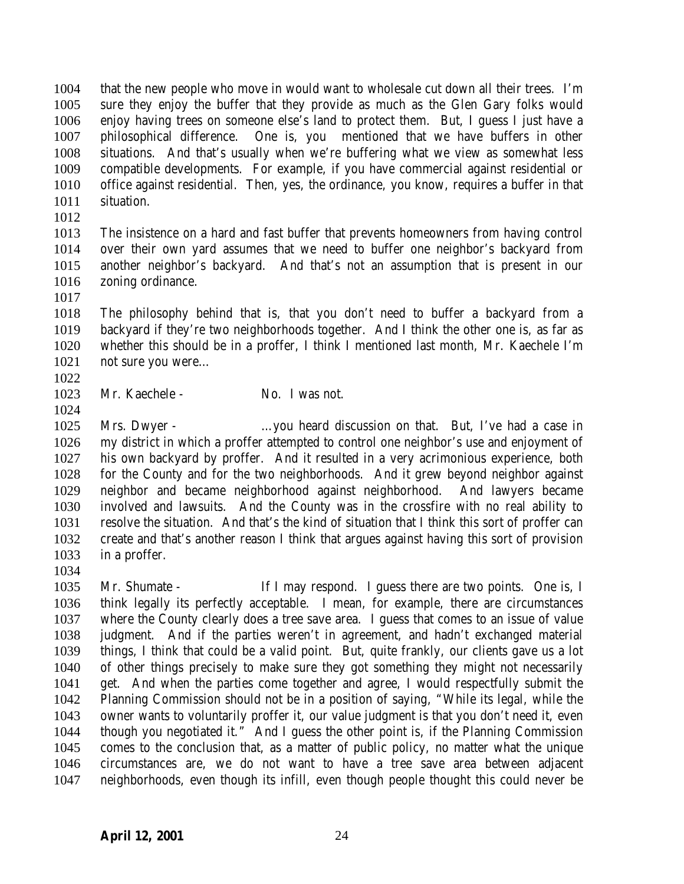that the new people who move in would want to wholesale cut down all their trees. I'm sure they enjoy the buffer that they provide as much as the Glen Gary folks would enjoy having trees on someone else's land to protect them. But, I guess I just have a philosophical difference. One is, you mentioned that we have buffers in other situations. And that's usually when we're buffering what we view as somewhat less compatible developments. For example, if you have commercial against residential or office against residential. Then, yes, the ordinance, you know, requires a buffer in that situation.

 The insistence on a hard and fast buffer that prevents homeowners from having control over their own yard assumes that we need to buffer one neighbor's backyard from another neighbor's backyard. And that's not an assumption that is present in our zoning ordinance.

 The philosophy behind that is, that you don't need to buffer a backyard from a backyard if they're two neighborhoods together. And I think the other one is, as far as whether this should be in a proffer, I think I mentioned last month, Mr. Kaechele I'm 1021 not sure you were...

- 
- 1023 Mr. Kaechele No. I was not.

 Mrs. Dwyer - …you heard discussion on that. But, I've had a case in my district in which a proffer attempted to control one neighbor's use and enjoyment of his own backyard by proffer. And it resulted in a very acrimonious experience, both for the County and for the two neighborhoods. And it grew beyond neighbor against neighbor and became neighborhood against neighborhood. And lawyers became involved and lawsuits. And the County was in the crossfire with no real ability to resolve the situation. And that's the kind of situation that I think this sort of proffer can create and that's another reason I think that argues against having this sort of provision in a proffer.

 Mr. Shumate - If I may respond. I guess there are two points. One is, I think legally its perfectly acceptable. I mean, for example, there are circumstances where the County clearly does a tree save area. I guess that comes to an issue of value judgment. And if the parties weren't in agreement, and hadn't exchanged material things, I think that could be a valid point. But, quite frankly, our clients gave us a lot of other things precisely to make sure they got something they might not necessarily get. And when the parties come together and agree, I would respectfully submit the Planning Commission should not be in a position of saying, "While its legal, while the owner wants to voluntarily proffer it, our value judgment is that you don't need it, even though you negotiated it." And I guess the other point is, if the Planning Commission comes to the conclusion that, as a matter of public policy, no matter what the unique circumstances are, we do not want to have a tree save area between adjacent neighborhoods, even though its infill, even though people thought this could never be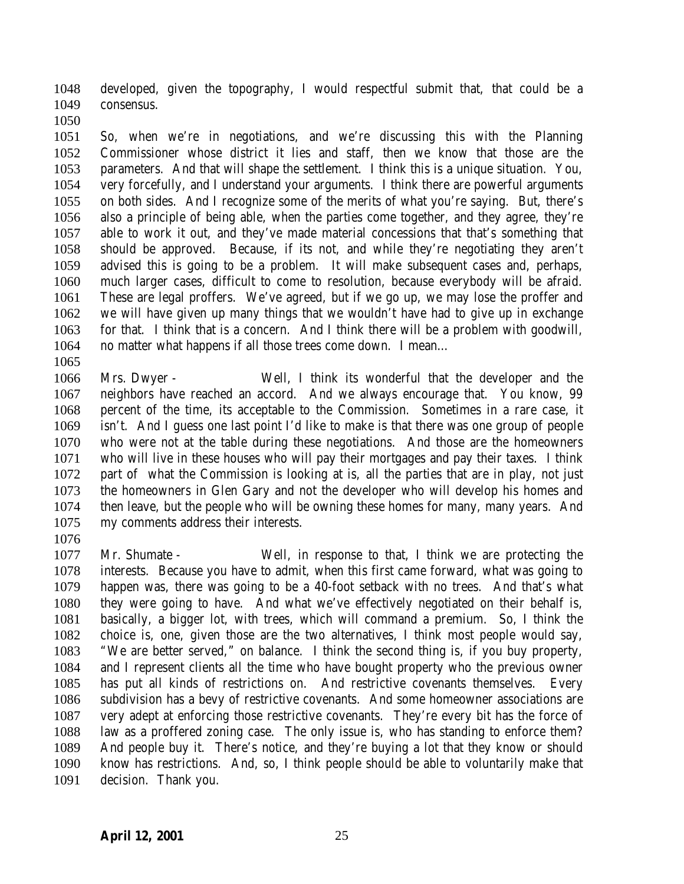developed, given the topography, I would respectful submit that, that could be a consensus.

 So, when we're in negotiations, and we're discussing this with the Planning Commissioner whose district it lies and staff, then we know that those are the parameters. And that will shape the settlement. I think this is a unique situation. You, very forcefully, and I understand your arguments. I think there are powerful arguments on both sides. And I recognize some of the merits of what you're saying. But, there's also a principle of being able, when the parties come together, and they agree, they're able to work it out, and they've made material concessions that that's something that should be approved. Because, if its not, and while they're negotiating they aren't advised this is going to be a problem. It will make subsequent cases and, perhaps, much larger cases, difficult to come to resolution, because everybody will be afraid. These are legal proffers. We've agreed, but if we go up, we may lose the proffer and we will have given up many things that we wouldn't have had to give up in exchange for that. I think that is a concern. And I think there will be a problem with goodwill, no matter what happens if all those trees come down. I mean…

 Mrs. Dwyer - Well, I think its wonderful that the developer and the neighbors have reached an accord. And we always encourage that. You know, 99 percent of the time, its acceptable to the Commission. Sometimes in a rare case, it isn't. And I guess one last point I'd like to make is that there was one group of people who were not at the table during these negotiations. And those are the homeowners who will live in these houses who will pay their mortgages and pay their taxes. I think part of what the Commission is looking at is, all the parties that are in play, not just the homeowners in Glen Gary and not the developer who will develop his homes and then leave, but the people who will be owning these homes for many, many years. And my comments address their interests.

 Mr. Shumate - Well, in response to that, I think we are protecting the interests. Because you have to admit, when this first came forward, what was going to happen was, there was going to be a 40-foot setback with no trees. And that's what they were going to have. And what we've effectively negotiated on their behalf is, basically, a bigger lot, with trees, which will command a premium. So, I think the choice is, one, given those are the two alternatives, I think most people would say, "We are better served," on balance. I think the second thing is, if you buy property, and I represent clients all the time who have bought property who the previous owner has put all kinds of restrictions on. And restrictive covenants themselves. Every subdivision has a bevy of restrictive covenants. And some homeowner associations are very adept at enforcing those restrictive covenants. They're every bit has the force of law as a proffered zoning case. The only issue is, who has standing to enforce them? And people buy it. There's notice, and they're buying a lot that they know or should know has restrictions. And, so, I think people should be able to voluntarily make that decision. Thank you.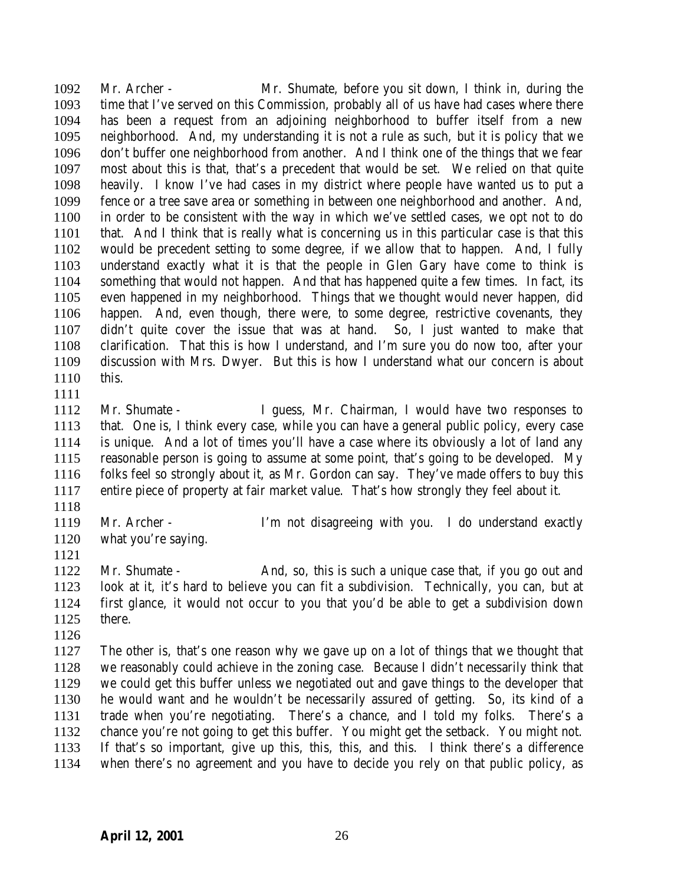Mr. Archer - Mr. Shumate, before you sit down, I think in, during the time that I've served on this Commission, probably all of us have had cases where there has been a request from an adjoining neighborhood to buffer itself from a new neighborhood. And, my understanding it is not a rule as such, but it is policy that we don't buffer one neighborhood from another. And I think one of the things that we fear most about this is that, that's a precedent that would be set. We relied on that quite heavily. I know I've had cases in my district where people have wanted us to put a fence or a tree save area or something in between one neighborhood and another. And, in order to be consistent with the way in which we've settled cases, we opt not to do that. And I think that is really what is concerning us in this particular case is that this would be precedent setting to some degree, if we allow that to happen. And, I fully understand exactly what it is that the people in Glen Gary have come to think is something that would not happen. And that has happened quite a few times. In fact, its even happened in my neighborhood. Things that we thought would never happen, did happen. And, even though, there were, to some degree, restrictive covenants, they didn't quite cover the issue that was at hand. So, I just wanted to make that clarification. That this is how I understand, and I'm sure you do now too, after your discussion with Mrs. Dwyer. But this is how I understand what our concern is about this.

 Mr. Shumate - I guess, Mr. Chairman, I would have two responses to that. One is, I think every case, while you can have a general public policy, every case is unique. And a lot of times you'll have a case where its obviously a lot of land any reasonable person is going to assume at some point, that's going to be developed. My folks feel so strongly about it, as Mr. Gordon can say. They've made offers to buy this entire piece of property at fair market value. That's how strongly they feel about it.

- 
- Mr. Archer I'm not disagreeing with you. I do understand exactly
- what you're saying.

1122 Mr. Shumate - And, so, this is such a unique case that, if you go out and look at it, it's hard to believe you can fit a subdivision. Technically, you can, but at first glance, it would not occur to you that you'd be able to get a subdivision down there.

 The other is, that's one reason why we gave up on a lot of things that we thought that we reasonably could achieve in the zoning case. Because I didn't necessarily think that we could get this buffer unless we negotiated out and gave things to the developer that he would want and he wouldn't be necessarily assured of getting. So, its kind of a trade when you're negotiating. There's a chance, and I told my folks. There's a chance you're not going to get this buffer. You might get the setback. You might not. If that's so important, give up this, this, this, and this. I think there's a difference when there's no agreement and you have to decide you rely on that public policy, as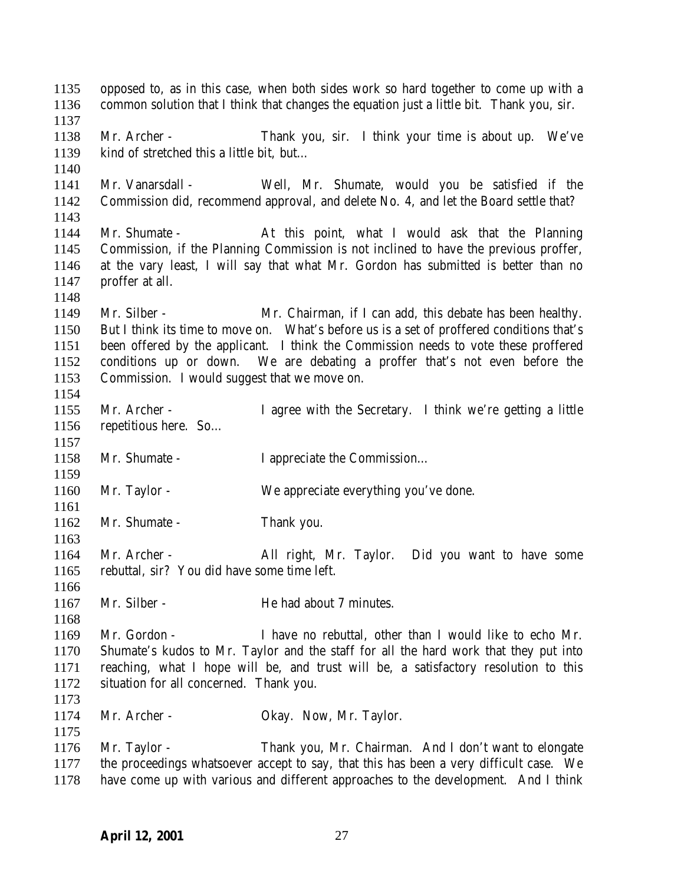opposed to, as in this case, when both sides work so hard together to come up with a common solution that I think that changes the equation just a little bit. Thank you, sir. Mr. Archer - Thank you, sir. I think your time is about up. We've kind of stretched this a little bit, but… Mr. Vanarsdall - Well, Mr. Shumate, would you be satisfied if the Commission did, recommend approval, and delete No. 4, and let the Board settle that? Mr. Shumate - At this point, what I would ask that the Planning Commission, if the Planning Commission is not inclined to have the previous proffer, at the vary least, I will say that what Mr. Gordon has submitted is better than no proffer at all. Mr. Silber - Mr. Chairman, if I can add, this debate has been healthy. But I think its time to move on. What's before us is a set of proffered conditions that's been offered by the applicant. I think the Commission needs to vote these proffered conditions up or down. We are debating a proffer that's not even before the Commission. I would suggest that we move on. Mr. Archer - I agree with the Secretary. I think we're getting a little repetitious here. So… 1158 Mr. Shumate - I appreciate the Commission... Mr. Taylor - We appreciate everything you've done. 1162 Mr. Shumate - Thank you. Mr. Archer - All right, Mr. Taylor. Did you want to have some rebuttal, sir? You did have some time left. 1167 Mr. Silber - He had about 7 minutes. Mr. Gordon - I have no rebuttal, other than I would like to echo Mr. Shumate's kudos to Mr. Taylor and the staff for all the hard work that they put into reaching, what I hope will be, and trust will be, a satisfactory resolution to this situation for all concerned. Thank you. 1174 Mr. Archer - Okay. Now, Mr. Taylor. Mr. Taylor - Thank you, Mr. Chairman. And I don't want to elongate the proceedings whatsoever accept to say, that this has been a very difficult case. We have come up with various and different approaches to the development. And I think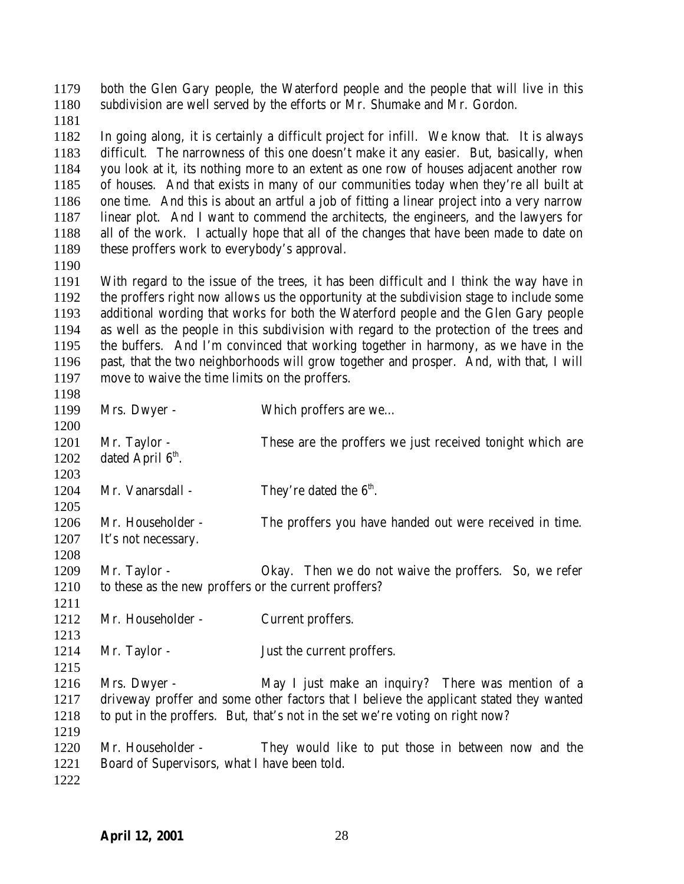both the Glen Gary people, the Waterford people and the people that will live in this subdivision are well served by the efforts or Mr. Shumake and Mr. Gordon.

 In going along, it is certainly a difficult project for infill. We know that. It is always difficult. The narrowness of this one doesn't make it any easier. But, basically, when you look at it, its nothing more to an extent as one row of houses adjacent another row of houses. And that exists in many of our communities today when they're all built at one time. And this is about an artful a job of fitting a linear project into a very narrow linear plot. And I want to commend the architects, the engineers, and the lawyers for all of the work. I actually hope that all of the changes that have been made to date on 1189 these proffers work to everybody's approval.

 With regard to the issue of the trees, it has been difficult and I think the way have in the proffers right now allows us the opportunity at the subdivision stage to include some additional wording that works for both the Waterford people and the Glen Gary people as well as the people in this subdivision with regard to the protection of the trees and the buffers. And I'm convinced that working together in harmony, as we have in the past, that the two neighborhoods will grow together and prosper. And, with that, I will move to waive the time limits on the proffers.

| 1198 |                                                       |                                                                                         |
|------|-------------------------------------------------------|-----------------------------------------------------------------------------------------|
| 1199 | Mrs. Dwyer -                                          | Which proffers are we                                                                   |
| 1200 |                                                       |                                                                                         |
| 1201 | Mr. Taylor -                                          | These are the proffers we just received tonight which are                               |
| 1202 | dated April 6 <sup>th</sup> .                         |                                                                                         |
| 1203 |                                                       |                                                                                         |
| 1204 | Mr. Vanarsdall -                                      | They're dated the $6th$ .                                                               |
| 1205 |                                                       |                                                                                         |
| 1206 | Mr. Householder -                                     | The proffers you have handed out were received in time.                                 |
| 1207 | It's not necessary.                                   |                                                                                         |
| 1208 |                                                       |                                                                                         |
| 1209 | Mr. Taylor -                                          | Okay. Then we do not waive the proffers. So, we refer                                   |
| 1210 | to these as the new proffers or the current proffers? |                                                                                         |
| 1211 |                                                       |                                                                                         |
| 1212 | Mr. Householder -                                     | Current proffers.                                                                       |
| 1213 |                                                       |                                                                                         |
| 1214 | Mr. Taylor -                                          | Just the current proffers.                                                              |
| 1215 |                                                       |                                                                                         |
| 1216 | Mrs. Dwyer -                                          | May I just make an inquiry? There was mention of a                                      |
| 1217 |                                                       | driveway proffer and some other factors that I believe the applicant stated they wanted |
| 1218 |                                                       | to put in the proffers. But, that's not in the set we're voting on right now?           |
| 1219 |                                                       |                                                                                         |
| 1220 | Mr. Householder -                                     | They would like to put those in between now and the                                     |
| 1221 | Board of Supervisors, what I have been told.          |                                                                                         |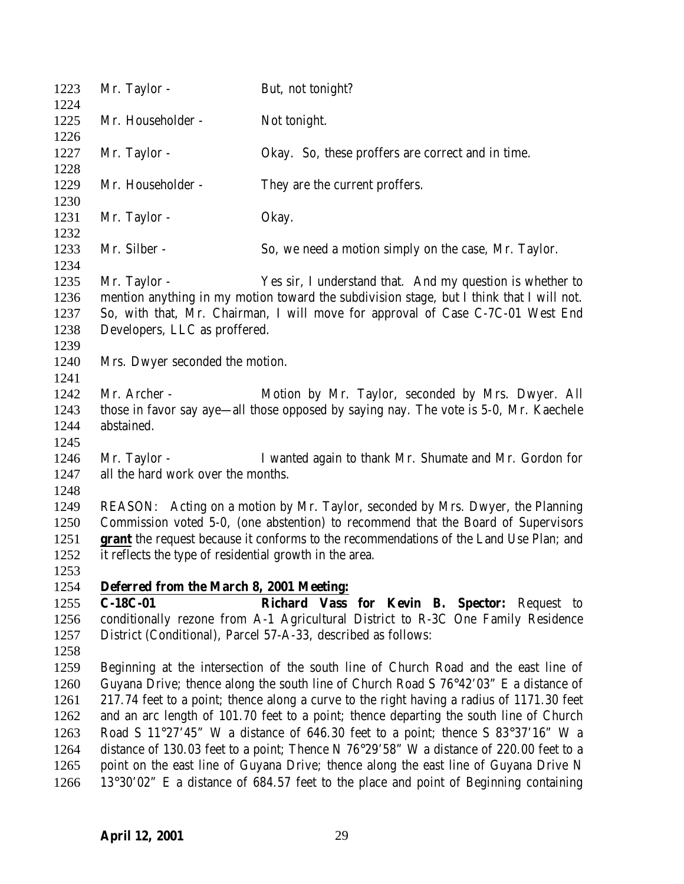| 1223         | Mr. Taylor -                                                                                                                                                        | But, not tonight?                                                                                 |
|--------------|---------------------------------------------------------------------------------------------------------------------------------------------------------------------|---------------------------------------------------------------------------------------------------|
| 1224         |                                                                                                                                                                     |                                                                                                   |
| 1225         | Mr. Householder -                                                                                                                                                   | Not tonight.                                                                                      |
| 1226         |                                                                                                                                                                     |                                                                                                   |
| 1227         | Mr. Taylor -                                                                                                                                                        | Okay. So, these proffers are correct and in time.                                                 |
| 1228         |                                                                                                                                                                     |                                                                                                   |
| 1229         | Mr. Householder -                                                                                                                                                   | They are the current proffers.                                                                    |
| 1230         |                                                                                                                                                                     |                                                                                                   |
| 1231         | Mr. Taylor -                                                                                                                                                        | Okay.                                                                                             |
| 1232         |                                                                                                                                                                     |                                                                                                   |
| 1233         | Mr. Silber -                                                                                                                                                        | So, we need a motion simply on the case, Mr. Taylor.                                              |
| 1234         |                                                                                                                                                                     |                                                                                                   |
| 1235         | Mr. Taylor -                                                                                                                                                        | Yes sir, I understand that. And my question is whether to                                         |
| 1236         |                                                                                                                                                                     | mention anything in my motion toward the subdivision stage, but I think that I will not.          |
| 1237         |                                                                                                                                                                     | So, with that, Mr. Chairman, I will move for approval of Case C-7C-01 West End                    |
| 1238         | Developers, LLC as proffered.                                                                                                                                       |                                                                                                   |
| 1239         |                                                                                                                                                                     |                                                                                                   |
| 1240         | Mrs. Dwyer seconded the motion.                                                                                                                                     |                                                                                                   |
| 1241         | Mr. Archer -                                                                                                                                                        |                                                                                                   |
| 1242         |                                                                                                                                                                     | Motion by Mr. Taylor, seconded by Mrs. Dwyer. All                                                 |
| 1243<br>1244 | abstained.                                                                                                                                                          | those in favor say aye—all those opposed by saying nay. The vote is 5-0, Mr. Kaechele             |
|              |                                                                                                                                                                     |                                                                                                   |
| 1245<br>1246 | Mr. Taylor -                                                                                                                                                        |                                                                                                   |
| 1247         | all the hard work over the months.                                                                                                                                  | I wanted again to thank Mr. Shumate and Mr. Gordon for                                            |
| 1248         |                                                                                                                                                                     |                                                                                                   |
| 1249         |                                                                                                                                                                     |                                                                                                   |
| 1250         | REASON: Acting on a motion by Mr. Taylor, seconded by Mrs. Dwyer, the Planning<br>Commission voted 5-0, (one abstention) to recommend that the Board of Supervisors |                                                                                                   |
| 1251         | <b>grant</b> the request because it conforms to the recommendations of the Land Use Plan; and                                                                       |                                                                                                   |
| 1252         | it reflects the type of residential growth in the area.                                                                                                             |                                                                                                   |
| 1253         |                                                                                                                                                                     |                                                                                                   |
| 1254         | Deferred from the March 8, 2001 Meeting:                                                                                                                            |                                                                                                   |
| 1255         | $C-18C-01$                                                                                                                                                          | Richard Vass for Kevin B. Spector: Request to                                                     |
| 1256         |                                                                                                                                                                     | conditionally rezone from A-1 Agricultural District to R-3C One Family Residence                  |
| 1257         |                                                                                                                                                                     | District (Conditional), Parcel 57-A-33, described as follows:                                     |
| 1258         |                                                                                                                                                                     |                                                                                                   |
| 1259         |                                                                                                                                                                     | Beginning at the intersection of the south line of Church Road and the east line of               |
| 1260         |                                                                                                                                                                     | Guyana Drive; thence along the south line of Church Road S 76°42'03" E a distance of              |
| 1261         |                                                                                                                                                                     | 217.74 feet to a point; thence along a curve to the right having a radius of 1171.30 feet         |
| 1262         |                                                                                                                                                                     | and an arc length of 101.70 feet to a point; thence departing the south line of Church            |
| 1263         |                                                                                                                                                                     | Road S 11°27'45" W a distance of 646.30 feet to a point; thence S 83°37'16" W a                   |
| 1264         |                                                                                                                                                                     | distance of 130.03 feet to a point; Thence N $76^{\circ}29'58''$ W a distance of 220.00 feet to a |
| 1265         |                                                                                                                                                                     | point on the east line of Guyana Drive; thence along the east line of Guyana Drive N              |
| 1266         |                                                                                                                                                                     | 13°30'02" E a distance of 684.57 feet to the place and point of Beginning containing              |
|              |                                                                                                                                                                     |                                                                                                   |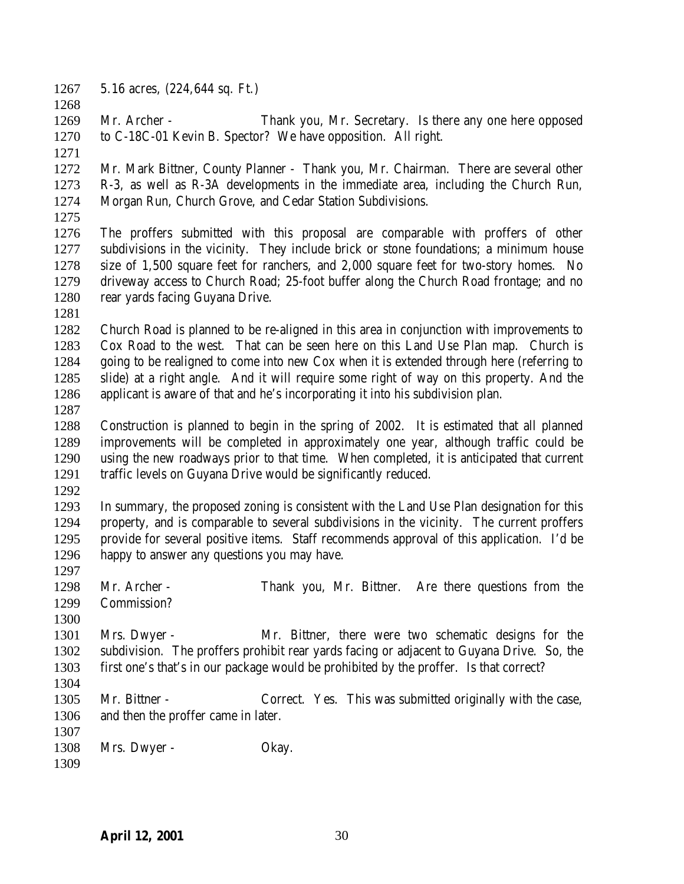- 5.16 acres, (224,644 sq. Ft.)
- 
- 
- Mr. Archer Thank you, Mr. Secretary. Is there any one here opposed to C-18C-01 Kevin B. Spector? We have opposition. All right.
- 
- Mr. Mark Bittner, County Planner Thank you, Mr. Chairman. There are several other R-3, as well as R-3A developments in the immediate area, including the Church Run, Morgan Run, Church Grove, and Cedar Station Subdivisions.
- 

 The proffers submitted with this proposal are comparable with proffers of other subdivisions in the vicinity. They include brick or stone foundations; a minimum house size of 1,500 square feet for ranchers, and 2,000 square feet for two-story homes. No driveway access to Church Road; 25-foot buffer along the Church Road frontage; and no rear yards facing Guyana Drive.

 Church Road is planned to be re-aligned in this area in conjunction with improvements to Cox Road to the west. That can be seen here on this Land Use Plan map. Church is going to be realigned to come into new Cox when it is extended through here (referring to slide) at a right angle. And it will require some right of way on this property. And the applicant is aware of that and he's incorporating it into his subdivision plan.

 Construction is planned to begin in the spring of 2002. It is estimated that all planned improvements will be completed in approximately one year, although traffic could be using the new roadways prior to that time. When completed, it is anticipated that current traffic levels on Guyana Drive would be significantly reduced.

 In summary, the proposed zoning is consistent with the Land Use Plan designation for this property, and is comparable to several subdivisions in the vicinity. The current proffers provide for several positive items. Staff recommends approval of this application. I'd be happy to answer any questions you may have.

- Mr. Archer Thank you, Mr. Bittner. Are there questions from the Commission?
- Mrs. Dwyer Mr. Bittner, there were two schematic designs for the subdivision. The proffers prohibit rear yards facing or adjacent to Guyana Drive. So, the first one's that's in our package would be prohibited by the proffer. Is that correct?
- Mr. Bittner Correct. Yes. This was submitted originally with the case, and then the proffer came in later.
- 1308 Mrs. Dwyer - Okay.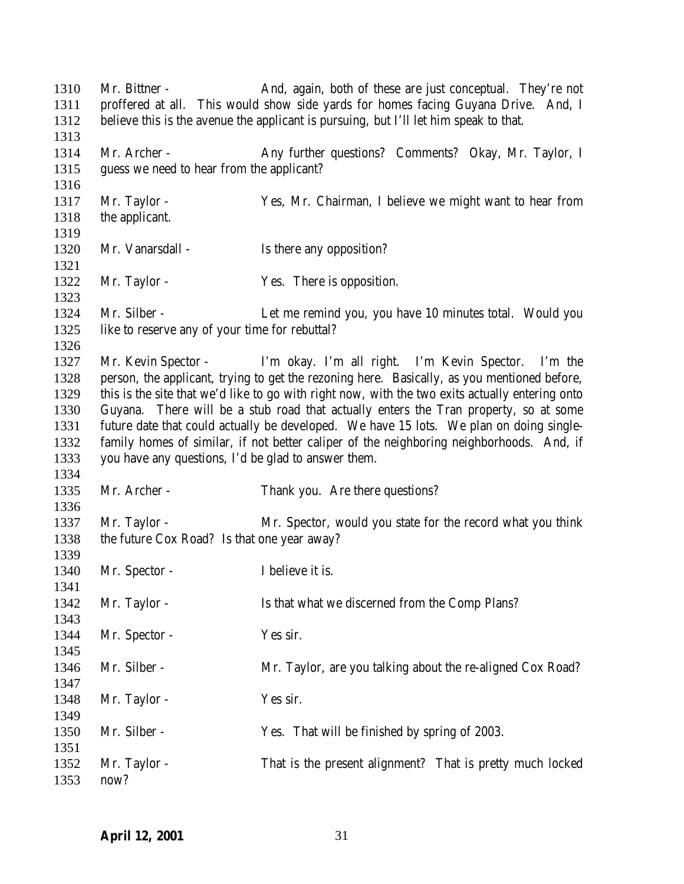Mr. Bittner - And, again, both of these are just conceptual. They're not proffered at all. This would show side yards for homes facing Guyana Drive. And, I believe this is the avenue the applicant is pursuing, but I'll let him speak to that. 1314 Mr. Archer - Any further questions? Comments? Okay, Mr. Taylor, I guess we need to hear from the applicant? Mr. Taylor - Yes, Mr. Chairman, I believe we might want to hear from the applicant. 1320 Mr. Vanarsdall - Is there any opposition? 1322 Mr. Taylor - Yes. There is opposition. Mr. Silber - Let me remind you, you have 10 minutes total. Would you like to reserve any of your time for rebuttal? Mr. Kevin Spector - I'm okay. I'm all right. I'm Kevin Spector. I'm the person, the applicant, trying to get the rezoning here. Basically, as you mentioned before, this is the site that we'd like to go with right now, with the two exits actually entering onto Guyana. There will be a stub road that actually enters the Tran property, so at some future date that could actually be developed. We have 15 lots. We plan on doing single- family homes of similar, if not better caliper of the neighboring neighborhoods. And, if you have any questions, I'd be glad to answer them. 1335 Mr. Archer - Thank you. Are there questions? Mr. Taylor - Mr. Spector, would you state for the record what you think the future Cox Road? Is that one year away? 1340 Mr. Spector - I believe it is. Mr. Taylor - Is that what we discerned from the Comp Plans? 1344 Mr. Spector - Yes sir. 1346 Mr. Silber - Mr. Taylor, are you talking about the re-aligned Cox Road? 1348 Mr. Taylor - Yes sir. Mr. Silber - Yes. That will be finished by spring of 2003. Mr. Taylor - That is the present alignment? That is pretty much locked now?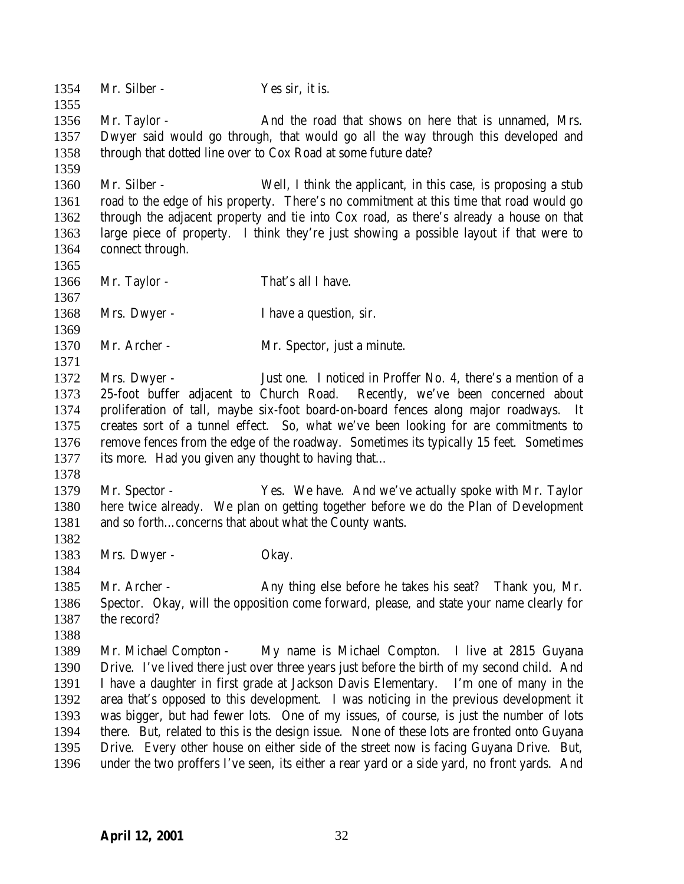1354 Mr. Silber - Yes sir, it is. Mr. Taylor - And the road that shows on here that is unnamed, Mrs. Dwyer said would go through, that would go all the way through this developed and through that dotted line over to Cox Road at some future date? Mr. Silber - Well, I think the applicant, in this case, is proposing a stub road to the edge of his property. There's no commitment at this time that road would go through the adjacent property and tie into Cox road, as there's already a house on that large piece of property. I think they're just showing a possible layout if that were to connect through. 1366 Mr. Taylor - That's all I have. 1368 Mrs. Dwyer - I have a question, sir. Mr. Archer - Mr. Spector, just a minute. Mrs. Dwyer - Just one. I noticed in Proffer No. 4, there's a mention of a 25-foot buffer adjacent to Church Road. Recently, we've been concerned about proliferation of tall, maybe six-foot board-on-board fences along major roadways. It creates sort of a tunnel effect. So, what we've been looking for are commitments to remove fences from the edge of the roadway. Sometimes its typically 15 feet. Sometimes its more. Had you given any thought to having that… Mr. Spector - Yes. We have. And we've actually spoke with Mr. Taylor here twice already. We plan on getting together before we do the Plan of Development 1381 and so forth...concerns that about what the County wants. 1383 Mrs. Dwyer - Okay. Mr. Archer - Any thing else before he takes his seat? Thank you, Mr. Spector. Okay, will the opposition come forward, please, and state your name clearly for the record? Mr. Michael Compton - My name is Michael Compton. I live at 2815 Guyana Drive. I've lived there just over three years just before the birth of my second child. And I have a daughter in first grade at Jackson Davis Elementary. I'm one of many in the area that's opposed to this development. I was noticing in the previous development it was bigger, but had fewer lots. One of my issues, of course, is just the number of lots there. But, related to this is the design issue. None of these lots are fronted onto Guyana Drive. Every other house on either side of the street now is facing Guyana Drive. But, under the two proffers I've seen, its either a rear yard or a side yard, no front yards. And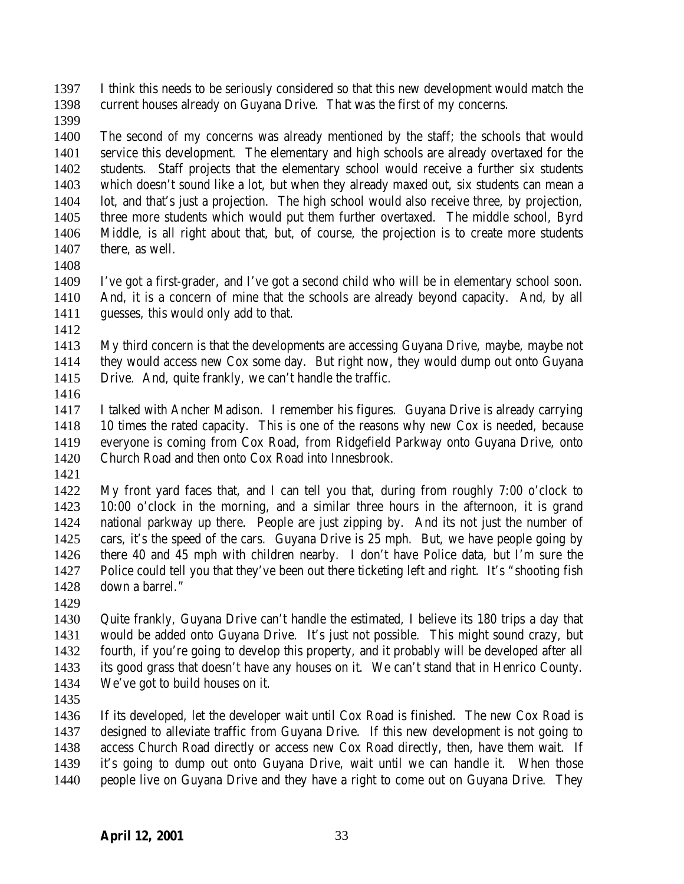I think this needs to be seriously considered so that this new development would match the current houses already on Guyana Drive. That was the first of my concerns.

 The second of my concerns was already mentioned by the staff; the schools that would service this development. The elementary and high schools are already overtaxed for the students. Staff projects that the elementary school would receive a further six students which doesn't sound like a lot, but when they already maxed out, six students can mean a lot, and that's just a projection. The high school would also receive three, by projection, three more students which would put them further overtaxed. The middle school, Byrd Middle, is all right about that, but, of course, the projection is to create more students there, as well.

 I've got a first-grader, and I've got a second child who will be in elementary school soon. And, it is a concern of mine that the schools are already beyond capacity. And, by all guesses, this would only add to that.

 My third concern is that the developments are accessing Guyana Drive, maybe, maybe not they would access new Cox some day. But right now, they would dump out onto Guyana Drive. And, quite frankly, we can't handle the traffic.

 I talked with Ancher Madison. I remember his figures. Guyana Drive is already carrying 10 times the rated capacity. This is one of the reasons why new Cox is needed, because everyone is coming from Cox Road, from Ridgefield Parkway onto Guyana Drive, onto Church Road and then onto Cox Road into Innesbrook.

 My front yard faces that, and I can tell you that, during from roughly 7:00 o'clock to 10:00 o'clock in the morning, and a similar three hours in the afternoon, it is grand national parkway up there. People are just zipping by. And its not just the number of cars, it's the speed of the cars. Guyana Drive is 25 mph. But, we have people going by there 40 and 45 mph with children nearby. I don't have Police data, but I'm sure the Police could tell you that they've been out there ticketing left and right. It's "shooting fish down a barrel."

 Quite frankly, Guyana Drive can't handle the estimated, I believe its 180 trips a day that would be added onto Guyana Drive. It's just not possible. This might sound crazy, but fourth, if you're going to develop this property, and it probably will be developed after all its good grass that doesn't have any houses on it. We can't stand that in Henrico County. We've got to build houses on it.

 If its developed, let the developer wait until Cox Road is finished. The new Cox Road is designed to alleviate traffic from Guyana Drive. If this new development is not going to access Church Road directly or access new Cox Road directly, then, have them wait. If it's going to dump out onto Guyana Drive, wait until we can handle it. When those people live on Guyana Drive and they have a right to come out on Guyana Drive. They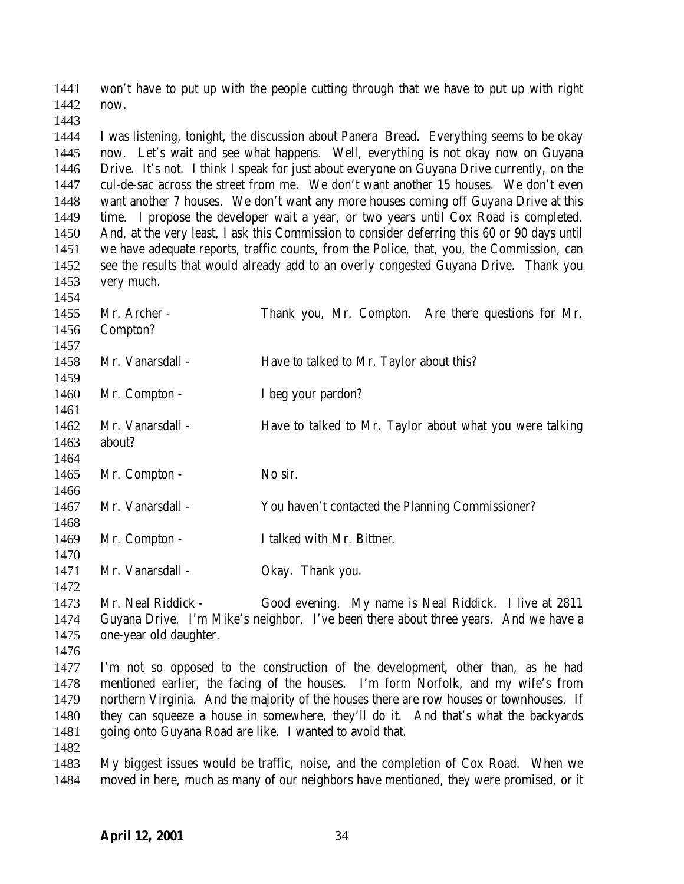won't have to put up with the people cutting through that we have to put up with right now.

 I was listening, tonight, the discussion about Panera Bread. Everything seems to be okay now. Let's wait and see what happens. Well, everything is not okay now on Guyana Drive. It's not. I think I speak for just about everyone on Guyana Drive currently, on the cul-de-sac across the street from me. We don't want another 15 houses. We don't even want another 7 houses. We don't want any more houses coming off Guyana Drive at this time. I propose the developer wait a year, or two years until Cox Road is completed. And, at the very least, I ask this Commission to consider deferring this 60 or 90 days until we have adequate reports, traffic counts, from the Police, that, you, the Commission, can see the results that would already add to an overly congested Guyana Drive. Thank you very much.

| 1454 |                                                                                  |                                                                                          |
|------|----------------------------------------------------------------------------------|------------------------------------------------------------------------------------------|
| 1455 | Mr. Archer -                                                                     | Thank you, Mr. Compton. Are there questions for Mr.                                      |
| 1456 | Compton?                                                                         |                                                                                          |
| 1457 |                                                                                  |                                                                                          |
| 1458 | Mr. Vanarsdall -                                                                 | Have to talked to Mr. Taylor about this?                                                 |
| 1459 |                                                                                  |                                                                                          |
| 1460 | Mr. Compton -                                                                    | I beg your pardon?                                                                       |
| 1461 |                                                                                  |                                                                                          |
| 1462 | Mr. Vanarsdall -                                                                 | Have to talked to Mr. Taylor about what you were talking                                 |
| 1463 | about?                                                                           |                                                                                          |
| 1464 |                                                                                  |                                                                                          |
| 1465 | Mr. Compton -                                                                    | No sir.                                                                                  |
| 1466 |                                                                                  |                                                                                          |
| 1467 | Mr. Vanarsdall -                                                                 | You haven't contacted the Planning Commissioner?                                         |
| 1468 |                                                                                  |                                                                                          |
| 1469 | Mr. Compton -                                                                    | I talked with Mr. Bittner.                                                               |
| 1470 |                                                                                  |                                                                                          |
| 1471 | Mr. Vanarsdall -                                                                 | Okay. Thank you.                                                                         |
| 1472 |                                                                                  |                                                                                          |
| 1473 | Mr. Neal Riddick -                                                               | Good evening. My name is Neal Riddick. I live at 2811                                    |
| 1474 |                                                                                  | Guyana Drive. I'm Mike's neighbor. I've been there about three years. And we have a      |
| 1475 | one-year old daughter.                                                           |                                                                                          |
| 1476 |                                                                                  |                                                                                          |
| 1477 | I'm not so opposed to the construction of the development, other than, as he had |                                                                                          |
| 1478 |                                                                                  | mentioned earlier, the facing of the houses. I'm form Norfolk, and my wife's from        |
| 1479 |                                                                                  | northern Virginia. And the majority of the houses there are row houses or townhouses. If |
| 1480 |                                                                                  | they can squeeze a house in somewhere, they'll do it. And that's what the backyards      |

 going onto Guyana Road are like. I wanted to avoid that. 

 My biggest issues would be traffic, noise, and the completion of Cox Road. When we moved in here, much as many of our neighbors have mentioned, they were promised, or it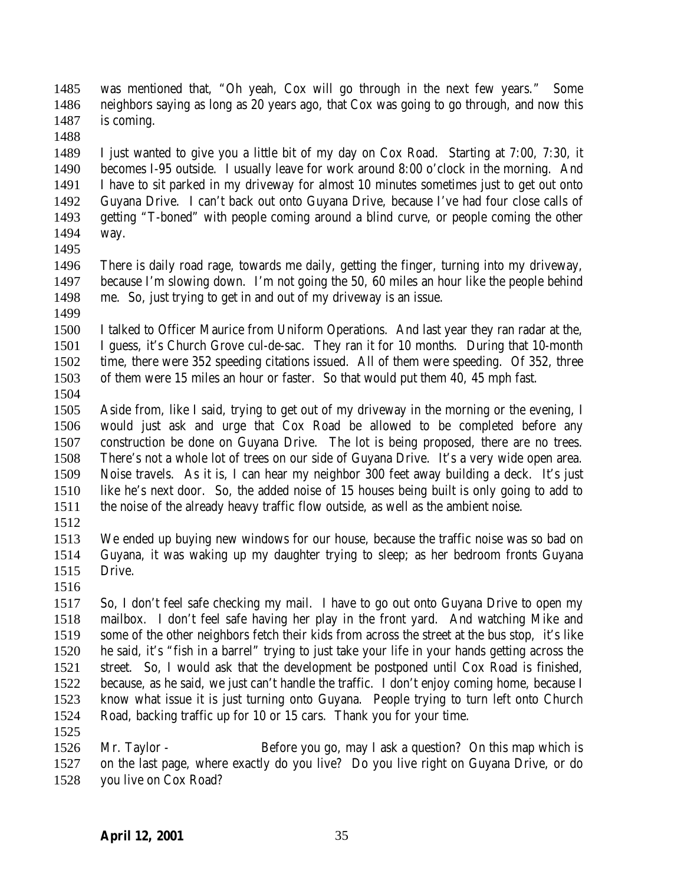was mentioned that, "Oh yeah, Cox will go through in the next few years." Some neighbors saying as long as 20 years ago, that Cox was going to go through, and now this is coming.

 I just wanted to give you a little bit of my day on Cox Road. Starting at 7:00, 7:30, it becomes I-95 outside. I usually leave for work around 8:00 o'clock in the morning. And I have to sit parked in my driveway for almost 10 minutes sometimes just to get out onto Guyana Drive. I can't back out onto Guyana Drive, because I've had four close calls of getting "T-boned" with people coming around a blind curve, or people coming the other way.

 There is daily road rage, towards me daily, getting the finger, turning into my driveway, because I'm slowing down. I'm not going the 50, 60 miles an hour like the people behind me. So, just trying to get in and out of my driveway is an issue.

 I talked to Officer Maurice from Uniform Operations. And last year they ran radar at the, I guess, it's Church Grove cul-de-sac. They ran it for 10 months. During that 10-month time, there were 352 speeding citations issued. All of them were speeding. Of 352, three of them were 15 miles an hour or faster. So that would put them 40, 45 mph fast.

 Aside from, like I said, trying to get out of my driveway in the morning or the evening, I would just ask and urge that Cox Road be allowed to be completed before any construction be done on Guyana Drive. The lot is being proposed, there are no trees. There's not a whole lot of trees on our side of Guyana Drive. It's a very wide open area. Noise travels. As it is, I can hear my neighbor 300 feet away building a deck. It's just like he's next door. So, the added noise of 15 houses being built is only going to add to the noise of the already heavy traffic flow outside, as well as the ambient noise.

 We ended up buying new windows for our house, because the traffic noise was so bad on Guyana, it was waking up my daughter trying to sleep; as her bedroom fronts Guyana Drive.

 So, I don't feel safe checking my mail. I have to go out onto Guyana Drive to open my mailbox. I don't feel safe having her play in the front yard. And watching Mike and some of the other neighbors fetch their kids from across the street at the bus stop, it's like he said, it's "fish in a barrel" trying to just take your life in your hands getting across the street. So, I would ask that the development be postponed until Cox Road is finished, because, as he said, we just can't handle the traffic. I don't enjoy coming home, because I know what issue it is just turning onto Guyana. People trying to turn left onto Church Road, backing traffic up for 10 or 15 cars. Thank you for your time. 

 Mr. Taylor - Before you go, may I ask a question? On this map which is on the last page, where exactly do you live? Do you live right on Guyana Drive, or do you live on Cox Road?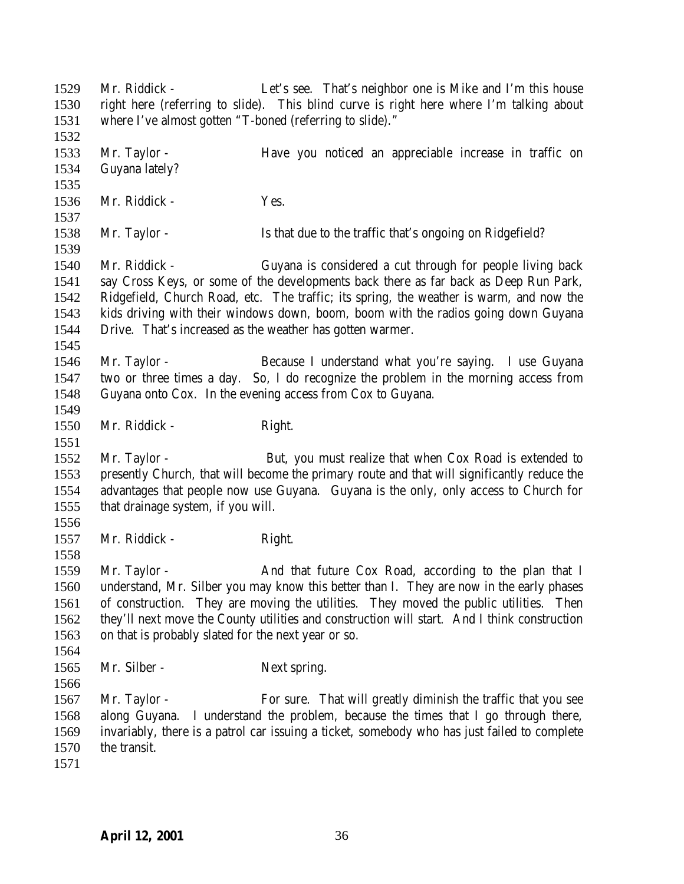Mr. Riddick - Let's see. That's neighbor one is Mike and I'm this house right here (referring to slide). This blind curve is right here where I'm talking about where I've almost gotten "T-boned (referring to slide)." Mr. Taylor - Have you noticed an appreciable increase in traffic on Guyana lately? Mr. Riddick - Yes. Mr. Taylor - Is that due to the traffic that's ongoing on Ridgefield? Mr. Riddick - Guyana is considered a cut through for people living back say Cross Keys, or some of the developments back there as far back as Deep Run Park, Ridgefield, Church Road, etc. The traffic; its spring, the weather is warm, and now the kids driving with their windows down, boom, boom with the radios going down Guyana Drive. That's increased as the weather has gotten warmer. Mr. Taylor - Because I understand what you're saying. I use Guyana two or three times a day. So, I do recognize the problem in the morning access from Guyana onto Cox. In the evening access from Cox to Guyana. 1550 Mr. Riddick - Right. Mr. Taylor - But, you must realize that when Cox Road is extended to presently Church, that will become the primary route and that will significantly reduce the advantages that people now use Guyana. Guyana is the only, only access to Church for that drainage system, if you will. 1557 Mr. Riddick - Right. 1559 Mr. Taylor - And that future Cox Road, according to the plan that I understand, Mr. Silber you may know this better than I. They are now in the early phases of construction. They are moving the utilities. They moved the public utilities. Then they'll next move the County utilities and construction will start. And I think construction on that is probably slated for the next year or so. 1565 Mr. Silber - Next spring. 1567 Mr. Taylor - For sure. That will greatly diminish the traffic that you see along Guyana. I understand the problem, because the times that I go through there, invariably, there is a patrol car issuing a ticket, somebody who has just failed to complete the transit.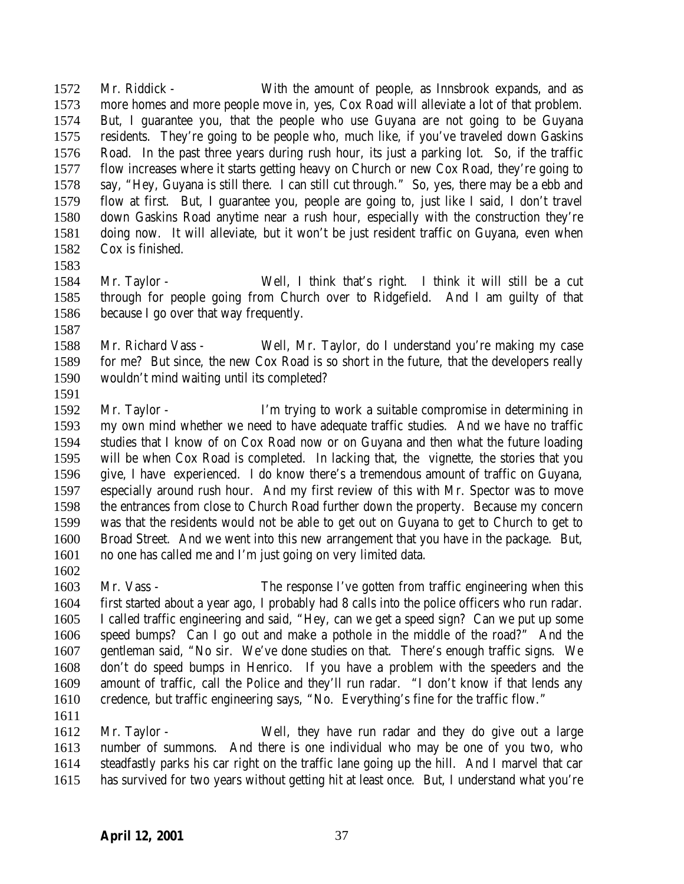Mr. Riddick - With the amount of people, as Innsbrook expands, and as more homes and more people move in, yes, Cox Road will alleviate a lot of that problem. But, I guarantee you, that the people who use Guyana are not going to be Guyana residents. They're going to be people who, much like, if you've traveled down Gaskins Road. In the past three years during rush hour, its just a parking lot. So, if the traffic flow increases where it starts getting heavy on Church or new Cox Road, they're going to say, "Hey, Guyana is still there. I can still cut through." So, yes, there may be a ebb and flow at first. But, I guarantee you, people are going to, just like I said, I don't travel down Gaskins Road anytime near a rush hour, especially with the construction they're doing now. It will alleviate, but it won't be just resident traffic on Guyana, even when Cox is finished.

- 
- Mr. Taylor Well, I think that's right. I think it will still be a cut through for people going from Church over to Ridgefield. And I am guilty of that because I go over that way frequently.
- Mr. Richard Vass Well, Mr. Taylor, do I understand you're making my case for me? But since, the new Cox Road is so short in the future, that the developers really wouldn't mind waiting until its completed?
- 

 Mr. Taylor - I'm trying to work a suitable compromise in determining in my own mind whether we need to have adequate traffic studies. And we have no traffic studies that I know of on Cox Road now or on Guyana and then what the future loading will be when Cox Road is completed. In lacking that, the vignette, the stories that you give, I have experienced. I do know there's a tremendous amount of traffic on Guyana, especially around rush hour. And my first review of this with Mr. Spector was to move the entrances from close to Church Road further down the property. Because my concern was that the residents would not be able to get out on Guyana to get to Church to get to Broad Street. And we went into this new arrangement that you have in the package. But, no one has called me and I'm just going on very limited data.

 Mr. Vass - The response I've gotten from traffic engineering when this first started about a year ago, I probably had 8 calls into the police officers who run radar. I called traffic engineering and said, "Hey, can we get a speed sign? Can we put up some speed bumps? Can I go out and make a pothole in the middle of the road?" And the gentleman said, "No sir. We've done studies on that. There's enough traffic signs. We don't do speed bumps in Henrico. If you have a problem with the speeders and the amount of traffic, call the Police and they'll run radar. "I don't know if that lends any credence, but traffic engineering says, "No. Everything's fine for the traffic flow."

 Mr. Taylor - Well, they have run radar and they do give out a large number of summons. And there is one individual who may be one of you two, who steadfastly parks his car right on the traffic lane going up the hill. And I marvel that car has survived for two years without getting hit at least once. But, I understand what you're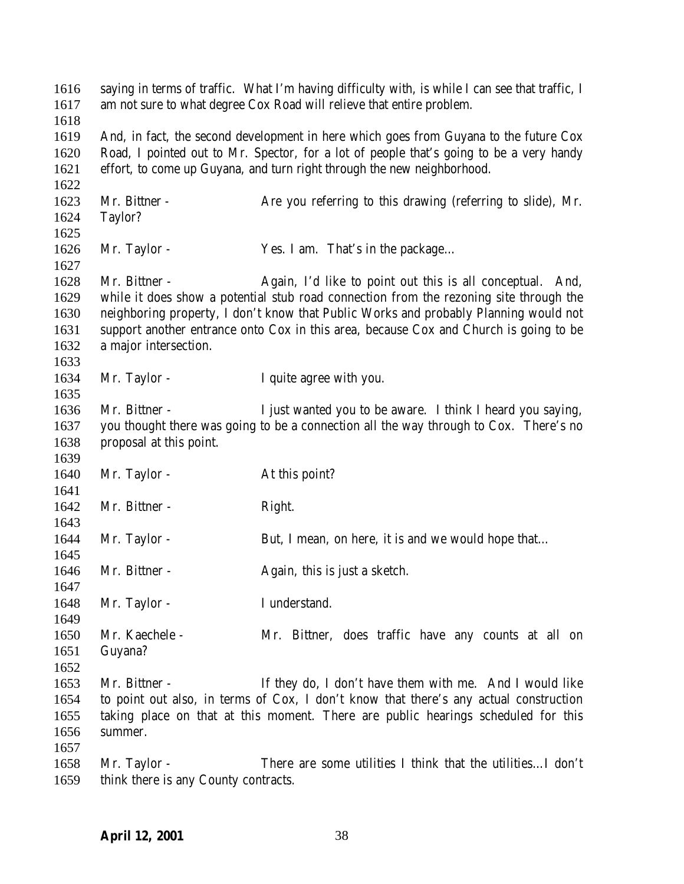| 1616<br>1617 | saying in terms of traffic. What I'm having difficulty with, is while I can see that traffic, I<br>am not sure to what degree Cox Road will relieve that entire problem. |                                                                                       |  |
|--------------|--------------------------------------------------------------------------------------------------------------------------------------------------------------------------|---------------------------------------------------------------------------------------|--|
| 1618         |                                                                                                                                                                          |                                                                                       |  |
| 1619         | And, in fact, the second development in here which goes from Guyana to the future Cox                                                                                    |                                                                                       |  |
| 1620         | Road, I pointed out to Mr. Spector, for a lot of people that's going to be a very handy                                                                                  |                                                                                       |  |
| 1621         |                                                                                                                                                                          | effort, to come up Guyana, and turn right through the new neighborhood.               |  |
| 1622         |                                                                                                                                                                          |                                                                                       |  |
| 1623         | Mr. Bittner -                                                                                                                                                            | Are you referring to this drawing (referring to slide), Mr.                           |  |
| 1624         | Taylor?                                                                                                                                                                  |                                                                                       |  |
| 1625         |                                                                                                                                                                          |                                                                                       |  |
| 1626         | Mr. Taylor -                                                                                                                                                             | Yes. I am. That's in the package                                                      |  |
| 1627         |                                                                                                                                                                          |                                                                                       |  |
| 1628         | Mr. Bittner -                                                                                                                                                            | Again, I'd like to point out this is all conceptual. And,                             |  |
| 1629         | while it does show a potential stub road connection from the rezoning site through the                                                                                   |                                                                                       |  |
| 1630         | neighboring property, I don't know that Public Works and probably Planning would not                                                                                     |                                                                                       |  |
| 1631         | support another entrance onto Cox in this area, because Cox and Church is going to be                                                                                    |                                                                                       |  |
| 1632         | a major intersection.                                                                                                                                                    |                                                                                       |  |
| 1633         |                                                                                                                                                                          |                                                                                       |  |
| 1634         | Mr. Taylor -                                                                                                                                                             | I quite agree with you.                                                               |  |
| 1635         |                                                                                                                                                                          |                                                                                       |  |
| 1636         | Mr. Bittner -                                                                                                                                                            | I just wanted you to be aware. I think I heard you saying,                            |  |
| 1637         |                                                                                                                                                                          | you thought there was going to be a connection all the way through to Cox. There's no |  |
| 1638         | proposal at this point.                                                                                                                                                  |                                                                                       |  |
| 1639         |                                                                                                                                                                          |                                                                                       |  |
| 1640         | Mr. Taylor -                                                                                                                                                             | At this point?                                                                        |  |
| 1641         |                                                                                                                                                                          |                                                                                       |  |
| 1642         | Mr. Bittner -                                                                                                                                                            | Right.                                                                                |  |
| 1643         |                                                                                                                                                                          |                                                                                       |  |
| 1644         | Mr. Taylor -                                                                                                                                                             | But, I mean, on here, it is and we would hope that                                    |  |
| 1645         |                                                                                                                                                                          |                                                                                       |  |
| 1646         | Mr. Bittner -                                                                                                                                                            | Again, this is just a sketch.                                                         |  |
| 1647         |                                                                                                                                                                          |                                                                                       |  |
| 1648         | Mr. Taylor -                                                                                                                                                             | I understand.                                                                         |  |
| 1649         |                                                                                                                                                                          |                                                                                       |  |
| 1650         | Mr. Kaechele -                                                                                                                                                           | Mr. Bittner, does traffic have any counts at all on                                   |  |
| 1651         | Guyana?                                                                                                                                                                  |                                                                                       |  |
| 1652         |                                                                                                                                                                          |                                                                                       |  |
| 1653         | Mr. Bittner -                                                                                                                                                            | If they do, I don't have them with me. And I would like                               |  |
| 1654         | to point out also, in terms of Cox, I don't know that there's any actual construction                                                                                    |                                                                                       |  |
| 1655         |                                                                                                                                                                          | taking place on that at this moment. There are public hearings scheduled for this     |  |
| 1656         | summer.                                                                                                                                                                  |                                                                                       |  |
| 1657         |                                                                                                                                                                          |                                                                                       |  |
| 1658         | Mr. Taylor -                                                                                                                                                             | There are some utilities I think that the utilitiesI don't                            |  |
| 1659         | think there is any County contracts.                                                                                                                                     |                                                                                       |  |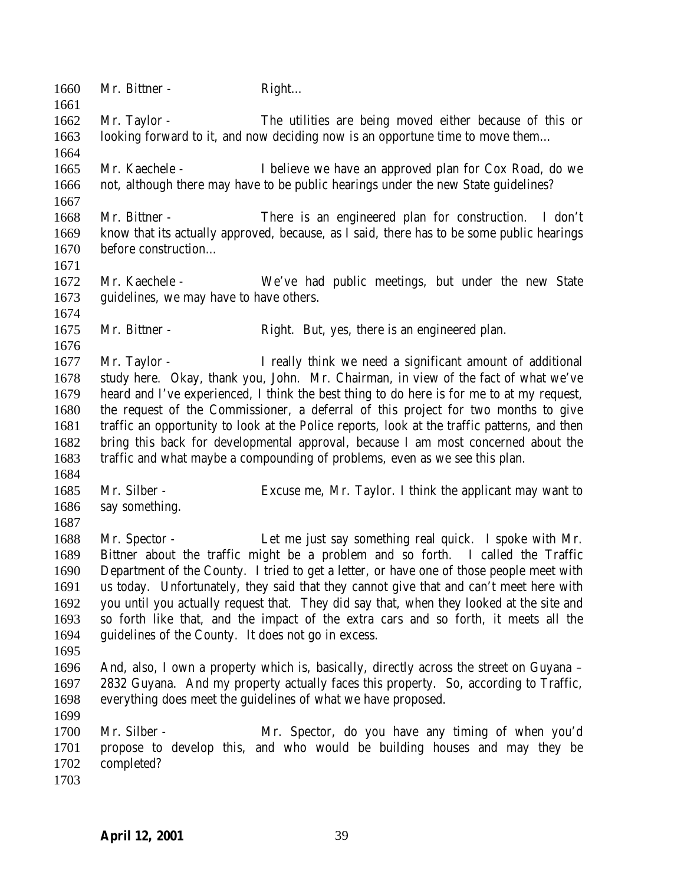1660 Mr. Bittner - Right... Mr. Taylor - The utilities are being moved either because of this or looking forward to it, and now deciding now is an opportune time to move them… Mr. Kaechele - I believe we have an approved plan for Cox Road, do we not, although there may have to be public hearings under the new State guidelines? Mr. Bittner - There is an engineered plan for construction. I don't know that its actually approved, because, as I said, there has to be some public hearings before construction… Mr. Kaechele - We've had public meetings, but under the new State guidelines, we may have to have others. Mr. Bittner - Right. But, yes, there is an engineered plan. Mr. Taylor - I really think we need a significant amount of additional study here. Okay, thank you, John. Mr. Chairman, in view of the fact of what we've heard and I've experienced, I think the best thing to do here is for me to at my request, the request of the Commissioner, a deferral of this project for two months to give traffic an opportunity to look at the Police reports, look at the traffic patterns, and then bring this back for developmental approval, because I am most concerned about the traffic and what maybe a compounding of problems, even as we see this plan. Mr. Silber - Excuse me, Mr. Taylor. I think the applicant may want to say something. Mr. Spector - Let me just say something real quick. I spoke with Mr. Bittner about the traffic might be a problem and so forth. I called the Traffic Department of the County. I tried to get a letter, or have one of those people meet with us today. Unfortunately, they said that they cannot give that and can't meet here with you until you actually request that. They did say that, when they looked at the site and so forth like that, and the impact of the extra cars and so forth, it meets all the guidelines of the County. It does not go in excess. And, also, I own a property which is, basically, directly across the street on Guyana – 2832 Guyana. And my property actually faces this property. So, according to Traffic, everything does meet the guidelines of what we have proposed. Mr. Silber - Mr. Spector, do you have any timing of when you'd propose to develop this, and who would be building houses and may they be completed?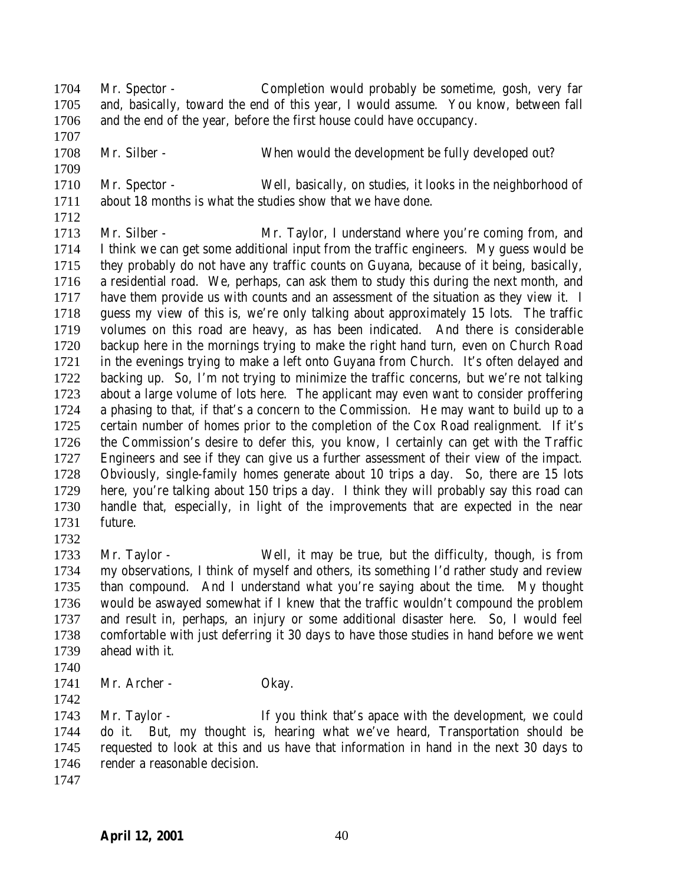Mr. Spector - Completion would probably be sometime, gosh, very far and, basically, toward the end of this year, I would assume. You know, between fall and the end of the year, before the first house could have occupancy. Mr. Silber - When would the development be fully developed out? Mr. Spector - Well, basically, on studies, it looks in the neighborhood of about 18 months is what the studies show that we have done. Mr. Silber - Mr. Taylor, I understand where you're coming from, and I think we can get some additional input from the traffic engineers. My guess would be they probably do not have any traffic counts on Guyana, because of it being, basically, a residential road. We, perhaps, can ask them to study this during the next month, and have them provide us with counts and an assessment of the situation as they view it. I guess my view of this is, we're only talking about approximately 15 lots. The traffic volumes on this road are heavy, as has been indicated. And there is considerable backup here in the mornings trying to make the right hand turn, even on Church Road in the evenings trying to make a left onto Guyana from Church. It's often delayed and

 backing up. So, I'm not trying to minimize the traffic concerns, but we're not talking about a large volume of lots here. The applicant may even want to consider proffering a phasing to that, if that's a concern to the Commission. He may want to build up to a certain number of homes prior to the completion of the Cox Road realignment. If it's the Commission's desire to defer this, you know, I certainly can get with the Traffic Engineers and see if they can give us a further assessment of their view of the impact. Obviously, single-family homes generate about 10 trips a day. So, there are 15 lots here, you're talking about 150 trips a day. I think they will probably say this road can handle that, especially, in light of the improvements that are expected in the near

future.

 Mr. Taylor - Well, it may be true, but the difficulty, though, is from my observations, I think of myself and others, its something I'd rather study and review than compound. And I understand what you're saying about the time. My thought would be aswayed somewhat if I knew that the traffic wouldn't compound the problem and result in, perhaps, an injury or some additional disaster here. So, I would feel comfortable with just deferring it 30 days to have those studies in hand before we went ahead with it.

- 
- 1741 Mr. Archer Okay.
- 

 Mr. Taylor - If you think that's apace with the development, we could do it. But, my thought is, hearing what we've heard, Transportation should be requested to look at this and us have that information in hand in the next 30 days to 1746 render a reasonable decision.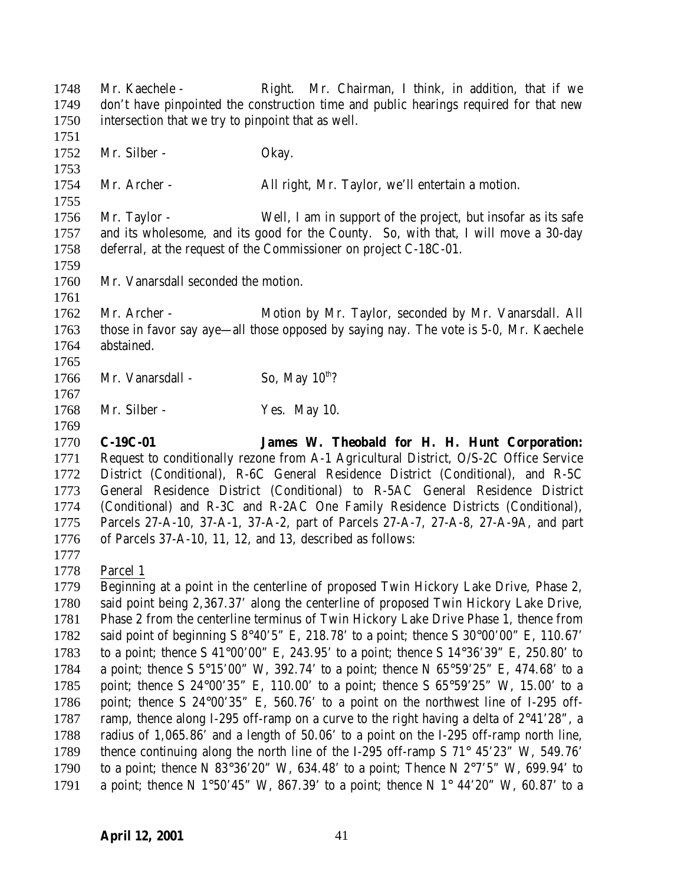1748 Mr. Kaechele - Right. Mr. Chairman, I think, in addition, that if we don't have pinpointed the construction time and public hearings required for that new intersection that we try to pinpoint that as well. 1752 Mr. Silber - Okay. Mr. Archer - All right, Mr. Taylor, we'll entertain a motion. Mr. Taylor - Well, I am in support of the project, but insofar as its safe and its wholesome, and its good for the County. So, with that, I will move a 30-day deferral, at the request of the Commissioner on project C-18C-01. Mr. Vanarsdall seconded the motion. Mr. Archer - Motion by Mr. Taylor, seconded by Mr. Vanarsdall. All those in favor say aye—all those opposed by saying nay. The vote is 5-0, Mr. Kaechele abstained. 1766 Mr. Vanarsdall - So, May  $10^{th}$ ? Mr. Silber - Yes. May 10. **C-19C-01 James W. Theobald for H. H. Hunt Corporation:** Request to conditionally rezone from A-1 Agricultural District, O/S-2C Office Service District (Conditional), R-6C General Residence District (Conditional), and R-5C General Residence District (Conditional) to R-5AC General Residence District (Conditional) and R-3C and R-2AC One Family Residence Districts (Conditional), Parcels 27-A-10, 37-A-1, 37-A-2, part of Parcels 27-A-7, 27-A-8, 27-A-9A, and part of Parcels 37-A-10, 11, 12, and 13, described as follows: Parcel 1 Beginning at a point in the centerline of proposed Twin Hickory Lake Drive, Phase 2, said point being 2,367.37' along the centerline of proposed Twin Hickory Lake Drive, Phase 2 from the centerline terminus of Twin Hickory Lake Drive Phase 1, thence from said point of beginning S 8°40'5" E, 218.78' to a point; thence S 30°00'00" E, 110.67' to a point; thence S 41°00'00" E, 243.95' to a point; thence S 14°36'39" E, 250.80' to a point; thence S 5°15*'*00" W, 392.74' to a point; thence N 65°59'25" E, 474.68' to a point; thence S 24°00'35" E, 110.00' to a point; thence S 65°59'25" W, 15.00' to a point; thence S 24°00'35" E, 560.76' to a point on the northwest line of I-295 off-1787 ramp, thence along I-295 off-ramp on a curve to the right having a delta of  $2^{\circ}41'28"$ , a radius of 1,065.86' and a length of 50.06' to a point on the I-295 off-ramp north line, 1789 thence continuing along the north line of the I-295 off-ramp S 71° 45'23" W, 549.76' 1790 to a point; thence N 83°36'20" W, 634.48' to a point; Thence N  $2^{\circ}7'5''$  W, 699.94' to 1791 a point; thence N 1°50'45" W, 867.39' to a point; thence N 1° 44'20" W, 60.87' to a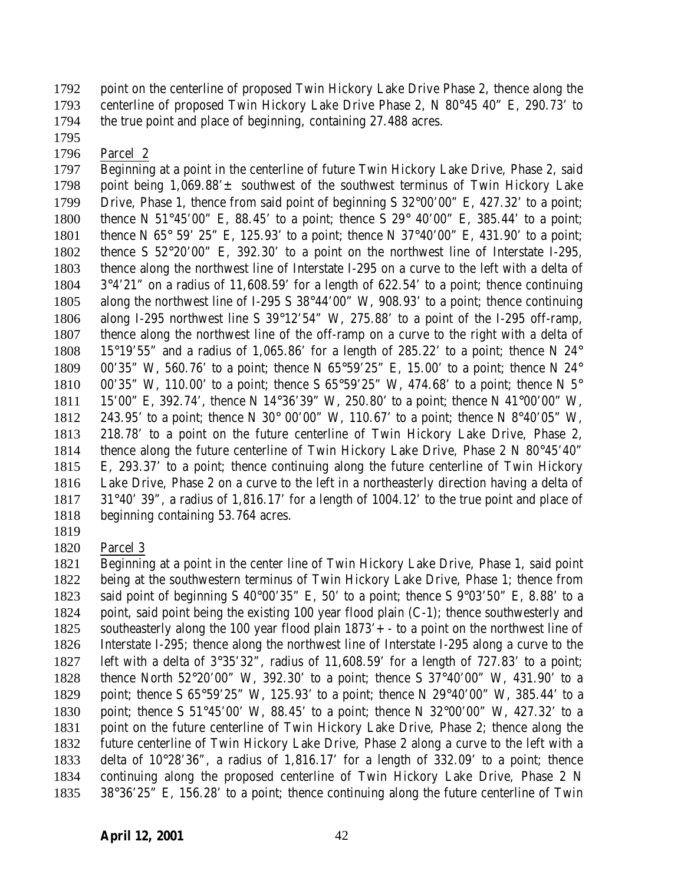point on the centerline of proposed Twin Hickory Lake Drive Phase 2, thence along the centerline of proposed Twin Hickory Lake Drive Phase 2, N 80°45 40" E, 290.73' to the true point and place of beginning, containing 27.488 acres.

Parcel 2

 Beginning at a point in the centerline of future Twin Hickory Lake Drive, Phase 2, said 1798 point being  $1.069.88' \pm$  southwest of the southwest terminus of Twin Hickory Lake Drive, Phase 1, thence from said point of beginning S 32°00'00" E, 427.32' to a point; thence N 51°45'00" E, 88.45' to a point; thence S 29° 40'00" E, 385.44' to a point; 1801 thence N 65° 59' 25" E, 125.93' to a point; thence N 37°40'00" E, 431.90' to a point; thence S 52°20'00" E, 392.30' to a point on the northwest line of Interstate I-295, thence along the northwest line of Interstate I-295 on a curve to the left with a delta of 3°4'21" on a radius of 11,608.59' for a length of 622.54' to a point; thence continuing along the northwest line of I-295 S 38°44'00" W, 908.93' to a point; thence continuing along I-295 northwest line S 39°12'54" W, 275.88' to a point of the I-295 off-ramp, thence along the northwest line of the off-ramp on a curve to the right with a delta of 1808 15°19'55" and a radius of 1,065.86' for a length of 285.22' to a point; thence N  $24^{\circ}$  00'35" W, 560.76' to a point; thence N 65°59'25" E, 15.00' to a point; thence N 24° 1810 00'35" W, 110.00' to a point; thence S 65°59'25" W, 474.68' to a point; thence N 5° 15'00" E, 392.74', thence N 14°36'39" W, 250.80' to a point; thence N 41°00'00" W, 243.95' to a point; thence N 30° 00'00" W, 110.67' to a point; thence N 8°40'05" W, 218.78' to a point on the future centerline of Twin Hickory Lake Drive, Phase 2, thence along the future centerline of Twin Hickory Lake Drive, Phase 2 N 80°45'40" E, 293.37' to a point; thence continuing along the future centerline of Twin Hickory Lake Drive, Phase 2 on a curve to the left in a northeasterly direction having a delta of 31°40' 39", a radius of 1,816.17' for a length of 1004.12' to the true point and place of beginning containing 53.764 acres.

Parcel 3

 Beginning at a point in the center line of Twin Hickory Lake Drive, Phase 1, said point being at the southwestern terminus of Twin Hickory Lake Drive, Phase 1; thence from 1823 said point of beginning S  $40^{\circ}00'35''$  E, 50' to a point; thence S  $9^{\circ}03'50''$  E, 8.88' to a point, said point being the existing 100 year flood plain (C-1); thence southwesterly and southeasterly along the 100 year flood plain 1873'+- to a point on the northwest line of Interstate I-295; thence along the northwest line of Interstate I-295 along a curve to the left with a delta of 3°35'32", radius of 11,608.59' for a length of 727.83' to a point; thence North 52°20'00" W, 392.30' to a point; thence S 37°40'00" W, 431.90' to a point; thence S 65°59'25" W, 125.93' to a point; thence N 29°40'00" W, 385.44' to a point; thence S 51°45'00' W, 88.45' to a point; thence N 32°00'00" W, 427.32' to a point on the future centerline of Twin Hickory Lake Drive, Phase 2; thence along the future centerline of Twin Hickory Lake Drive, Phase 2 along a curve to the left with a delta of 10°28'36", a radius of 1,816.17' for a length of 332.09' to a point; thence continuing along the proposed centerline of Twin Hickory Lake Drive, Phase 2 N 38°36'25" E, 156.28' to a point; thence continuing along the future centerline of Twin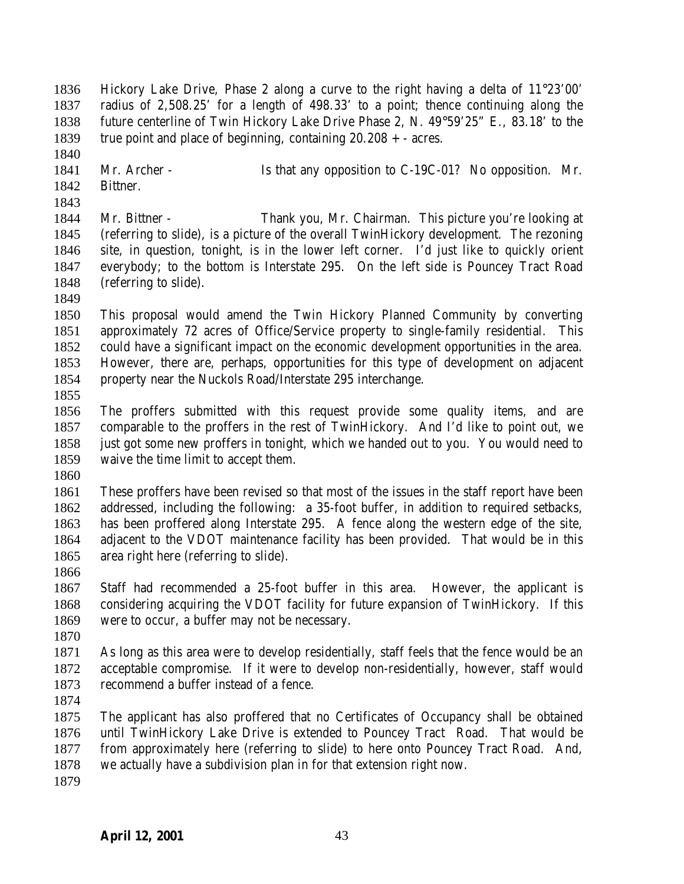Hickory Lake Drive, Phase 2 along a curve to the right having a delta of 11°23'00' radius of 2,508.25' for a length of 498.33' to a point; thence continuing along the future centerline of Twin Hickory Lake Drive Phase 2, N. 49°59'25" E., 83.18' to the 1839 true point and place of beginning, containing  $20.208 + -$  acres.

- 1841 Mr. Archer Is that any opposition to C-19C-01? No opposition. Mr. Bittner.
- 

 Mr. Bittner - Thank you, Mr. Chairman. This picture you're looking at (referring to slide), is a picture of the overall TwinHickory development. The rezoning site, in question, tonight, is in the lower left corner. I'd just like to quickly orient everybody; to the bottom is Interstate 295. On the left side is Pouncey Tract Road (referring to slide).

 This proposal would amend the Twin Hickory Planned Community by converting approximately 72 acres of Office/Service property to single-family residential. This could have a significant impact on the economic development opportunities in the area. However, there are, perhaps, opportunities for this type of development on adjacent property near the Nuckols Road/Interstate 295 interchange.

 The proffers submitted with this request provide some quality items, and are comparable to the proffers in the rest of TwinHickory. And I'd like to point out, we just got some new proffers in tonight, which we handed out to you. You would need to waive the time limit to accept them.

 These proffers have been revised so that most of the issues in the staff report have been addressed, including the following: a 35-foot buffer, in addition to required setbacks, has been proffered along Interstate 295. A fence along the western edge of the site, adjacent to the VDOT maintenance facility has been provided. That would be in this area right here (referring to slide).

 Staff had recommended a 25-foot buffer in this area. However, the applicant is considering acquiring the VDOT facility for future expansion of TwinHickory. If this were to occur, a buffer may not be necessary.

 As long as this area were to develop residentially, staff feels that the fence would be an acceptable compromise. If it were to develop non-residentially, however, staff would recommend a buffer instead of a fence.

 The applicant has also proffered that no Certificates of Occupancy shall be obtained until TwinHickory Lake Drive is extended to Pouncey Tract Road. That would be from approximately here (referring to slide) to here onto Pouncey Tract Road. And, we actually have a subdivision plan in for that extension right now.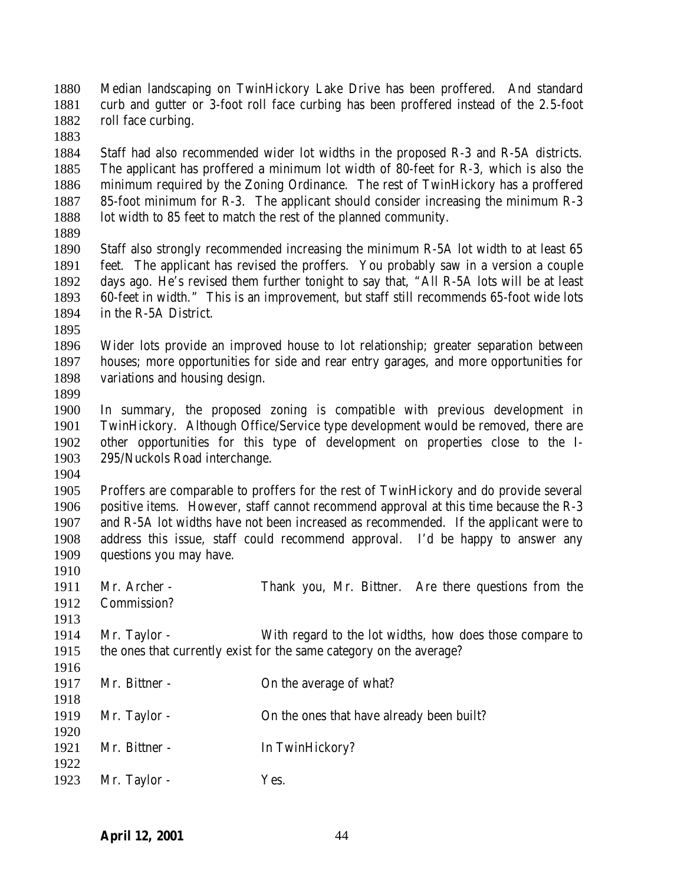Median landscaping on TwinHickory Lake Drive has been proffered. And standard curb and gutter or 3-foot roll face curbing has been proffered instead of the 2.5-foot roll face curbing.

 Staff had also recommended wider lot widths in the proposed R-3 and R-5A districts. The applicant has proffered a minimum lot width of 80-feet for R-3, which is also the minimum required by the Zoning Ordinance. The rest of TwinHickory has a proffered 85-foot minimum for R-3. The applicant should consider increasing the minimum R-3 1888 lot width to 85 feet to match the rest of the planned community.

 Staff also strongly recommended increasing the minimum R-5A lot width to at least 65 feet. The applicant has revised the proffers. You probably saw in a version a couple days ago. He's revised them further tonight to say that, "All R-5A lots will be at least 60-feet in width." This is an improvement, but staff still recommends 65-foot wide lots in the R-5A District.

 Wider lots provide an improved house to lot relationship; greater separation between houses; more opportunities for side and rear entry garages, and more opportunities for variations and housing design.

 In summary, the proposed zoning is compatible with previous development in TwinHickory. Although Office/Service type development would be removed, there are other opportunities for this type of development on properties close to the I-295/Nuckols Road interchange.

 Proffers are comparable to proffers for the rest of TwinHickory and do provide several positive items. However, staff cannot recommend approval at this time because the R-3 and R-5A lot widths have not been increased as recommended. If the applicant were to address this issue, staff could recommend approval. I'd be happy to answer any questions you may have.

 Mr. Archer - Thank you, Mr. Bittner. Are there questions from the Commission? 

 Mr. Taylor - With regard to the lot widths, how does those compare to the ones that currently exist for the same category on the average?

- 1917 Mr. Bittner On the average of what?
- Mr. Taylor - On the ones that have already been built?
- 1921 Mr. Bittner In TwinHickory?
- 1923 Mr. Taylor Yes.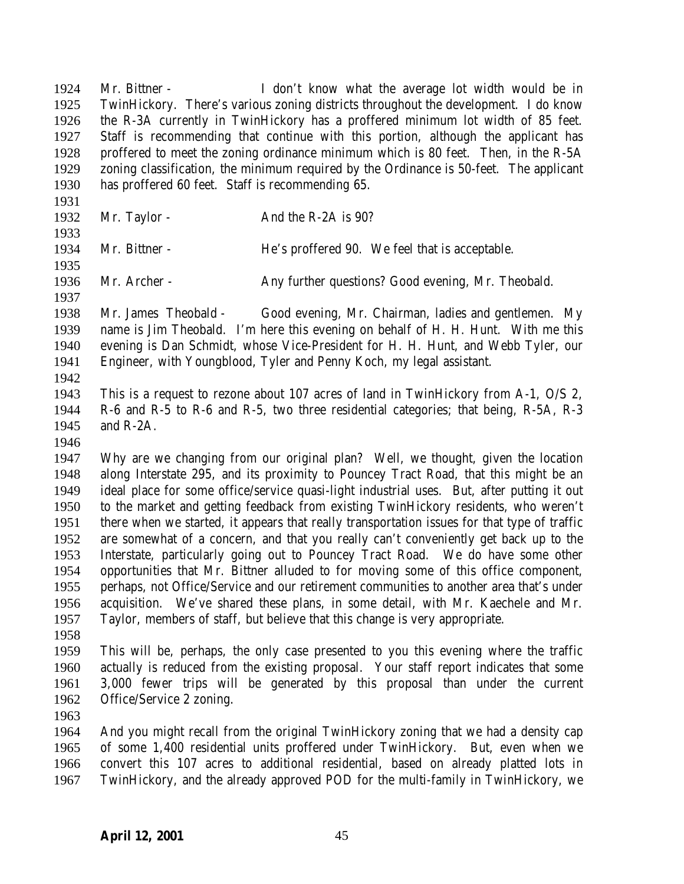Mr. Bittner - I don't know what the average lot width would be in TwinHickory. There's various zoning districts throughout the development. I do know the R-3A currently in TwinHickory has a proffered minimum lot width of 85 feet. Staff is recommending that continue with this portion, although the applicant has proffered to meet the zoning ordinance minimum which is 80 feet. Then, in the R-5A zoning classification, the minimum required by the Ordinance is 50-feet. The applicant has proffered 60 feet. Staff is recommending 65.

- 
- 1932 Mr. Taylor And the R-2A is 90?
- Mr. Bittner - He's proffered 90. We feel that is acceptable.
- 
- Mr. Archer Any further questions? Good evening, Mr. Theobald.
- 

 Mr. James Theobald - Good evening, Mr. Chairman, ladies and gentlemen. My name is Jim Theobald. I'm here this evening on behalf of H. H. Hunt. With me this evening is Dan Schmidt, whose Vice-President for H. H. Hunt, and Webb Tyler, our Engineer, with Youngblood, Tyler and Penny Koch, my legal assistant.

 This is a request to rezone about 107 acres of land in TwinHickory from A-1, O/S 2, R-6 and R-5 to R-6 and R-5, two three residential categories; that being, R-5A, R-3 and R-2A.

 Why are we changing from our original plan? Well, we thought, given the location along Interstate 295, and its proximity to Pouncey Tract Road, that this might be an ideal place for some office/service quasi-light industrial uses. But, after putting it out to the market and getting feedback from existing TwinHickory residents, who weren't there when we started, it appears that really transportation issues for that type of traffic are somewhat of a concern, and that you really can't conveniently get back up to the Interstate, particularly going out to Pouncey Tract Road. We do have some other opportunities that Mr. Bittner alluded to for moving some of this office component, perhaps, not Office/Service and our retirement communities to another area that's under acquisition. We've shared these plans, in some detail, with Mr. Kaechele and Mr. Taylor, members of staff, but believe that this change is very appropriate.

 This will be, perhaps, the only case presented to you this evening where the traffic actually is reduced from the existing proposal. Your staff report indicates that some 3,000 fewer trips will be generated by this proposal than under the current Office/Service 2 zoning.

 And you might recall from the original TwinHickory zoning that we had a density cap of some 1,400 residential units proffered under TwinHickory. But, even when we convert this 107 acres to additional residential, based on already platted lots in TwinHickory, and the already approved POD for the multi-family in TwinHickory, we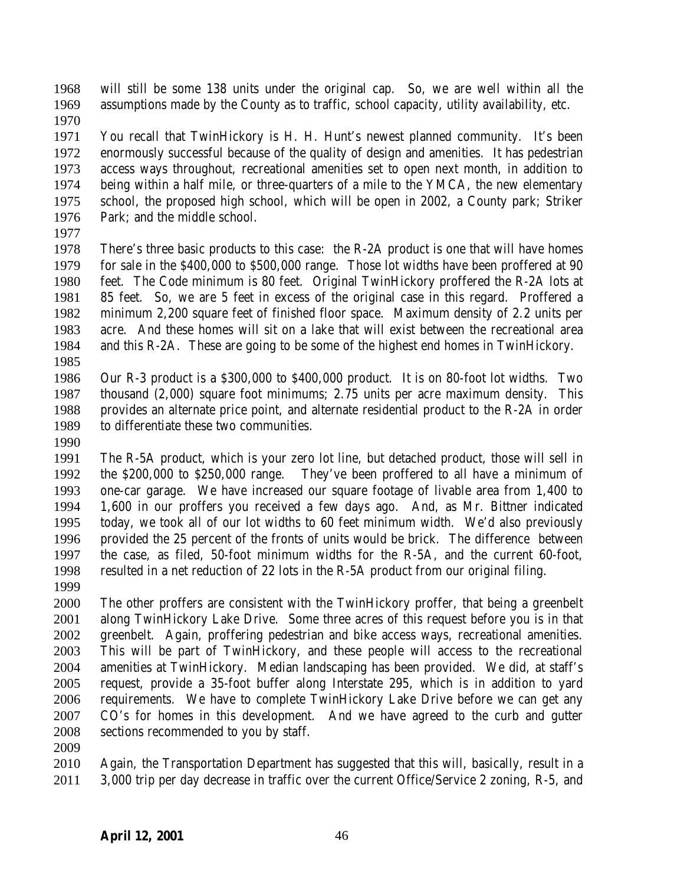will still be some 138 units under the original cap. So, we are well within all the assumptions made by the County as to traffic, school capacity, utility availability, etc.

 You recall that TwinHickory is H. H. Hunt's newest planned community. It's been enormously successful because of the quality of design and amenities. It has pedestrian access ways throughout, recreational amenities set to open next month, in addition to being within a half mile, or three-quarters of a mile to the YMCA, the new elementary school, the proposed high school, which will be open in 2002, a County park; Striker Park; and the middle school.

 There's three basic products to this case: the R-2A product is one that will have homes for sale in the \$400,000 to \$500,000 range. Those lot widths have been proffered at 90 feet. The Code minimum is 80 feet. Original TwinHickory proffered the R-2A lots at 85 feet. So, we are 5 feet in excess of the original case in this regard. Proffered a minimum 2,200 square feet of finished floor space. Maximum density of 2.2 units per acre. And these homes will sit on a lake that will exist between the recreational area and this R-2A. These are going to be some of the highest end homes in TwinHickory.

 Our R-3 product is a \$300,000 to \$400,000 product. It is on 80-foot lot widths. Two thousand (2,000) square foot minimums; 2.75 units per acre maximum density. This provides an alternate price point, and alternate residential product to the R-2A in order to differentiate these two communities.

 The R-5A product, which is your zero lot line, but detached product, those will sell in the \$200,000 to \$250,000 range. They've been proffered to all have a minimum of one-car garage. We have increased our square footage of livable area from 1,400 to 1,600 in our proffers you received a few days ago. And, as Mr. Bittner indicated today, we took all of our lot widths to 60 feet minimum width. We'd also previously provided the 25 percent of the fronts of units would be brick. The difference between the case, as filed, 50-foot minimum widths for the R-5A, and the current 60-foot, resulted in a net reduction of 22 lots in the R-5A product from our original filing.

 The other proffers are consistent with the TwinHickory proffer, that being a greenbelt along TwinHickory Lake Drive. Some three acres of this request before you is in that greenbelt. Again, proffering pedestrian and bike access ways, recreational amenities. This will be part of TwinHickory, and these people will access to the recreational amenities at TwinHickory. Median landscaping has been provided. We did, at staff's request, provide a 35-foot buffer along Interstate 295, which is in addition to yard requirements. We have to complete TwinHickory Lake Drive before we can get any CO's for homes in this development. And we have agreed to the curb and gutter sections recommended to you by staff.

 Again, the Transportation Department has suggested that this will, basically, result in a 3,000 trip per day decrease in traffic over the current Office/Service 2 zoning, R-5, and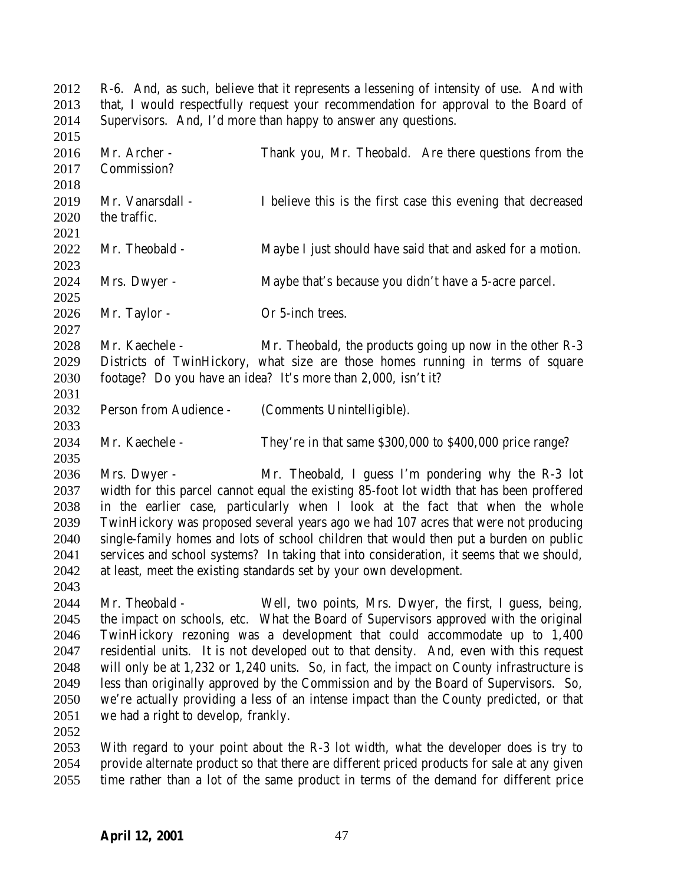R-6. And, as such, believe that it represents a lessening of intensity of use. And with that, I would respectfully request your recommendation for approval to the Board of Supervisors. And, I'd more than happy to answer any questions. Mr. Archer - Thank you, Mr. Theobald. Are there questions from the Commission? Mr. Vanarsdall - I believe this is the first case this evening that decreased the traffic. Mr. Theobald - Maybe I just should have said that and asked for a motion. Mrs. Dwyer - Maybe that's because you didn't have a 5-acre parcel. 2026 Mr. Taylor - Or 5-inch trees. Mr. Kaechele - Mr. Theobald, the products going up now in the other R-3 Districts of TwinHickory, what size are those homes running in terms of square footage? Do you have an idea? It's more than 2,000, isn't it? Person from Audience - (Comments Unintelligible). Mr. Kaechele - They're in that same \$300,000 to \$400,000 price range? Mrs. Dwyer - Mr. Theobald, I guess I'm pondering why the R-3 lot width for this parcel cannot equal the existing 85-foot lot width that has been proffered in the earlier case, particularly when I look at the fact that when the whole TwinHickory was proposed several years ago we had 107 acres that were not producing single-family homes and lots of school children that would then put a burden on public services and school systems? In taking that into consideration, it seems that we should, at least, meet the existing standards set by your own development. Mr. Theobald - Well, two points, Mrs. Dwyer, the first, I guess, being, the impact on schools, etc. What the Board of Supervisors approved with the original TwinHickory rezoning was a development that could accommodate up to 1,400 residential units. It is not developed out to that density. And, even with this request will only be at 1,232 or 1,240 units. So, in fact, the impact on County infrastructure is less than originally approved by the Commission and by the Board of Supervisors. So, we're actually providing a less of an intense impact than the County predicted, or that we had a right to develop, frankly. With regard to your point about the R-3 lot width, what the developer does is try to provide alternate product so that there are different priced products for sale at any given

time rather than a lot of the same product in terms of the demand for different price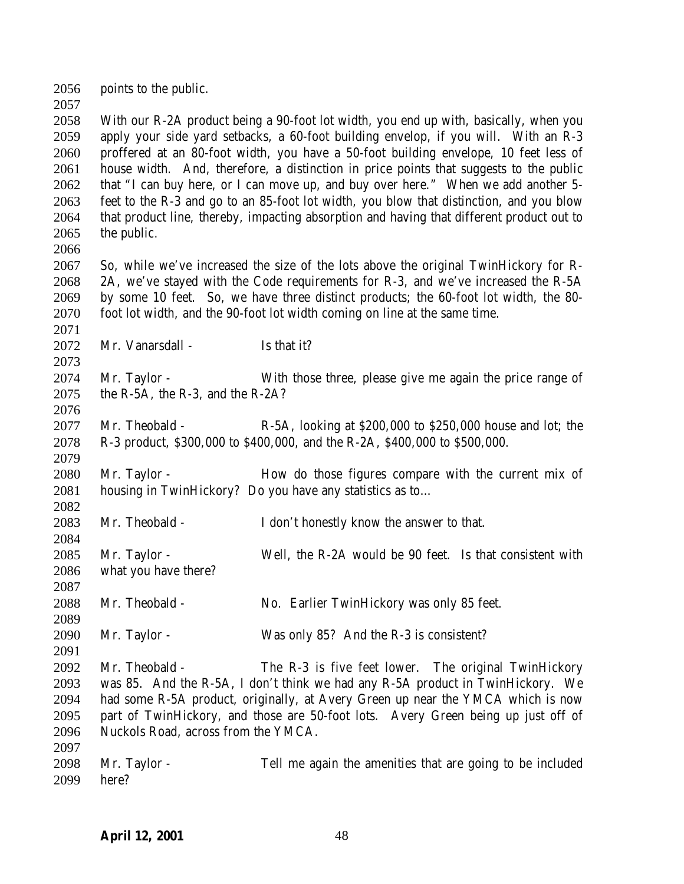points to the public.

 With our R-2A product being a 90-foot lot width, you end up with, basically, when you apply your side yard setbacks, a 60-foot building envelop, if you will. With an R-3 proffered at an 80-foot width, you have a 50-foot building envelope, 10 feet less of house width. And, therefore, a distinction in price points that suggests to the public that "I can buy here, or I can move up, and buy over here." When we add another 5- feet to the R-3 and go to an 85-foot lot width, you blow that distinction, and you blow that product line, thereby, impacting absorption and having that different product out to the public.

 So, while we've increased the size of the lots above the original TwinHickory for R- 2A, we've stayed with the Code requirements for R-3, and we've increased the R-5A by some 10 feet. So, we have three distinct products; the 60-foot lot width, the 80- foot lot width, and the 90-foot lot width coming on line at the same time.

2072 Mr. Vanarsdall - Is that it?

 Mr. Taylor - With those three, please give me again the price range of the R-5A, the R-3, and the R-2A? 

 Mr. Theobald - R-5A, looking at \$200,000 to \$250,000 house and lot; the R-3 product, \$300,000 to \$400,000, and the R-2A, \$400,000 to \$500,000.

 Mr. Taylor - How do those figures compare with the current mix of housing in TwinHickory? Do you have any statistics as to…

Mr. Theobald - I don't honestly know the answer to that.

 Mr. Taylor - Well, the R-2A would be 90 feet. Is that consistent with what you have there?

Mr. Theobald - No. Earlier TwinHickory was only 85 feet.

Mr. Taylor - Was only 85? And the R-3 is consistent?

 Mr. Theobald - The R-3 is five feet lower. The original TwinHickory was 85. And the R-5A, I don't think we had any R-5A product in TwinHickory. We had some R-5A product, originally, at Avery Green up near the YMCA which is now part of TwinHickory, and those are 50-foot lots. Avery Green being up just off of Nuckols Road, across from the YMCA. 

 Mr. Taylor - Tell me again the amenities that are going to be included here?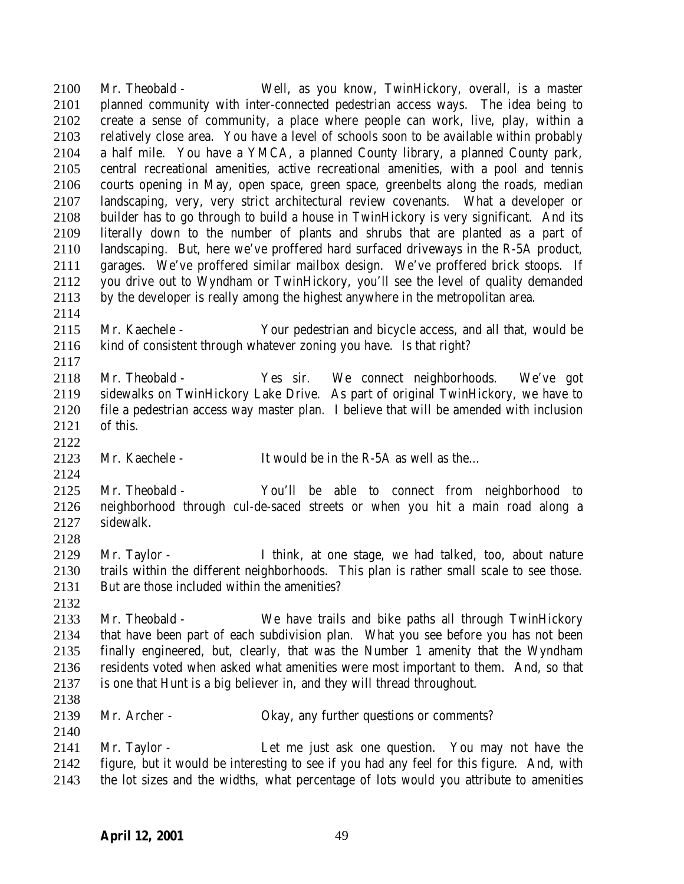Mr. Theobald - Well, as you know, TwinHickory, overall, is a master planned community with inter-connected pedestrian access ways. The idea being to create a sense of community, a place where people can work, live, play, within a relatively close area. You have a level of schools soon to be available within probably a half mile. You have a YMCA, a planned County library, a planned County park, central recreational amenities, active recreational amenities, with a pool and tennis courts opening in May, open space, green space, greenbelts along the roads, median landscaping, very, very strict architectural review covenants. What a developer or builder has to go through to build a house in TwinHickory is very significant. And its literally down to the number of plants and shrubs that are planted as a part of landscaping. But, here we've proffered hard surfaced driveways in the R-5A product, garages. We've proffered similar mailbox design. We've proffered brick stoops. If you drive out to Wyndham or TwinHickory, you'll see the level of quality demanded by the developer is really among the highest anywhere in the metropolitan area. 

 Mr. Kaechele - Your pedestrian and bicycle access, and all that, would be kind of consistent through whatever zoning you have. Is that right?

- Mr. Theobald Yes sir. We connect neighborhoods. We've got sidewalks on TwinHickory Lake Drive. As part of original TwinHickory, we have to file a pedestrian access way master plan. I believe that will be amended with inclusion of this.
- 

Mr. Kaechele - It would be in the R-5A as well as the…

 Mr. Theobald - You'll be able to connect from neighborhood to neighborhood through cul-de-saced streets or when you hit a main road along a sidewalk.

 Mr. Taylor - I think, at one stage, we had talked, too, about nature trails within the different neighborhoods. This plan is rather small scale to see those. But are those included within the amenities?

 Mr. Theobald - We have trails and bike paths all through TwinHickory that have been part of each subdivision plan. What you see before you has not been finally engineered, but, clearly, that was the Number 1 amenity that the Wyndham residents voted when asked what amenities were most important to them. And, so that is one that Hunt is a big believer in, and they will thread throughout.

Mr. Archer - Okay, any further questions or comments?

 Mr. Taylor - Let me just ask one question. You may not have the figure, but it would be interesting to see if you had any feel for this figure. And, with the lot sizes and the widths, what percentage of lots would you attribute to amenities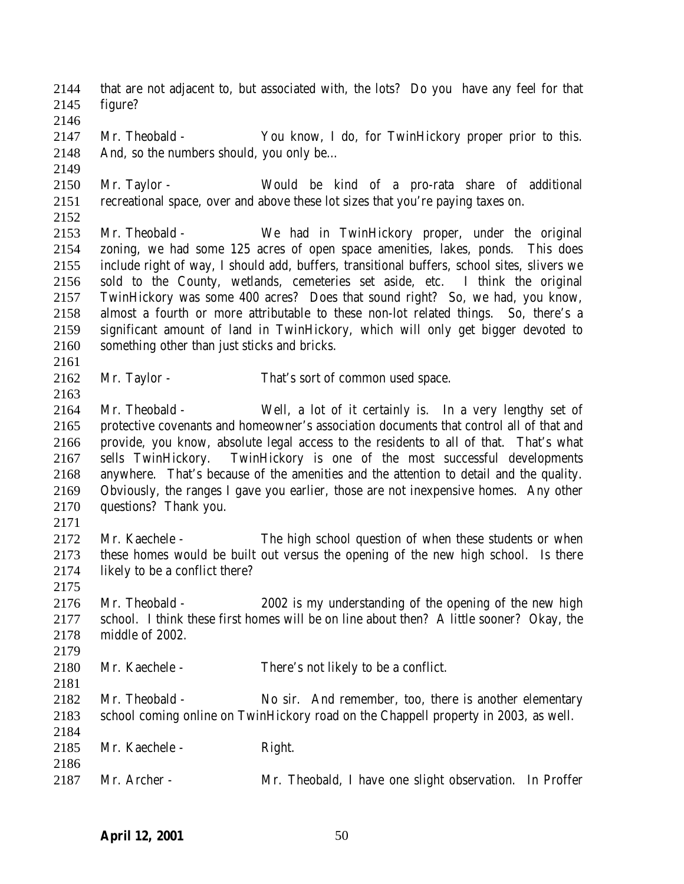that are not adjacent to, but associated with, the lots? Do you have any feel for that figure?

 Mr. Theobald - You know, I do, for TwinHickory proper prior to this. And, so the numbers should, you only be…

 Mr. Taylor - Would be kind of a pro-rata share of additional recreational space, over and above these lot sizes that you're paying taxes on.

 Mr. Theobald - We had in TwinHickory proper, under the original zoning, we had some 125 acres of open space amenities, lakes, ponds. This does include right of way, I should add, buffers, transitional buffers, school sites, slivers we sold to the County, wetlands, cemeteries set aside, etc. I think the original TwinHickory was some 400 acres? Does that sound right? So, we had, you know, almost a fourth or more attributable to these non-lot related things. So, there's a significant amount of land in TwinHickory, which will only get bigger devoted to something other than just sticks and bricks.

Mr. Taylor - That's sort of common used space.

 Mr. Theobald - Well, a lot of it certainly is. In a very lengthy set of protective covenants and homeowner's association documents that control all of that and provide, you know, absolute legal access to the residents to all of that. That's what sells TwinHickory. TwinHickory is one of the most successful developments anywhere. That's because of the amenities and the attention to detail and the quality. Obviously, the ranges I gave you earlier, those are not inexpensive homes. Any other questions? Thank you. 

 Mr. Kaechele - The high school question of when these students or when these homes would be built out versus the opening of the new high school. Is there likely to be a conflict there?

 Mr. Theobald - 2002 is my understanding of the opening of the new high school. I think these first homes will be on line about then? A little sooner? Okay, the middle of 2002.

 Mr. Kaechele - There's not likely to be a conflict. 

 Mr. Theobald - No sir. And remember, too, there is another elementary school coming online on TwinHickory road on the Chappell property in 2003, as well.

2185 Mr. Kaechele - Right.

Mr. Archer - Mr. Theobald, I have one slight observation. In Proffer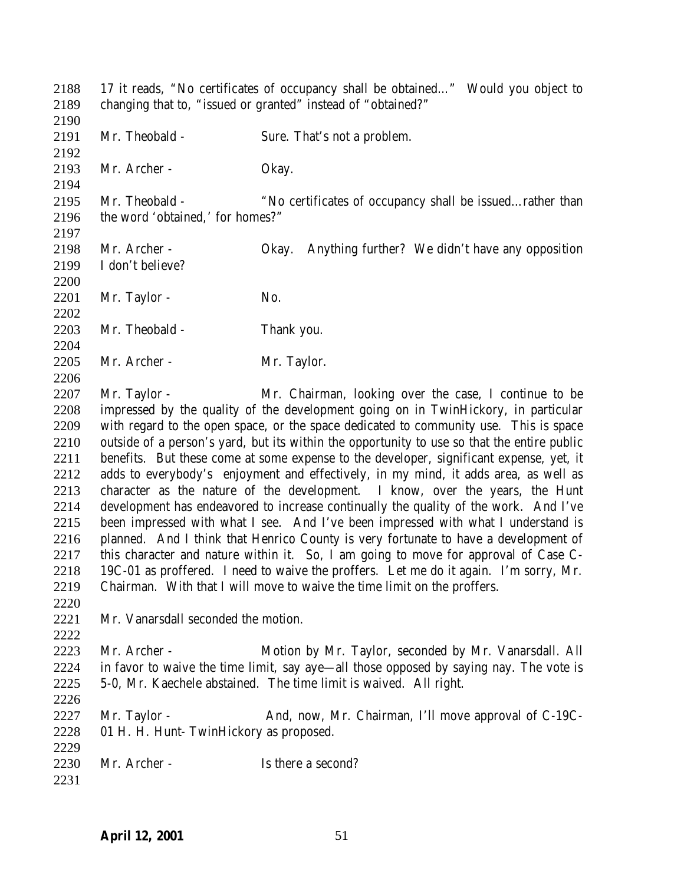17 it reads, "No certificates of occupancy shall be obtained…" Would you object to changing that to, "issued or granted" instead of "obtained?" Mr. Theobald - Sure. That's not a problem. 2193 Mr. Archer - Okay. Mr. Theobald - "No certificates of occupancy shall be issued…rather than the word 'obtained,' for homes?" Mr. Archer - Okay. Anything further? We didn't have any opposition I don't believe? 2201 Mr. Taylor - No. Mr. Theobald - Thank you. 2205 Mr. Archer - Mr. Taylor. 2207 Mr. Taylor - Mr. Chairman, looking over the case, I continue to be impressed by the quality of the development going on in TwinHickory, in particular with regard to the open space, or the space dedicated to community use. This is space outside of a person's yard, but its within the opportunity to use so that the entire public benefits. But these come at some expense to the developer, significant expense, yet, it adds to everybody's enjoyment and effectively, in my mind, it adds area, as well as character as the nature of the development. I know, over the years, the Hunt development has endeavored to increase continually the quality of the work. And I've been impressed with what I see. And I've been impressed with what I understand is planned. And I think that Henrico County is very fortunate to have a development of this character and nature within it. So, I am going to move for approval of Case C- 19C-01 as proffered. I need to waive the proffers. Let me do it again. I'm sorry, Mr. Chairman. With that I will move to waive the time limit on the proffers. Mr. Vanarsdall seconded the motion. Mr. Archer - Motion by Mr. Taylor, seconded by Mr. Vanarsdall. All in favor to waive the time limit, say aye—all those opposed by saying nay. The vote is 5-0, Mr. Kaechele abstained. The time limit is waived. All right. 2227 Mr. Taylor - And, now, Mr. Chairman, I'll move approval of C-19C- 01 H. H. Hunt- TwinHickory as proposed. 2230 Mr. Archer - Is there a second?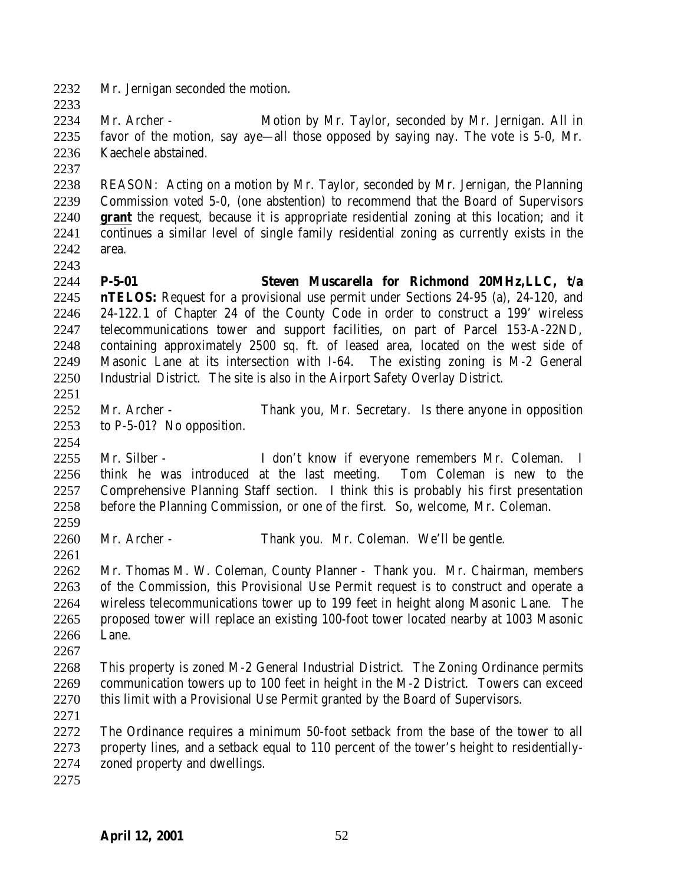Mr. Jernigan seconded the motion.

 Mr. Archer - Motion by Mr. Taylor, seconded by Mr. Jernigan. All in favor of the motion, say aye—all those opposed by saying nay. The vote is 5-0, Mr. Kaechele abstained.

 REASON: Acting on a motion by Mr. Taylor, seconded by Mr. Jernigan, the Planning Commission voted 5-0, (one abstention) to recommend that the Board of Supervisors **grant** the request, because it is appropriate residential zoning at this location; and it continues a similar level of single family residential zoning as currently exists in the area.

- **P-5-01 Steven Muscarella for Richmond 20MHz,LLC, t/a nTELOS:** Request for a provisional use permit under Sections 24-95 (a), 24-120, and 24-122.1 of Chapter 24 of the County Code in order to construct a 199' wireless telecommunications tower and support facilities, on part of Parcel 153-A-22ND, containing approximately 2500 sq. ft. of leased area, located on the west side of Masonic Lane at its intersection with I-64. The existing zoning is M-2 General Industrial District. The site is also in the Airport Safety Overlay District.
- Mr. Archer Thank you, Mr. Secretary. Is there anyone in opposition to P-5-01? No opposition.
- Mr. Silber I don't know if everyone remembers Mr. Coleman. I think he was introduced at the last meeting. Tom Coleman is new to the Comprehensive Planning Staff section. I think this is probably his first presentation before the Planning Commission, or one of the first. So, welcome, Mr. Coleman.
- Mr. Archer - Thank you. Mr. Coleman. We'll be gentle.

 Mr. Thomas M. W. Coleman, County Planner - Thank you. Mr. Chairman, members of the Commission, this Provisional Use Permit request is to construct and operate a wireless telecommunications tower up to 199 feet in height along Masonic Lane. The proposed tower will replace an existing 100-foot tower located nearby at 1003 Masonic Lane. 

 This property is zoned M-2 General Industrial District. The Zoning Ordinance permits communication towers up to 100 feet in height in the M-2 District. Towers can exceed this limit with a Provisional Use Permit granted by the Board of Supervisors.

 The Ordinance requires a minimum 50-foot setback from the base of the tower to all property lines, and a setback equal to 110 percent of the tower's height to residentially-zoned property and dwellings.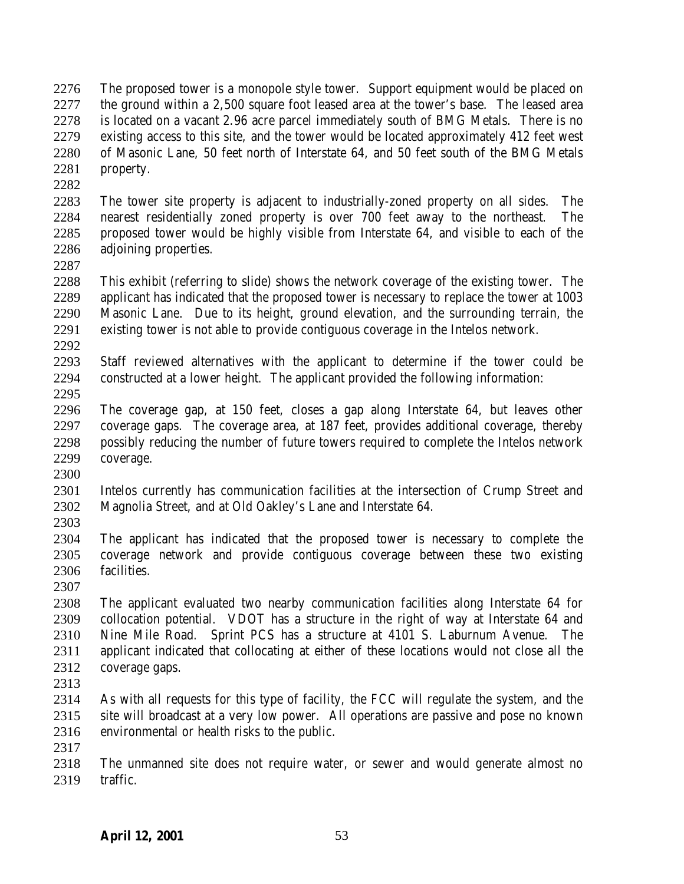The proposed tower is a monopole style tower. Support equipment would be placed on the ground within a 2,500 square foot leased area at the tower's base. The leased area is located on a vacant 2.96 acre parcel immediately south of BMG Metals. There is no existing access to this site, and the tower would be located approximately 412 feet west of Masonic Lane, 50 feet north of Interstate 64, and 50 feet south of the BMG Metals property.

 The tower site property is adjacent to industrially-zoned property on all sides. The nearest residentially zoned property is over 700 feet away to the northeast. The proposed tower would be highly visible from Interstate 64, and visible to each of the adjoining properties.

 This exhibit (referring to slide) shows the network coverage of the existing tower. The applicant has indicated that the proposed tower is necessary to replace the tower at 1003 Masonic Lane. Due to its height, ground elevation, and the surrounding terrain, the existing tower is not able to provide contiguous coverage in the Intelos network. 

 Staff reviewed alternatives with the applicant to determine if the tower could be constructed at a lower height. The applicant provided the following information: 

 The coverage gap, at 150 feet, closes a gap along Interstate 64, but leaves other coverage gaps. The coverage area, at 187 feet, provides additional coverage, thereby possibly reducing the number of future towers required to complete the Intelos network coverage.

 Intelos currently has communication facilities at the intersection of Crump Street and Magnolia Street, and at Old Oakley's Lane and Interstate 64. 

 The applicant has indicated that the proposed tower is necessary to complete the coverage network and provide contiguous coverage between these two existing facilities.

 The applicant evaluated two nearby communication facilities along Interstate 64 for collocation potential. VDOT has a structure in the right of way at Interstate 64 and Nine Mile Road. Sprint PCS has a structure at 4101 S. Laburnum Avenue. The applicant indicated that collocating at either of these locations would not close all the coverage gaps.

 As with all requests for this type of facility, the FCC will regulate the system, and the site will broadcast at a very low power. All operations are passive and pose no known environmental or health risks to the public.

 The unmanned site does not require water, or sewer and would generate almost no traffic.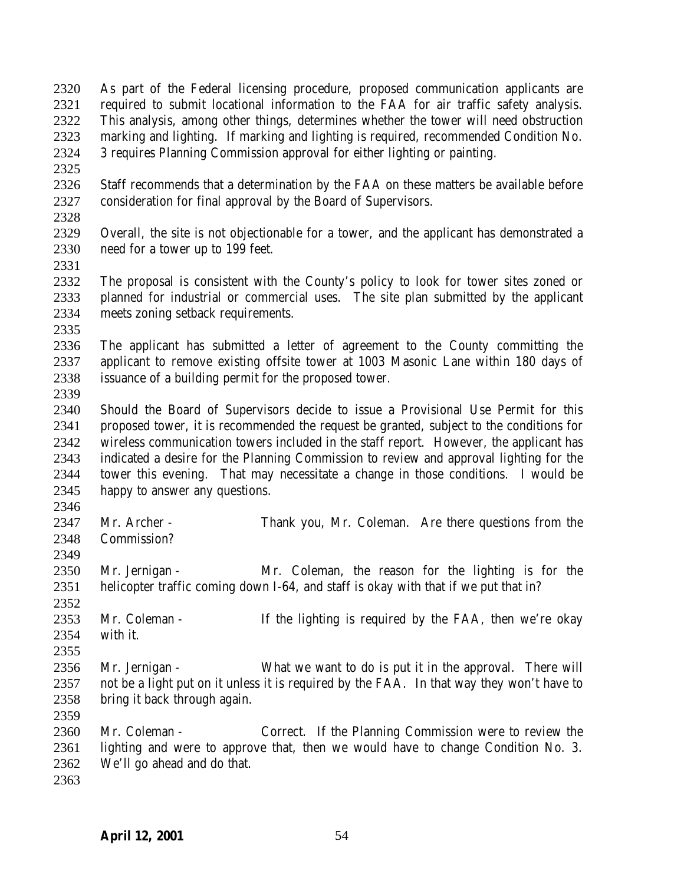- As part of the Federal licensing procedure, proposed communication applicants are required to submit locational information to the FAA for air traffic safety analysis. This analysis, among other things, determines whether the tower will need obstruction marking and lighting. If marking and lighting is required, recommended Condition No. 3 requires Planning Commission approval for either lighting or painting.
- 
- Staff recommends that a determination by the FAA on these matters be available before consideration for final approval by the Board of Supervisors.
- Overall, the site is not objectionable for a tower, and the applicant has demonstrated a need for a tower up to 199 feet.
- 
- The proposal is consistent with the County's policy to look for tower sites zoned or planned for industrial or commercial uses. The site plan submitted by the applicant meets zoning setback requirements.
- 
- The applicant has submitted a letter of agreement to the County committing the applicant to remove existing offsite tower at 1003 Masonic Lane within 180 days of issuance of a building permit for the proposed tower.
- Should the Board of Supervisors decide to issue a Provisional Use Permit for this proposed tower, it is recommended the request be granted, subject to the conditions for wireless communication towers included in the staff report. However, the applicant has indicated a desire for the Planning Commission to review and approval lighting for the tower this evening. That may necessitate a change in those conditions. I would be happy to answer any questions.
- 
- 2347 Mr. Archer Thank you, Mr. Coleman. Are there questions from the Commission?
- Mr. Jernigan Mr. Coleman, the reason for the lighting is for the helicopter traffic coming down I-64, and staff is okay with that if we put that in?
- Mr. Coleman - If the lighting is required by the FAA, then we're okay with it.
- Mr. Jernigan What we want to do is put it in the approval. There will not be a light put on it unless it is required by the FAA. In that way they won't have to bring it back through again.
- Mr. Coleman Correct. If the Planning Commission were to review the lighting and were to approve that, then we would have to change Condition No. 3. We'll go ahead and do that.
-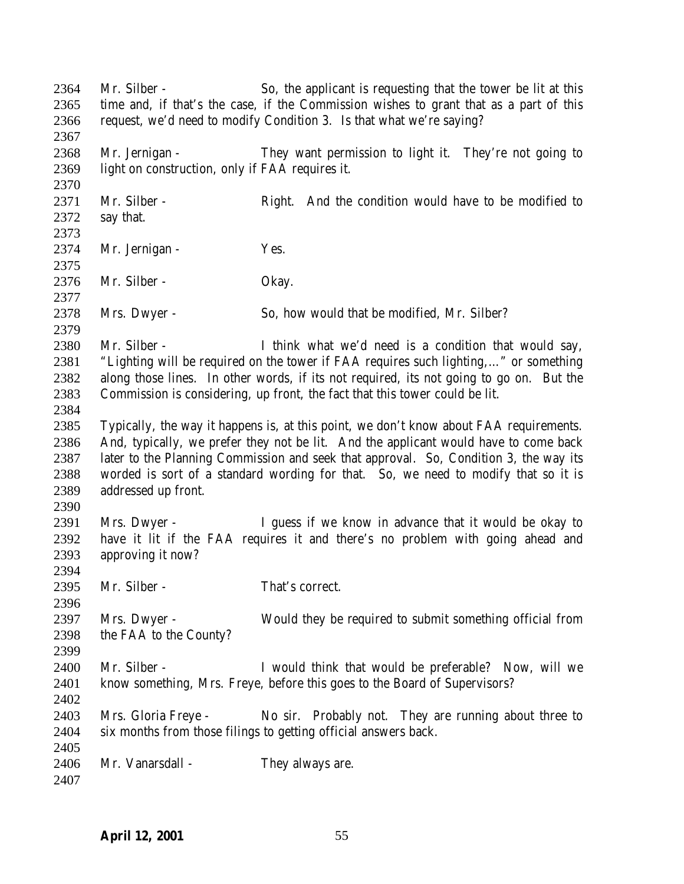Mr. Silber - So, the applicant is requesting that the tower be lit at this time and, if that's the case, if the Commission wishes to grant that as a part of this request, we'd need to modify Condition 3. Is that what we're saying? Mr. Jernigan - They want permission to light it. They're not going to light on construction, only if FAA requires it. 2371 Mr. Silber - Right. And the condition would have to be modified to say that. 2374 Mr. Jernigan - Yes. Mr. Silber - Okay. 2378 Mrs. Dwyer - So, how would that be modified, Mr. Silber? Mr. Silber - I think what we'd need is a condition that would say, "Lighting will be required on the tower if FAA requires such lighting,…" or something along those lines. In other words, if its not required, its not going to go on. But the Commission is considering, up front, the fact that this tower could be lit. Typically, the way it happens is, at this point, we don't know about FAA requirements. And, typically, we prefer they not be lit. And the applicant would have to come back later to the Planning Commission and seek that approval. So, Condition 3, the way its worded is sort of a standard wording for that. So, we need to modify that so it is addressed up front. Mrs. Dwyer - I guess if we know in advance that it would be okay to have it lit if the FAA requires it and there's no problem with going ahead and approving it now? 2395 Mr. Silber - That's correct. Mrs. Dwyer - Would they be required to submit something official from the FAA to the County? Mr. Silber - I would think that would be preferable? Now, will we know something, Mrs. Freye, before this goes to the Board of Supervisors? Mrs. Gloria Freye - No sir. Probably not. They are running about three to six months from those filings to getting official answers back. 2406 Mr. Vanarsdall - They always are.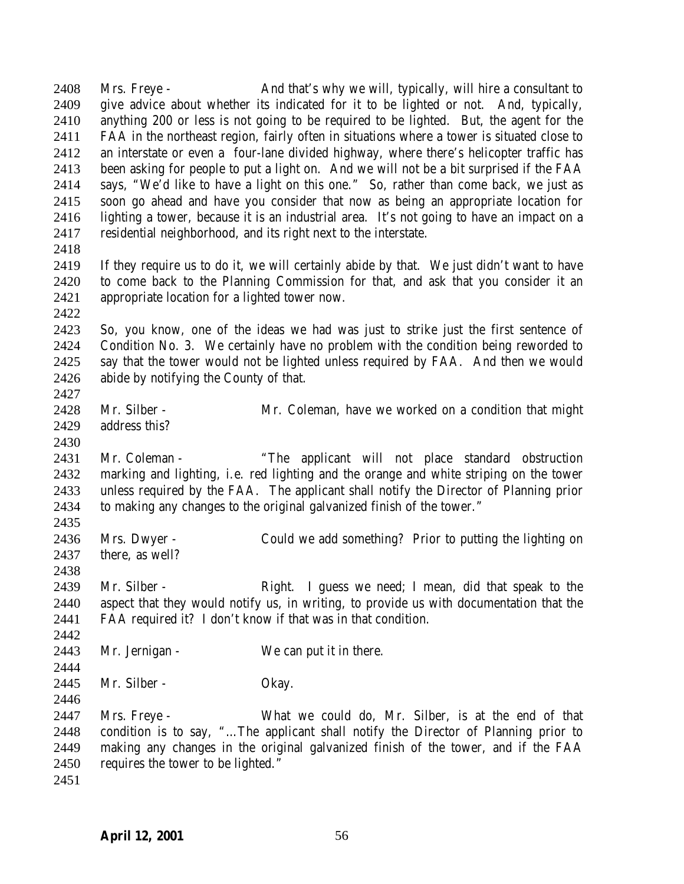Mrs. Freye - And that's why we will, typically, will hire a consultant to give advice about whether its indicated for it to be lighted or not. And, typically, anything 200 or less is not going to be required to be lighted. But, the agent for the FAA in the northeast region, fairly often in situations where a tower is situated close to an interstate or even a four-lane divided highway, where there's helicopter traffic has been asking for people to put a light on. And we will not be a bit surprised if the FAA says, "We'd like to have a light on this one." So, rather than come back, we just as soon go ahead and have you consider that now as being an appropriate location for lighting a tower, because it is an industrial area. It's not going to have an impact on a residential neighborhood, and its right next to the interstate. If they require us to do it, we will certainly abide by that. We just didn't want to have to come back to the Planning Commission for that, and ask that you consider it an appropriate location for a lighted tower now. So, you know, one of the ideas we had was just to strike just the first sentence of Condition No. 3. We certainly have no problem with the condition being reworded to say that the tower would not be lighted unless required by FAA. And then we would abide by notifying the County of that. Mr. Silber - Mr. Coleman, have we worked on a condition that might address this? Mr. Coleman - "The applicant will not place standard obstruction marking and lighting, i.e. red lighting and the orange and white striping on the tower unless required by the FAA. The applicant shall notify the Director of Planning prior to making any changes to the original galvanized finish of the tower." Mrs. Dwyer - Could we add something? Prior to putting the lighting on there, as well? 2439 Mr. Silber - Right. I guess we need; I mean, did that speak to the aspect that they would notify us, in writing, to provide us with documentation that the FAA required it? I don't know if that was in that condition. 2443 Mr. Jernigan - We can put it in there. 2445 Mr. Silber - Okay. Mrs. Freye - What we could do, Mr. Silber, is at the end of that condition is to say, "…The applicant shall notify the Director of Planning prior to making any changes in the original galvanized finish of the tower, and if the FAA requires the tower to be lighted."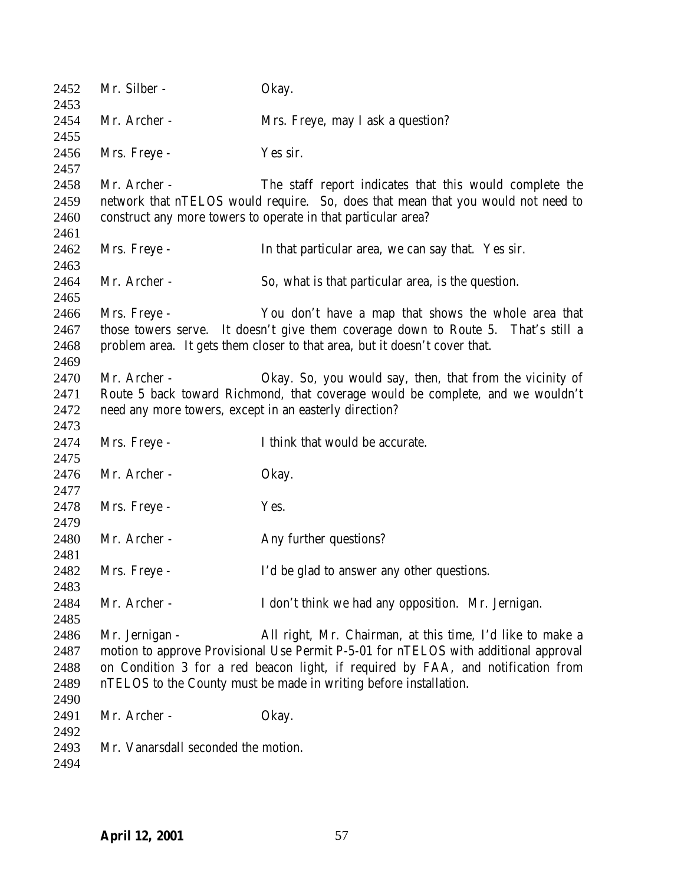Mr. Silber - Okay. Mr. Archer - Mrs. Freye, may I ask a question? Mrs. Freye - Yes sir. Mr. Archer - The staff report indicates that this would complete the network that nTELOS would require. So, does that mean that you would not need to construct any more towers to operate in that particular area? Mrs. Freye - In that particular area, we can say that. Yes sir. Mr. Archer - So, what is that particular area, is the question. Mrs. Freye - You don't have a map that shows the whole area that those towers serve. It doesn't give them coverage down to Route 5. That's still a problem area. It gets them closer to that area, but it doesn't cover that. Mr. Archer - Okay. So, you would say, then, that from the vicinity of Route 5 back toward Richmond, that coverage would be complete, and we wouldn't need any more towers, except in an easterly direction? Mrs. Freye - I think that would be accurate. 2476 Mr. Archer - Okay. 2478 Mrs. Freye - Yes. 2480 Mr. Archer - Any further questions? Mrs. Freye - I'd be glad to answer any other questions. Mr. Archer - I don't think we had any opposition. Mr. Jernigan. Mr. Jernigan - All right, Mr. Chairman, at this time, I'd like to make a motion to approve Provisional Use Permit P-5-01 for nTELOS with additional approval on Condition 3 for a red beacon light, if required by FAA, and notification from nTELOS to the County must be made in writing before installation. 2491 Mr. Archer - Okay. Mr. Vanarsdall seconded the motion.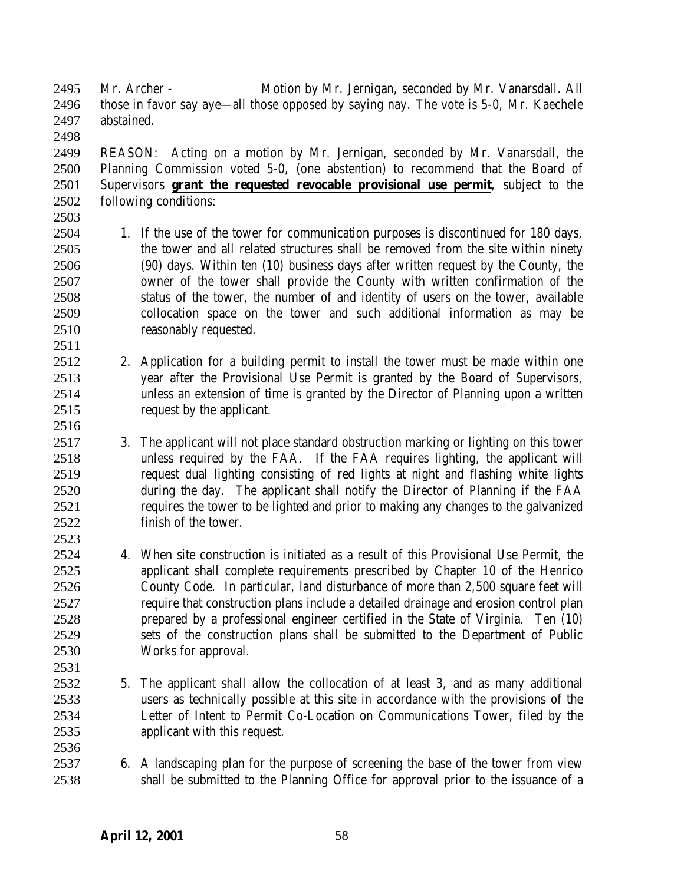Mr. Archer - Motion by Mr. Jernigan, seconded by Mr. Vanarsdall. All those in favor say aye—all those opposed by saying nay. The vote is 5-0, Mr. Kaechele abstained. 

 REASON: Acting on a motion by Mr. Jernigan, seconded by Mr. Vanarsdall, the Planning Commission voted 5-0, (one abstention) to recommend that the Board of Supervisors **grant the requested revocable provisional use permit**, subject to the following conditions:

- 1. If the use of the tower for communication purposes is discontinued for 180 days, the tower and all related structures shall be removed from the site within ninety (90) days. Within ten (10) business days after written request by the County, the owner of the tower shall provide the County with written confirmation of the status of the tower, the number of and identity of users on the tower, available collocation space on the tower and such additional information as may be reasonably requested.
- 2. Application for a building permit to install the tower must be made within one year after the Provisional Use Permit is granted by the Board of Supervisors, unless an extension of time is granted by the Director of Planning upon a written request by the applicant.
- 3. The applicant will not place standard obstruction marking or lighting on this tower unless required by the FAA. If the FAA requires lighting, the applicant will request dual lighting consisting of red lights at night and flashing white lights during the day. The applicant shall notify the Director of Planning if the FAA requires the tower to be lighted and prior to making any changes to the galvanized finish of the tower.
- 4. When site construction is initiated as a result of this Provisional Use Permit, the applicant shall complete requirements prescribed by Chapter 10 of the Henrico County Code. In particular, land disturbance of more than 2,500 square feet will require that construction plans include a detailed drainage and erosion control plan prepared by a professional engineer certified in the State of Virginia. Ten (10) sets of the construction plans shall be submitted to the Department of Public Works for approval.
- 5. The applicant shall allow the collocation of at least 3, and as many additional users as technically possible at this site in accordance with the provisions of the Letter of Intent to Permit Co-Location on Communications Tower, filed by the applicant with this request.
- 6. A landscaping plan for the purpose of screening the base of the tower from view shall be submitted to the Planning Office for approval prior to the issuance of a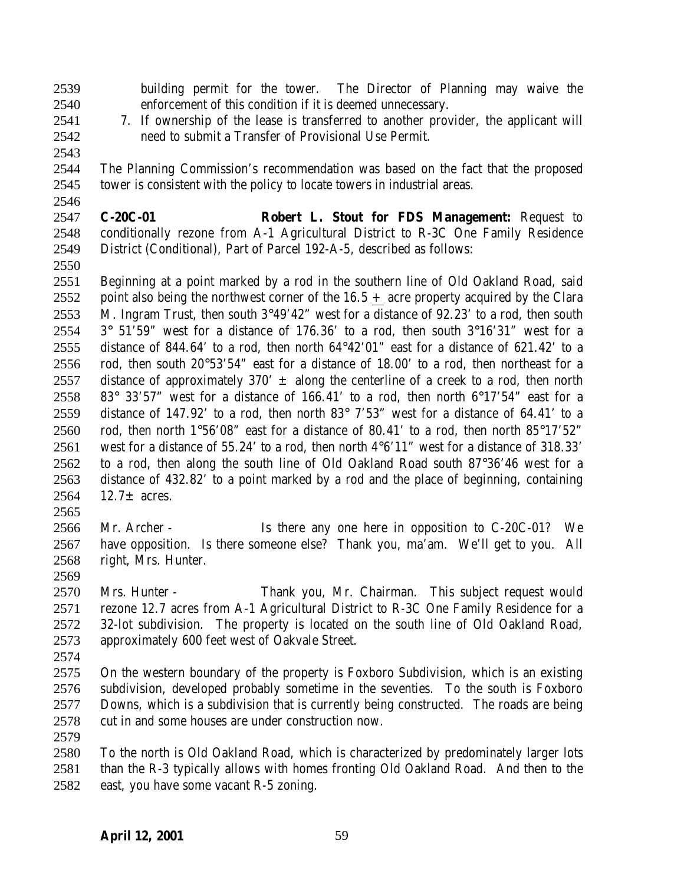- building permit for the tower. The Director of Planning may waive the enforcement of this condition if it is deemed unnecessary.
- 
- 

 7. If ownership of the lease is transferred to another provider, the applicant will need to submit a Transfer of Provisional Use Permit.

 The Planning Commission's recommendation was based on the fact that the proposed tower is consistent with the policy to locate towers in industrial areas.

 **C-20C-01 Robert L. Stout for FDS Management:** Request to conditionally rezone from A-1 Agricultural District to R-3C One Family Residence District (Conditional), Part of Parcel 192-A-5, described as follows:

- Beginning at a point marked by a rod in the southern line of Old Oakland Road, said 2552 point also being the northwest corner of the  $16.5 +$  acre property acquired by the Clara M. Ingram Trust, then south 3°49'42" west for a distance of 92.23' to a rod, then south 2554  $3^{\circ}$  51'59" west for a distance of 176.36' to a rod, then south  $3^{\circ}16'31''$  west for a distance of 844.64' to a rod, then north 64°42'01" east for a distance of 621.42' to a rod, then south 20°53'54" east for a distance of 18.00' to a rod, then northeast for a 2557 distance of approximately 370'  $\pm$  along the centerline of a creek to a rod, then north 2558 83° 33'57" west for a distance of 166.41' to a rod, then north  $6^{\circ}17'54"$  east for a distance of 147.92' to a rod, then north 83° 7'53" west for a distance of 64.41' to a 2560 rod, then north  $1^{\circ}56'08''$  east for a distance of 80.41' to a rod, then north  $85^{\circ}17'52''$  west for a distance of 55.24' to a rod, then north 4°6'11" west for a distance of 318.33' to a rod, then along the south line of Old Oakland Road south 87°36'46 west for a distance of 432.82' to a point marked by a rod and the place of beginning, containing 2564 12.7 $\pm$  acres.
- Mr. Archer Is there any one here in opposition to C-20C-01? We have opposition. Is there someone else? Thank you, ma'am. We'll get to you. All right, Mrs. Hunter.
- 

 Mrs. Hunter - Thank you, Mr. Chairman. This subject request would rezone 12.7 acres from A-1 Agricultural District to R-3C One Family Residence for a 32-lot subdivision. The property is located on the south line of Old Oakland Road, approximately 600 feet west of Oakvale Street.

 On the western boundary of the property is Foxboro Subdivision, which is an existing subdivision, developed probably sometime in the seventies. To the south is Foxboro Downs, which is a subdivision that is currently being constructed. The roads are being cut in and some houses are under construction now.

 To the north is Old Oakland Road, which is characterized by predominately larger lots than the R-3 typically allows with homes fronting Old Oakland Road. And then to the east, you have some vacant R-5 zoning.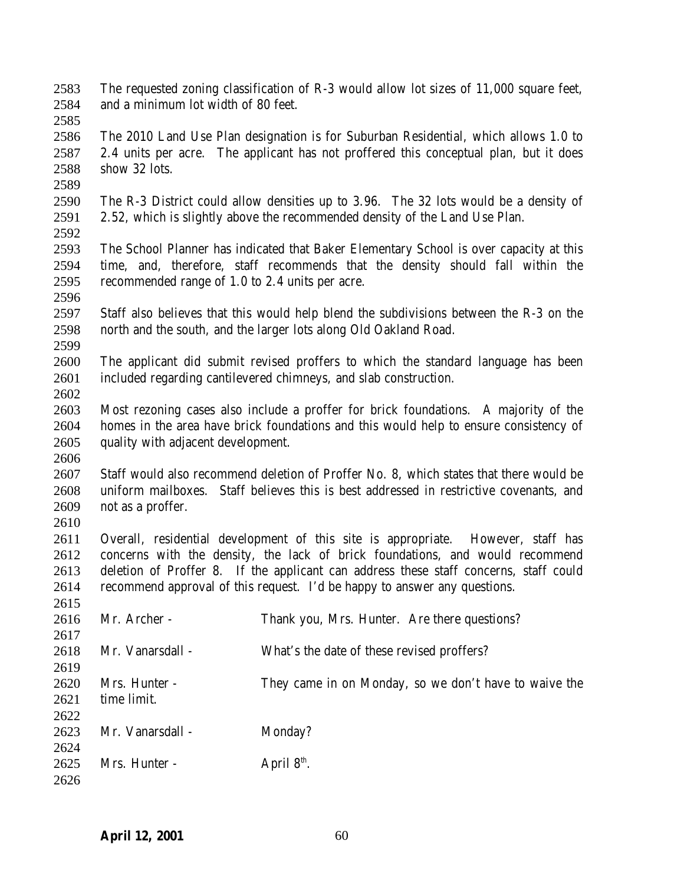- The requested zoning classification of R-3 would allow lot sizes of 11,000 square feet, and a minimum lot width of 80 feet.
- 

 The 2010 Land Use Plan designation is for Suburban Residential, which allows 1.0 to 2.4 units per acre. The applicant has not proffered this conceptual plan, but it does show 32 lots.

- The R-3 District could allow densities up to 3.96. The 32 lots would be a density of 2.52, which is slightly above the recommended density of the Land Use Plan.
- The School Planner has indicated that Baker Elementary School is over capacity at this time, and, therefore, staff recommends that the density should fall within the recommended range of 1.0 to 2.4 units per acre.
- Staff also believes that this would help blend the subdivisions between the R-3 on the north and the south, and the larger lots along Old Oakland Road.
- The applicant did submit revised proffers to which the standard language has been included regarding cantilevered chimneys, and slab construction.
- Most rezoning cases also include a proffer for brick foundations. A majority of the homes in the area have brick foundations and this would help to ensure consistency of quality with adjacent development.
- 

 Staff would also recommend deletion of Proffer No. 8, which states that there would be uniform mailboxes. Staff believes this is best addressed in restrictive covenants, and not as a proffer. 

 Overall, residential development of this site is appropriate. However, staff has concerns with the density, the lack of brick foundations, and would recommend deletion of Proffer 8. If the applicant can address these staff concerns, staff could recommend approval of this request. I'd be happy to answer any questions. 

| 201J |                  |                                                       |
|------|------------------|-------------------------------------------------------|
| 2616 | Mr. Archer -     | Thank you, Mrs. Hunter. Are there questions?          |
| 2617 |                  |                                                       |
| 2618 | Mr. Vanarsdall - | What's the date of these revised proffers?            |
| 2619 |                  |                                                       |
| 2620 | Mrs. Hunter -    | They came in on Monday, so we don't have to waive the |
| 2621 | time limit.      |                                                       |
| 2622 |                  |                                                       |
| 2623 | Mr. Vanarsdall - | Monday?                                               |
| 2624 |                  |                                                       |
| 2625 | Mrs. Hunter -    | April $8^{\text{th}}$ .                               |
| 2626 |                  |                                                       |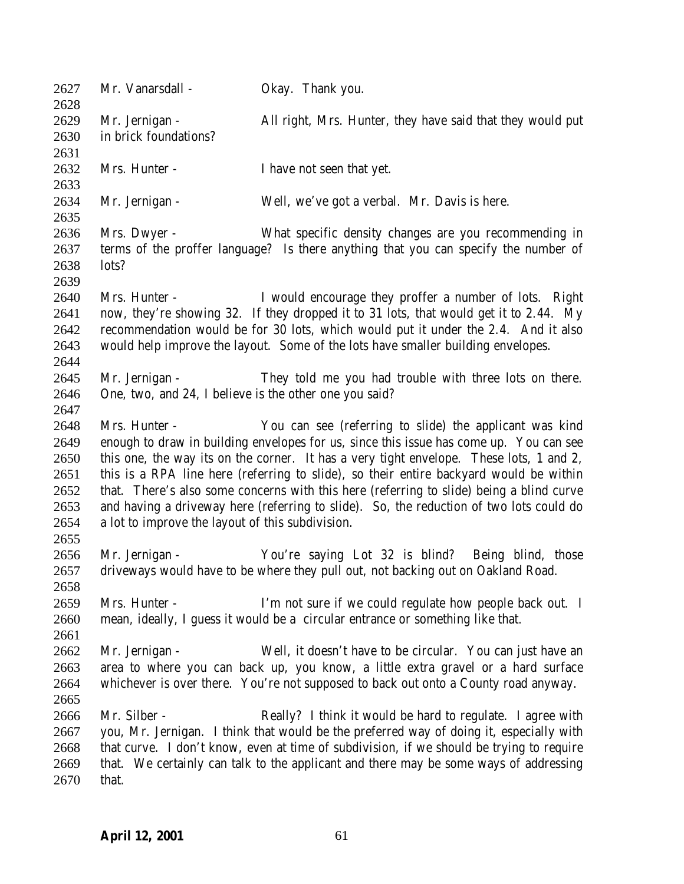| 2627<br>2628 | Mr. Vanarsdall -                                                                         | Okay. Thank you.                                                                         |  |
|--------------|------------------------------------------------------------------------------------------|------------------------------------------------------------------------------------------|--|
| 2629         | Mr. Jernigan -                                                                           | All right, Mrs. Hunter, they have said that they would put                               |  |
| 2630         | in brick foundations?                                                                    |                                                                                          |  |
| 2631         |                                                                                          |                                                                                          |  |
| 2632         | Mrs. Hunter -                                                                            | I have not seen that yet.                                                                |  |
| 2633         |                                                                                          |                                                                                          |  |
| 2634         | Mr. Jernigan -                                                                           | Well, we've got a verbal. Mr. Davis is here.                                             |  |
| 2635         |                                                                                          |                                                                                          |  |
| 2636         | Mrs. Dwyer -                                                                             | What specific density changes are you recommending in                                    |  |
| 2637         |                                                                                          | terms of the proffer language? Is there anything that you can specify the number of      |  |
| 2638         | lots?                                                                                    |                                                                                          |  |
| 2639         |                                                                                          |                                                                                          |  |
| 2640         | Mrs. Hunter -                                                                            | I would encourage they proffer a number of lots. Right                                   |  |
| 2641         |                                                                                          | now, they're showing 32. If they dropped it to 31 lots, that would get it to 2.44. My    |  |
| 2642         | recommendation would be for 30 lots, which would put it under the 2.4. And it also       |                                                                                          |  |
| 2643         | would help improve the layout. Some of the lots have smaller building envelopes.         |                                                                                          |  |
| 2644         |                                                                                          |                                                                                          |  |
| 2645         | Mr. Jernigan -                                                                           | They told me you had trouble with three lots on there.                                   |  |
| 2646         | One, two, and 24, I believe is the other one you said?                                   |                                                                                          |  |
| 2647         |                                                                                          |                                                                                          |  |
| 2648         | Mrs. Hunter -                                                                            | You can see (referring to slide) the applicant was kind                                  |  |
| 2649         |                                                                                          | enough to draw in building envelopes for us, since this issue has come up. You can see   |  |
| 2650         | this one, the way its on the corner. It has a very tight envelope. These lots, 1 and 2,  |                                                                                          |  |
| 2651         | this is a RPA line here (referring to slide), so their entire backyard would be within   |                                                                                          |  |
| 2652         |                                                                                          | that. There's also some concerns with this here (referring to slide) being a blind curve |  |
| 2653         |                                                                                          | and having a driveway here (referring to slide). So, the reduction of two lots could do  |  |
| 2654         | a lot to improve the layout of this subdivision.                                         |                                                                                          |  |
| 2655         |                                                                                          |                                                                                          |  |
| 2656         | Mr. Jernigan -                                                                           | You're saying Lot 32 is blind?<br>Being blind, those                                     |  |
| 2657         |                                                                                          | driveways would have to be where they pull out, not backing out on Oakland Road.         |  |
| 2658         |                                                                                          |                                                                                          |  |
| 2659         | Mrs. Hunter -                                                                            | I'm not sure if we could regulate how people back out. I                                 |  |
| 2660         |                                                                                          | mean, ideally, I guess it would be a circular entrance or something like that.           |  |
| 2661         |                                                                                          |                                                                                          |  |
| 2662         | Mr. Jernigan -                                                                           | Well, it doesn't have to be circular. You can just have an                               |  |
| 2663         |                                                                                          | area to where you can back up, you know, a little extra gravel or a hard surface         |  |
| 2664         |                                                                                          | whichever is over there. You're not supposed to back out onto a County road anyway.      |  |
| 2665         |                                                                                          |                                                                                          |  |
| 2666         | Mr. Silber -                                                                             | Really? I think it would be hard to regulate. I agree with                               |  |
| 2667         |                                                                                          | you, Mr. Jernigan. I think that would be the preferred way of doing it, especially with  |  |
| 2668         | that curve. I don't know, even at time of subdivision, if we should be trying to require |                                                                                          |  |
| 2669         |                                                                                          | that. We certainly can talk to the applicant and there may be some ways of addressing    |  |
| 2670         | that.                                                                                    |                                                                                          |  |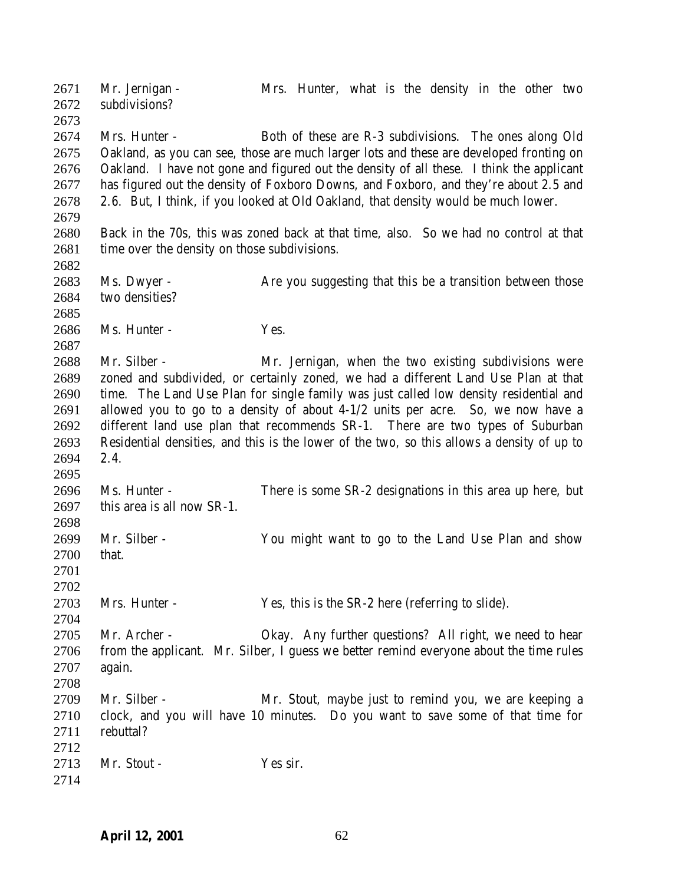Mr. Jernigan - Mrs. Hunter, what is the density in the other two subdivisions? Mrs. Hunter - Both of these are R-3 subdivisions. The ones along Old Oakland, as you can see, those are much larger lots and these are developed fronting on Oakland. I have not gone and figured out the density of all these. I think the applicant has figured out the density of Foxboro Downs, and Foxboro, and they're about 2.5 and 2.6. But, I think, if you looked at Old Oakland, that density would be much lower. Back in the 70s, this was zoned back at that time, also. So we had no control at that 2681 time over the density on those subdivisions. 2683 Ms. Dwyer - Are you suggesting that this be a transition between those 2684 two densities? Ms. Hunter - Yes. Mr. Silber - Mr. Jernigan, when the two existing subdivisions were zoned and subdivided, or certainly zoned, we had a different Land Use Plan at that time. The Land Use Plan for single family was just called low density residential and allowed you to go to a density of about 4-1/2 units per acre. So, we now have a different land use plan that recommends SR-1. There are two types of Suburban Residential densities, and this is the lower of the two, so this allows a density of up to 2.4. Ms. Hunter - There is some SR-2 designations in this area up here, but this area is all now SR-1. Mr. Silber - You might want to go to the Land Use Plan and show that. Mrs. Hunter - Yes, this is the SR-2 here (referring to slide). Mr. Archer - Okay. Any further questions? All right, we need to hear from the applicant. Mr. Silber, I guess we better remind everyone about the time rules again. Mr. Silber - Mr. Stout, maybe just to remind you, we are keeping a clock, and you will have 10 minutes. Do you want to save some of that time for rebuttal? 2713 Mr. Stout - Yes sir.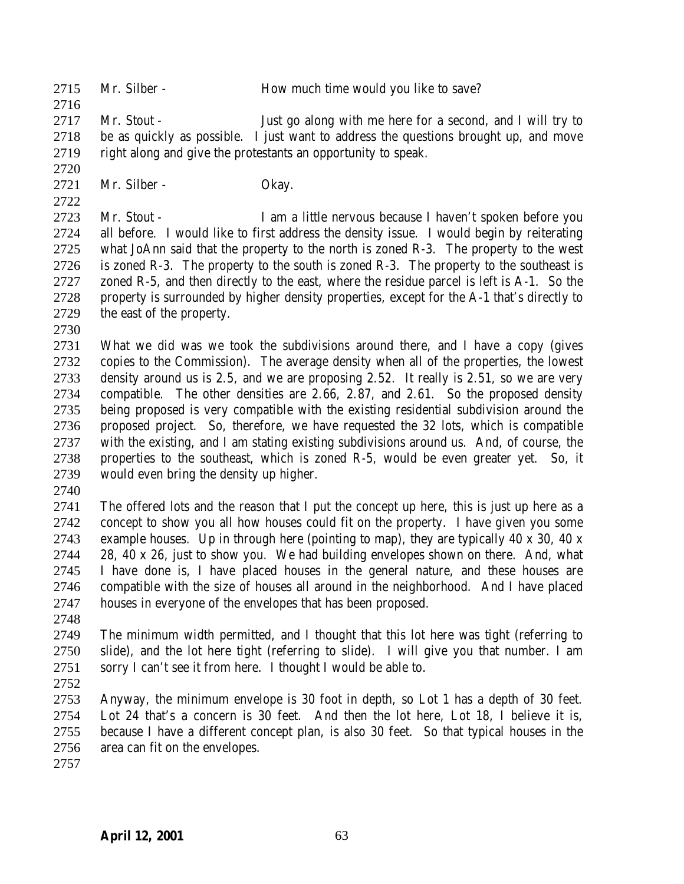2715 Mr. Silber - How much time would you like to save?

 Mr. Stout - Just go along with me here for a second, and I will try to be as quickly as possible. I just want to address the questions brought up, and move right along and give the protestants an opportunity to speak.

Mr. Silber - Okay.

 Mr. Stout - I am a little nervous because I haven't spoken before you all before. I would like to first address the density issue. I would begin by reiterating what JoAnn said that the property to the north is zoned R-3. The property to the west 2726 is zoned R-3. The property to the south is zoned R-3. The property to the southeast is zoned R-5, and then directly to the east, where the residue parcel is left is A-1. So the property is surrounded by higher density properties, except for the A-1 that's directly to the east of the property.

 What we did was we took the subdivisions around there, and I have a copy (gives copies to the Commission). The average density when all of the properties, the lowest density around us is 2.5, and we are proposing 2.52. It really is 2.51, so we are very compatible. The other densities are 2.66, 2.87, and 2.61. So the proposed density being proposed is very compatible with the existing residential subdivision around the proposed project. So, therefore, we have requested the 32 lots, which is compatible with the existing, and I am stating existing subdivisions around us. And, of course, the properties to the southeast, which is zoned R-5, would be even greater yet. So, it would even bring the density up higher.

 The offered lots and the reason that I put the concept up here, this is just up here as a concept to show you all how houses could fit on the property. I have given you some example houses. Up in through here (pointing to map), they are typically 40 x 30, 40 x 28, 40 x 26, just to show you. We had building envelopes shown on there. And, what I have done is, I have placed houses in the general nature, and these houses are compatible with the size of houses all around in the neighborhood. And I have placed houses in everyone of the envelopes that has been proposed.

 The minimum width permitted, and I thought that this lot here was tight (referring to slide), and the lot here tight (referring to slide). I will give you that number. I am sorry I can't see it from here. I thought I would be able to.

 Anyway, the minimum envelope is 30 foot in depth, so Lot 1 has a depth of 30 feet. Lot 24 that's a concern is 30 feet. And then the lot here, Lot 18, I believe it is, because I have a different concept plan, is also 30 feet. So that typical houses in the area can fit on the envelopes.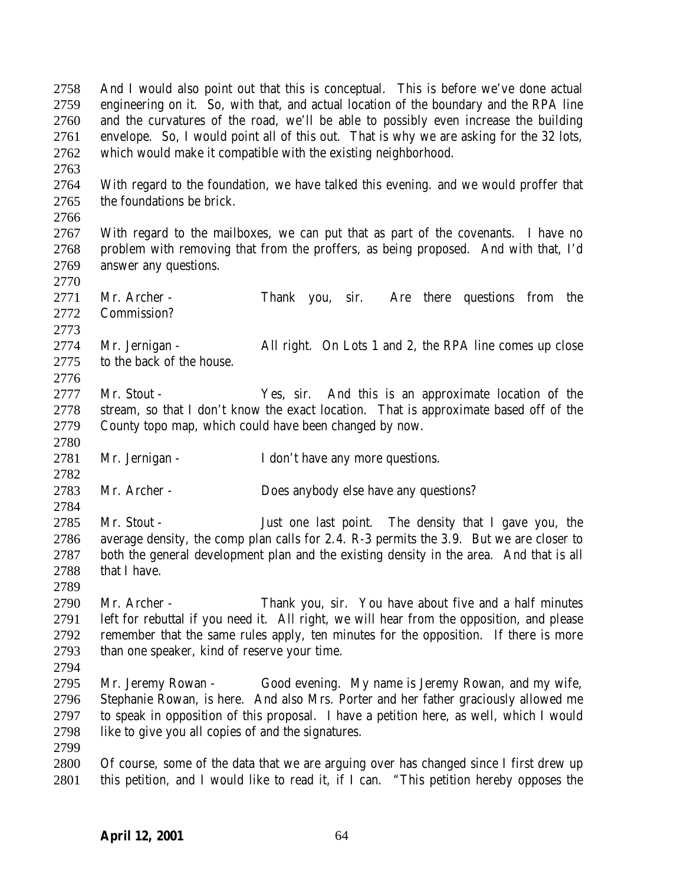And I would also point out that this is conceptual. This is before we've done actual engineering on it. So, with that, and actual location of the boundary and the RPA line and the curvatures of the road, we'll be able to possibly even increase the building envelope. So, I would point all of this out. That is why we are asking for the 32 lots, which would make it compatible with the existing neighborhood.

 With regard to the foundation, we have talked this evening. and we would proffer that the foundations be brick.

 With regard to the mailboxes, we can put that as part of the covenants. I have no problem with removing that from the proffers, as being proposed. And with that, I'd answer any questions.

 Mr. Archer - Thank you, sir. Are there questions from the Commission? 

 Mr. Jernigan - All right. On Lots 1 and 2, the RPA line comes up close to the back of the house.

- Mr. Stout Yes, sir. And this is an approximate location of the stream, so that I don't know the exact location. That is approximate based off of the County topo map, which could have been changed by now.
- Mr. Jernigan I don't have any more questions.
- Mr. Archer Does anybody else have any questions?
- Mr. Stout Just one last point. The density that I gave you, the average density, the comp plan calls for 2.4. R-3 permits the 3.9. But we are closer to both the general development plan and the existing density in the area. And that is all that I have.
- Mr. Archer Thank you, sir. You have about five and a half minutes left for rebuttal if you need it. All right, we will hear from the opposition, and please remember that the same rules apply, ten minutes for the opposition. If there is more than one speaker, kind of reserve your time.
- 
- Mr. Jeremy Rowan Good evening. My name is Jeremy Rowan, and my wife, Stephanie Rowan, is here. And also Mrs. Porter and her father graciously allowed me to speak in opposition of this proposal. I have a petition here, as well, which I would like to give you all copies of and the signatures.
- 
- Of course, some of the data that we are arguing over has changed since I first drew up this petition, and I would like to read it, if I can. "This petition hereby opposes the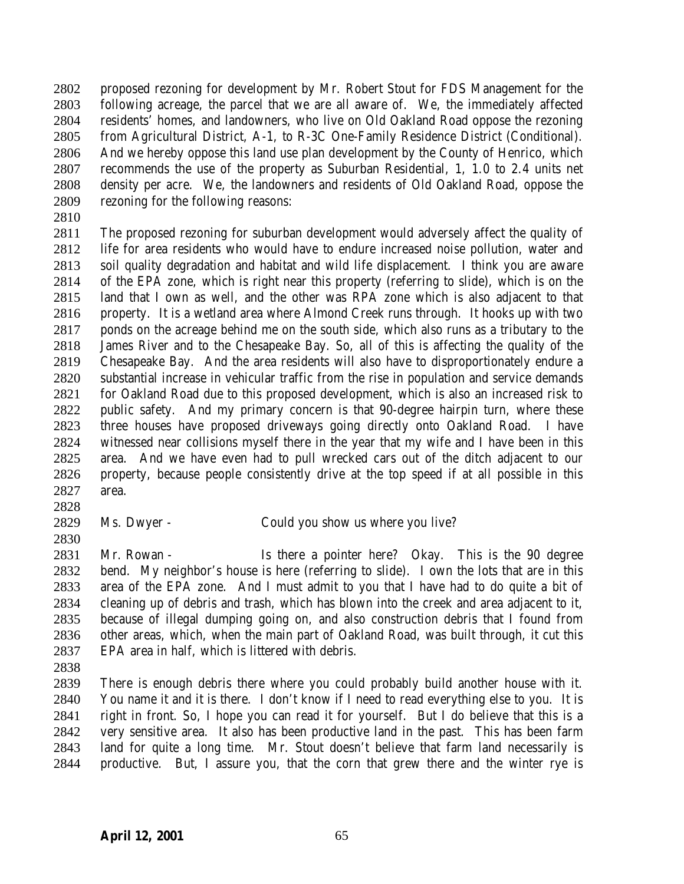proposed rezoning for development by Mr. Robert Stout for FDS Management for the following acreage, the parcel that we are all aware of. We, the immediately affected residents' homes, and landowners, who live on Old Oakland Road oppose the rezoning from Agricultural District, A-1, to R-3C One-Family Residence District (Conditional). And we hereby oppose this land use plan development by the County of Henrico, which recommends the use of the property as Suburban Residential, 1, 1.0 to 2.4 units net density per acre. We, the landowners and residents of Old Oakland Road, oppose the rezoning for the following reasons:

 The proposed rezoning for suburban development would adversely affect the quality of life for area residents who would have to endure increased noise pollution, water and soil quality degradation and habitat and wild life displacement. I think you are aware of the EPA zone, which is right near this property (referring to slide), which is on the land that I own as well, and the other was RPA zone which is also adjacent to that property. It is a wetland area where Almond Creek runs through. It hooks up with two ponds on the acreage behind me on the south side, which also runs as a tributary to the James River and to the Chesapeake Bay. So, all of this is affecting the quality of the Chesapeake Bay. And the area residents will also have to disproportionately endure a substantial increase in vehicular traffic from the rise in population and service demands for Oakland Road due to this proposed development, which is also an increased risk to public safety. And my primary concern is that 90-degree hairpin turn, where these three houses have proposed driveways going directly onto Oakland Road. I have witnessed near collisions myself there in the year that my wife and I have been in this area. And we have even had to pull wrecked cars out of the ditch adjacent to our property, because people consistently drive at the top speed if at all possible in this area.

- 
- 

Ms. Dwyer - Could you show us where you live?

 Mr. Rowan - Is there a pointer here? Okay. This is the 90 degree bend. My neighbor's house is here (referring to slide). I own the lots that are in this area of the EPA zone. And I must admit to you that I have had to do quite a bit of cleaning up of debris and trash, which has blown into the creek and area adjacent to it, because of illegal dumping going on, and also construction debris that I found from other areas, which, when the main part of Oakland Road, was built through, it cut this EPA area in half, which is littered with debris.

 There is enough debris there where you could probably build another house with it. You name it and it is there. I don't know if I need to read everything else to you. It is right in front. So, I hope you can read it for yourself. But I do believe that this is a very sensitive area. It also has been productive land in the past. This has been farm land for quite a long time. Mr. Stout doesn't believe that farm land necessarily is productive. But, I assure you, that the corn that grew there and the winter rye is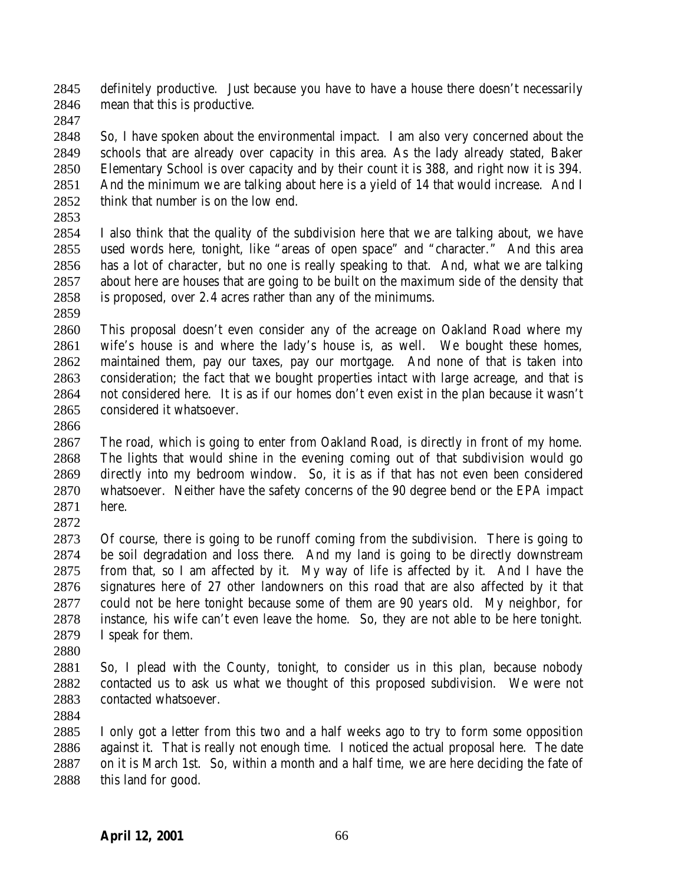definitely productive. Just because you have to have a house there doesn't necessarily mean that this is productive.

 So, I have spoken about the environmental impact. I am also very concerned about the schools that are already over capacity in this area. As the lady already stated, Baker Elementary School is over capacity and by their count it is 388, and right now it is 394. And the minimum we are talking about here is a yield of 14 that would increase. And I think that number is on the low end.

 I also think that the quality of the subdivision here that we are talking about, we have used words here, tonight, like "areas of open space" and "character." And this area has a lot of character, but no one is really speaking to that. And, what we are talking about here are houses that are going to be built on the maximum side of the density that is proposed, over 2.4 acres rather than any of the minimums.

 This proposal doesn't even consider any of the acreage on Oakland Road where my wife's house is and where the lady's house is, as well. We bought these homes, maintained them, pay our taxes, pay our mortgage. And none of that is taken into consideration; the fact that we bought properties intact with large acreage, and that is not considered here. It is as if our homes don't even exist in the plan because it wasn't considered it whatsoever.

 The road, which is going to enter from Oakland Road, is directly in front of my home. The lights that would shine in the evening coming out of that subdivision would go directly into my bedroom window. So, it is as if that has not even been considered whatsoever. Neither have the safety concerns of the 90 degree bend or the EPA impact here. 

 Of course, there is going to be runoff coming from the subdivision. There is going to be soil degradation and loss there. And my land is going to be directly downstream from that, so I am affected by it. My way of life is affected by it. And I have the signatures here of 27 other landowners on this road that are also affected by it that could not be here tonight because some of them are 90 years old. My neighbor, for instance, his wife can't even leave the home. So, they are not able to be here tonight. I speak for them.

 So, I plead with the County, tonight, to consider us in this plan, because nobody contacted us to ask us what we thought of this proposed subdivision. We were not contacted whatsoever.

 I only got a letter from this two and a half weeks ago to try to form some opposition against it. That is really not enough time. I noticed the actual proposal here. The date on it is March 1st. So, within a month and a half time, we are here deciding the fate of this land for good.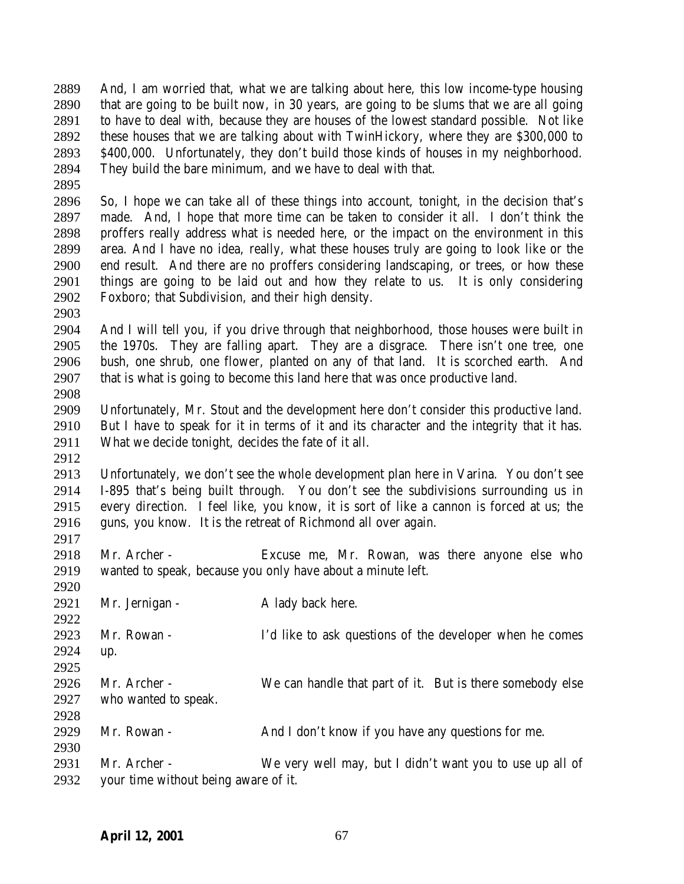And, I am worried that, what we are talking about here, this low income-type housing that are going to be built now, in 30 years, are going to be slums that we are all going to have to deal with, because they are houses of the lowest standard possible. Not like these houses that we are talking about with TwinHickory, where they are \$300,000 to \$400,000. Unfortunately, they don't build those kinds of houses in my neighborhood. They build the bare minimum, and we have to deal with that.

 So, I hope we can take all of these things into account, tonight, in the decision that's made. And, I hope that more time can be taken to consider it all. I don't think the proffers really address what is needed here, or the impact on the environment in this area. And I have no idea, really, what these houses truly are going to look like or the end result. And there are no proffers considering landscaping, or trees, or how these things are going to be laid out and how they relate to us. It is only considering Foxboro; that Subdivision, and their high density.

 And I will tell you, if you drive through that neighborhood, those houses were built in the 1970s. They are falling apart. They are a disgrace. There isn't one tree, one bush, one shrub, one flower, planted on any of that land. It is scorched earth. And that is what is going to become this land here that was once productive land. 

 Unfortunately, Mr. Stout and the development here don't consider this productive land. But I have to speak for it in terms of it and its character and the integrity that it has. What we decide tonight, decides the fate of it all.

 Unfortunately, we don't see the whole development plan here in Varina. You don't see I-895 that's being built through. You don't see the subdivisions surrounding us in every direction. I feel like, you know, it is sort of like a cannon is forced at us; the guns, you know. It is the retreat of Richmond all over again.

 Mr. Archer - Excuse me, Mr. Rowan, was there anyone else who wanted to speak, because you only have about a minute left.

 2921 Mr. Jernigan - A lady back here. Mr. Rowan - I'd like to ask questions of the developer when he comes up. Mr. Archer - We can handle that part of it. But is there somebody else who wanted to speak. Mr. Rowan - And I don't know if you have any questions for me. Mr. Archer - We very well may, but I didn't want you to use up all of your time without being aware of it.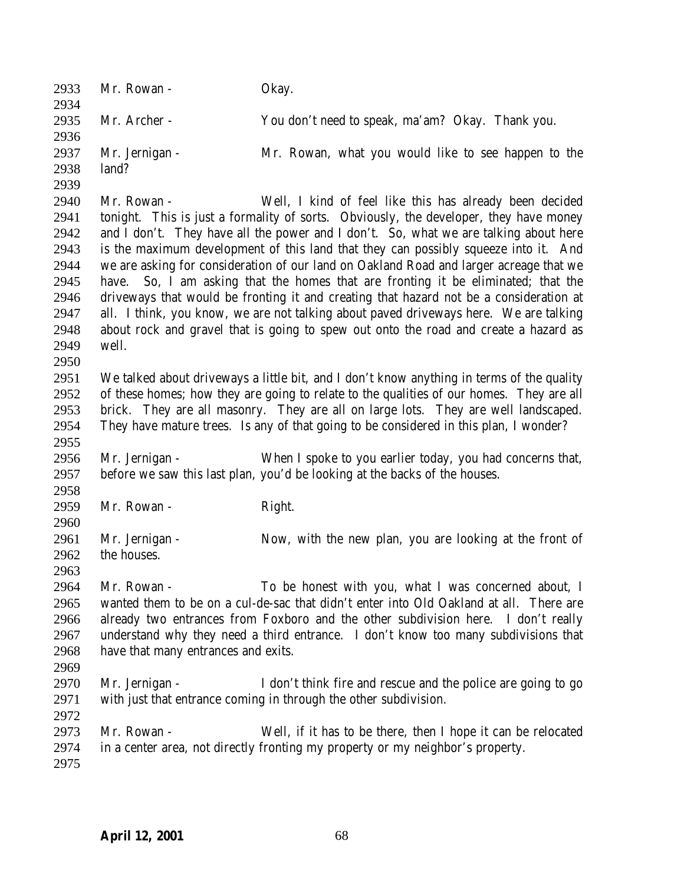| 2933<br>2934 | Mr. Rowan -                                                                                                                                                                   | Okay.                                                                                     |  |
|--------------|-------------------------------------------------------------------------------------------------------------------------------------------------------------------------------|-------------------------------------------------------------------------------------------|--|
| 2935         | Mr. Archer -                                                                                                                                                                  | You don't need to speak, ma'am? Okay. Thank you.                                          |  |
| 2936         |                                                                                                                                                                               |                                                                                           |  |
| 2937         | Mr. Jernigan -                                                                                                                                                                | Mr. Rowan, what you would like to see happen to the                                       |  |
| 2938         | land?                                                                                                                                                                         |                                                                                           |  |
| 2939         |                                                                                                                                                                               |                                                                                           |  |
| 2940         | Mr. Rowan -                                                                                                                                                                   | Well, I kind of feel like this has already been decided                                   |  |
| 2941         |                                                                                                                                                                               | tonight. This is just a formality of sorts. Obviously, the developer, they have money     |  |
| 2942         | and I don't. They have all the power and I don't. So, what we are talking about here                                                                                          |                                                                                           |  |
| 2943         | is the maximum development of this land that they can possibly squeeze into it. And                                                                                           |                                                                                           |  |
| 2944         | we are asking for consideration of our land on Oakland Road and larger acreage that we                                                                                        |                                                                                           |  |
| 2945         | So, I am asking that the homes that are fronting it be eliminated; that the<br>have.                                                                                          |                                                                                           |  |
| 2946         | driveways that would be fronting it and creating that hazard not be a consideration at                                                                                        |                                                                                           |  |
| 2947         | all. I think, you know, we are not talking about paved driveways here. We are talking<br>about rock and gravel that is going to spew out onto the road and create a hazard as |                                                                                           |  |
| 2948         |                                                                                                                                                                               |                                                                                           |  |
| 2949         | well.                                                                                                                                                                         |                                                                                           |  |
| 2950         |                                                                                                                                                                               |                                                                                           |  |
| 2951         |                                                                                                                                                                               | We talked about driveways a little bit, and I don't know anything in terms of the quality |  |
| 2952         |                                                                                                                                                                               | of these homes; how they are going to relate to the qualities of our homes. They are all  |  |
| 2953         | brick. They are all masonry. They are all on large lots. They are well landscaped.                                                                                            |                                                                                           |  |
| 2954         |                                                                                                                                                                               | They have mature trees. Is any of that going to be considered in this plan, I wonder?     |  |
| 2955         |                                                                                                                                                                               |                                                                                           |  |
| 2956         | Mr. Jernigan -                                                                                                                                                                | When I spoke to you earlier today, you had concerns that,                                 |  |
| 2957         |                                                                                                                                                                               | before we saw this last plan, you'd be looking at the backs of the houses.                |  |
| 2958         |                                                                                                                                                                               |                                                                                           |  |
| 2959         | Mr. Rowan -                                                                                                                                                                   | Right.                                                                                    |  |
| 2960         |                                                                                                                                                                               |                                                                                           |  |
| 2961         | Mr. Jernigan -                                                                                                                                                                | Now, with the new plan, you are looking at the front of                                   |  |
| 2962         | the houses.                                                                                                                                                                   |                                                                                           |  |
| 2963         |                                                                                                                                                                               |                                                                                           |  |
| 2964         | Mr. Rowan -                                                                                                                                                                   | To be honest with you, what I was concerned about, I                                      |  |
| 2965         | wanted them to be on a cul-de-sac that didn't enter into Old Oakland at all. There are                                                                                        |                                                                                           |  |
| 2966         | already two entrances from Foxboro and the other subdivision here. I don't really                                                                                             |                                                                                           |  |
| 2967         | understand why they need a third entrance. I don't know too many subdivisions that                                                                                            |                                                                                           |  |
| 2968         | have that many entrances and exits.                                                                                                                                           |                                                                                           |  |
| 2969         |                                                                                                                                                                               |                                                                                           |  |
| 2970         | Mr. Jernigan -                                                                                                                                                                | I don't think fire and rescue and the police are going to go                              |  |
| 2971         |                                                                                                                                                                               | with just that entrance coming in through the other subdivision.                          |  |
| 2972         |                                                                                                                                                                               |                                                                                           |  |
| 2973         | Mr. Rowan -                                                                                                                                                                   | Well, if it has to be there, then I hope it can be relocated                              |  |
| 2974         |                                                                                                                                                                               | in a center area, not directly fronting my property or my neighbor's property.            |  |
| 2975         |                                                                                                                                                                               |                                                                                           |  |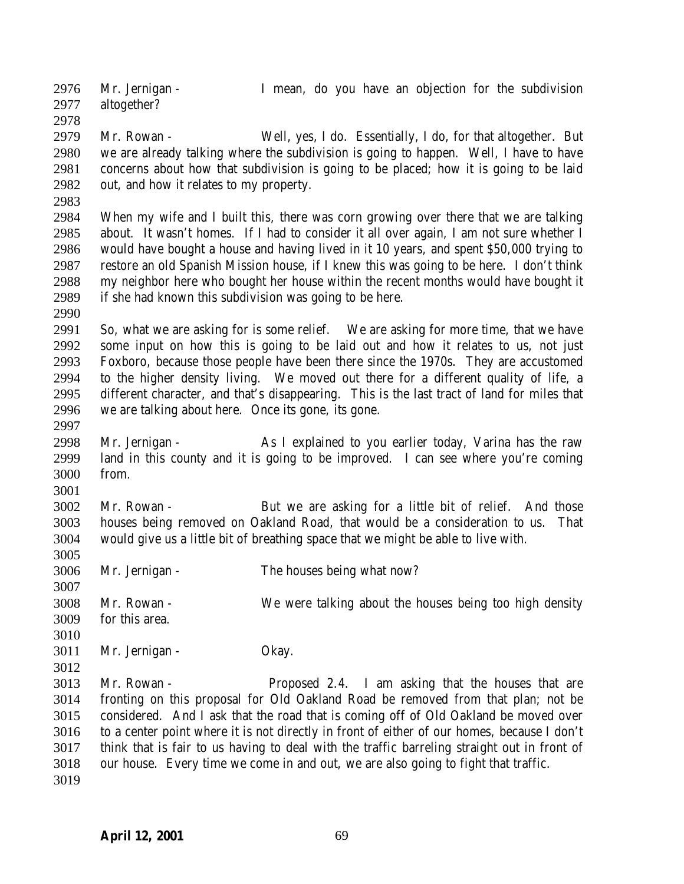Mr. Jernigan - I mean, do you have an objection for the subdivision altogether? 

 Mr. Rowan - Well, yes, I do. Essentially, I do, for that altogether. But we are already talking where the subdivision is going to happen. Well, I have to have concerns about how that subdivision is going to be placed; how it is going to be laid out, and how it relates to my property.

 When my wife and I built this, there was corn growing over there that we are talking about. It wasn't homes. If I had to consider it all over again, I am not sure whether I would have bought a house and having lived in it 10 years, and spent \$50,000 trying to restore an old Spanish Mission house, if I knew this was going to be here. I don't think my neighbor here who bought her house within the recent months would have bought it if she had known this subdivision was going to be here.

 So, what we are asking for is some relief. We are asking for more time, that we have some input on how this is going to be laid out and how it relates to us, not just Foxboro, because those people have been there since the 1970s. They are accustomed to the higher density living. We moved out there for a different quality of life, a different character, and that's disappearing. This is the last tract of land for miles that we are talking about here. Once its gone, its gone.

 Mr. Jernigan - As I explained to you earlier today, Varina has the raw land in this county and it is going to be improved. I can see where you're coming from.

 Mr. Rowan - But we are asking for a little bit of relief. And those houses being removed on Oakland Road, that would be a consideration to us. That would give us a little bit of breathing space that we might be able to live with.

- 
- Mr. Jernigan The houses being what now?
- Mr. Rowan We were talking about the houses being too high density for this area.
- 

Mr. Jernigan - Okay.

 Mr. Rowan - Proposed 2.4. I am asking that the houses that are fronting on this proposal for Old Oakland Road be removed from that plan; not be considered. And I ask that the road that is coming off of Old Oakland be moved over to a center point where it is not directly in front of either of our homes, because I don't think that is fair to us having to deal with the traffic barreling straight out in front of our house. Every time we come in and out, we are also going to fight that traffic.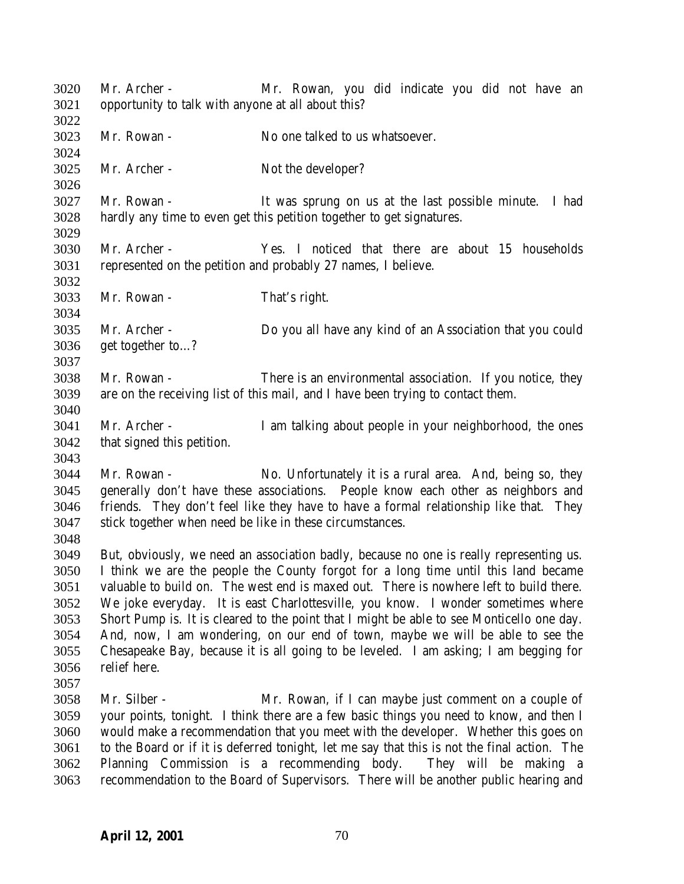Mr. Archer - Mr. Rowan, you did indicate you did not have an opportunity to talk with anyone at all about this? Mr. Rowan - No one talked to us whatsoever. 3025 Mr. Archer - Not the developer? Mr. Rowan - It was sprung on us at the last possible minute. I had hardly any time to even get this petition together to get signatures. Mr. Archer - Yes. I noticed that there are about 15 households represented on the petition and probably 27 names, I believe. Mr. Rowan - That's right. Mr. Archer - Do you all have any kind of an Association that you could get together to…? Mr. Rowan - There is an environmental association. If you notice, they are on the receiving list of this mail, and I have been trying to contact them. Mr. Archer - I am talking about people in your neighborhood, the ones that signed this petition. Mr. Rowan - No. Unfortunately it is a rural area. And, being so, they generally don't have these associations. People know each other as neighbors and friends. They don't feel like they have to have a formal relationship like that. They stick together when need be like in these circumstances. But, obviously, we need an association badly, because no one is really representing us. I think we are the people the County forgot for a long time until this land became valuable to build on. The west end is maxed out. There is nowhere left to build there. We joke everyday. It is east Charlottesville, you know. I wonder sometimes where Short Pump is. It is cleared to the point that I might be able to see Monticello one day. And, now, I am wondering, on our end of town, maybe we will be able to see the Chesapeake Bay, because it is all going to be leveled. I am asking; I am begging for relief here. Mr. Silber - Mr. Rowan, if I can maybe just comment on a couple of your points, tonight. I think there are a few basic things you need to know, and then I would make a recommendation that you meet with the developer. Whether this goes on to the Board or if it is deferred tonight, let me say that this is not the final action. The Planning Commission is a recommending body. They will be making a recommendation to the Board of Supervisors. There will be another public hearing and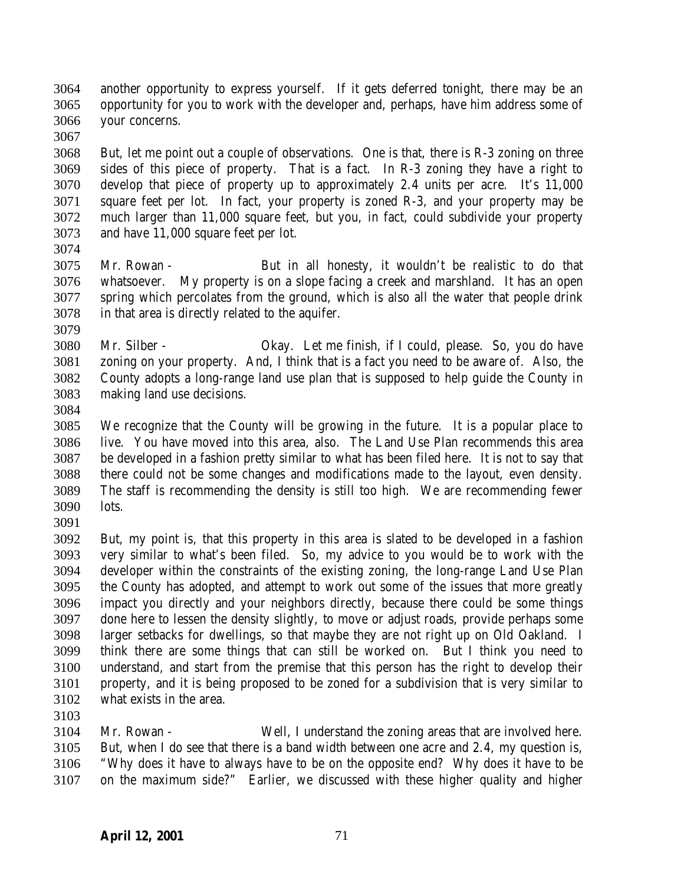another opportunity to express yourself. If it gets deferred tonight, there may be an opportunity for you to work with the developer and, perhaps, have him address some of your concerns.

 But, let me point out a couple of observations. One is that, there is R-3 zoning on three sides of this piece of property. That is a fact. In R-3 zoning they have a right to develop that piece of property up to approximately 2.4 units per acre. It's 11,000 square feet per lot. In fact, your property is zoned R-3, and your property may be much larger than 11,000 square feet, but you, in fact, could subdivide your property and have 11,000 square feet per lot. 

- Mr. Rowan But in all honesty, it wouldn't be realistic to do that whatsoever. My property is on a slope facing a creek and marshland. It has an open spring which percolates from the ground, which is also all the water that people drink in that area is directly related to the aquifer.
- Mr. Silber Okay. Let me finish, if I could, please. So, you do have zoning on your property. And, I think that is a fact you need to be aware of. Also, the County adopts a long-range land use plan that is supposed to help guide the County in making land use decisions.
- 

 We recognize that the County will be growing in the future. It is a popular place to live. You have moved into this area, also. The Land Use Plan recommends this area be developed in a fashion pretty similar to what has been filed here. It is not to say that there could not be some changes and modifications made to the layout, even density. The staff is recommending the density is still too high. We are recommending fewer lots.

 But, my point is, that this property in this area is slated to be developed in a fashion very similar to what's been filed. So, my advice to you would be to work with the developer within the constraints of the existing zoning, the long-range Land Use Plan the County has adopted, and attempt to work out some of the issues that more greatly impact you directly and your neighbors directly, because there could be some things done here to lessen the density slightly, to move or adjust roads, provide perhaps some larger setbacks for dwellings, so that maybe they are not right up on Old Oakland. I think there are some things that can still be worked on. But I think you need to understand, and start from the premise that this person has the right to develop their property, and it is being proposed to be zoned for a subdivision that is very similar to what exists in the area.

 Mr. Rowan - Well, I understand the zoning areas that are involved here. But, when I do see that there is a band width between one acre and 2.4, my question is, "Why does it have to always have to be on the opposite end? Why does it have to be on the maximum side?" Earlier, we discussed with these higher quality and higher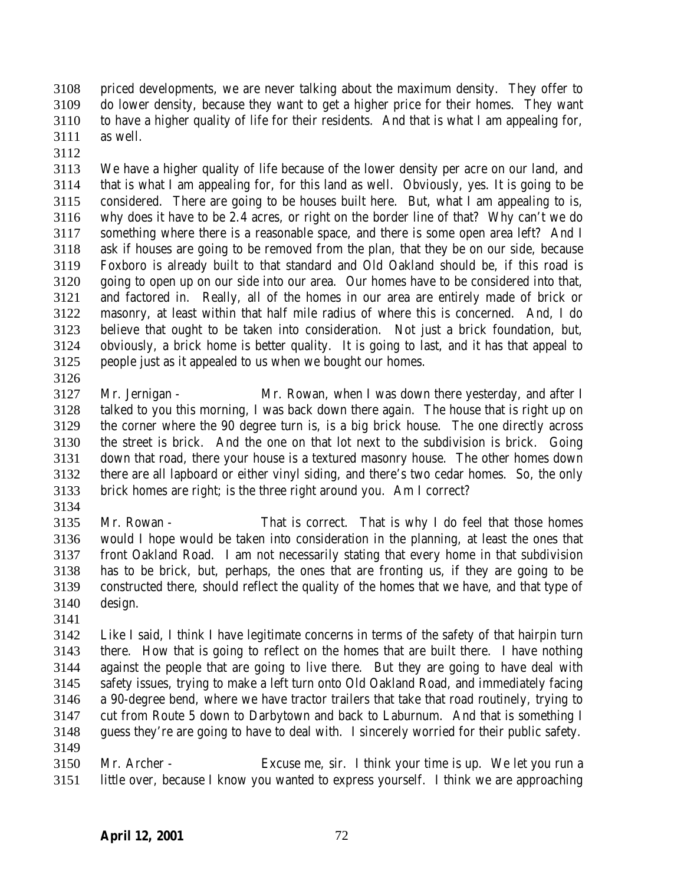priced developments, we are never talking about the maximum density. They offer to do lower density, because they want to get a higher price for their homes. They want to have a higher quality of life for their residents. And that is what I am appealing for, as well.

 We have a higher quality of life because of the lower density per acre on our land, and that is what I am appealing for, for this land as well. Obviously, yes. It is going to be considered. There are going to be houses built here. But, what I am appealing to is, why does it have to be 2.4 acres, or right on the border line of that? Why can't we do something where there is a reasonable space, and there is some open area left? And I ask if houses are going to be removed from the plan, that they be on our side, because Foxboro is already built to that standard and Old Oakland should be, if this road is going to open up on our side into our area. Our homes have to be considered into that, and factored in. Really, all of the homes in our area are entirely made of brick or masonry, at least within that half mile radius of where this is concerned. And, I do believe that ought to be taken into consideration. Not just a brick foundation, but, obviously, a brick home is better quality. It is going to last, and it has that appeal to people just as it appealed to us when we bought our homes.

 Mr. Jernigan - Mr. Rowan, when I was down there yesterday, and after I talked to you this morning, I was back down there again. The house that is right up on the corner where the 90 degree turn is, is a big brick house. The one directly across the street is brick. And the one on that lot next to the subdivision is brick. Going down that road, there your house is a textured masonry house. The other homes down there are all lapboard or either vinyl siding, and there's two cedar homes. So, the only brick homes are right; is the three right around you. Am I correct?

 Mr. Rowan - That is correct. That is why I do feel that those homes would I hope would be taken into consideration in the planning, at least the ones that front Oakland Road. I am not necessarily stating that every home in that subdivision has to be brick, but, perhaps, the ones that are fronting us, if they are going to be constructed there, should reflect the quality of the homes that we have, and that type of design.

 Like I said, I think I have legitimate concerns in terms of the safety of that hairpin turn there. How that is going to reflect on the homes that are built there. I have nothing against the people that are going to live there. But they are going to have deal with safety issues, trying to make a left turn onto Old Oakland Road, and immediately facing a 90-degree bend, where we have tractor trailers that take that road routinely, trying to cut from Route 5 down to Darbytown and back to Laburnum. And that is something I guess they're are going to have to deal with. I sincerely worried for their public safety. 

 Mr. Archer - Excuse me, sir. I think your time is up. We let you run a little over, because I know you wanted to express yourself. I think we are approaching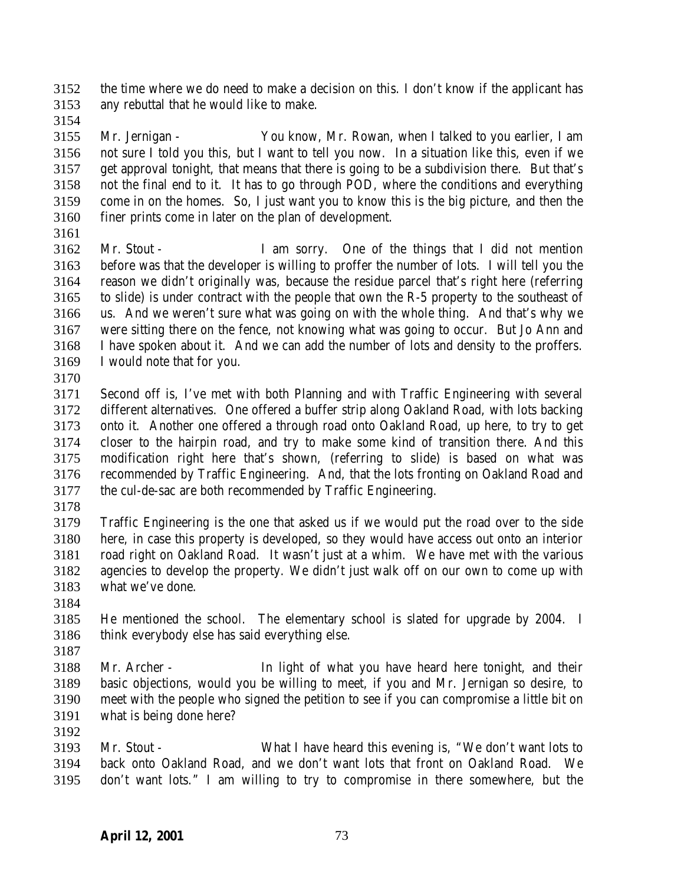the time where we do need to make a decision on this. I don't know if the applicant has any rebuttal that he would like to make.

 Mr. Jernigan - You know, Mr. Rowan, when I talked to you earlier, I am not sure I told you this, but I want to tell you now. In a situation like this, even if we get approval tonight, that means that there is going to be a subdivision there. But that's not the final end to it. It has to go through POD, where the conditions and everything come in on the homes. So, I just want you to know this is the big picture, and then the finer prints come in later on the plan of development.

 Mr. Stout - I am sorry. One of the things that I did not mention before was that the developer is willing to proffer the number of lots. I will tell you the reason we didn't originally was, because the residue parcel that's right here (referring to slide) is under contract with the people that own the R-5 property to the southeast of us. And we weren't sure what was going on with the whole thing. And that's why we were sitting there on the fence, not knowing what was going to occur. But Jo Ann and I have spoken about it. And we can add the number of lots and density to the proffers. I would note that for you.

 Second off is, I've met with both Planning and with Traffic Engineering with several different alternatives. One offered a buffer strip along Oakland Road, with lots backing onto it. Another one offered a through road onto Oakland Road, up here, to try to get closer to the hairpin road, and try to make some kind of transition there. And this modification right here that's shown, (referring to slide) is based on what was recommended by Traffic Engineering. And, that the lots fronting on Oakland Road and the cul-de-sac are both recommended by Traffic Engineering.

 Traffic Engineering is the one that asked us if we would put the road over to the side here, in case this property is developed, so they would have access out onto an interior road right on Oakland Road. It wasn't just at a whim. We have met with the various agencies to develop the property. We didn't just walk off on our own to come up with what we've done.

 He mentioned the school. The elementary school is slated for upgrade by 2004. I think everybody else has said everything else.

 Mr. Archer - In light of what you have heard here tonight, and their basic objections, would you be willing to meet, if you and Mr. Jernigan so desire, to meet with the people who signed the petition to see if you can compromise a little bit on what is being done here?

 Mr. Stout - What I have heard this evening is, "We don't want lots to back onto Oakland Road, and we don't want lots that front on Oakland Road. We don't want lots." I am willing to try to compromise in there somewhere, but the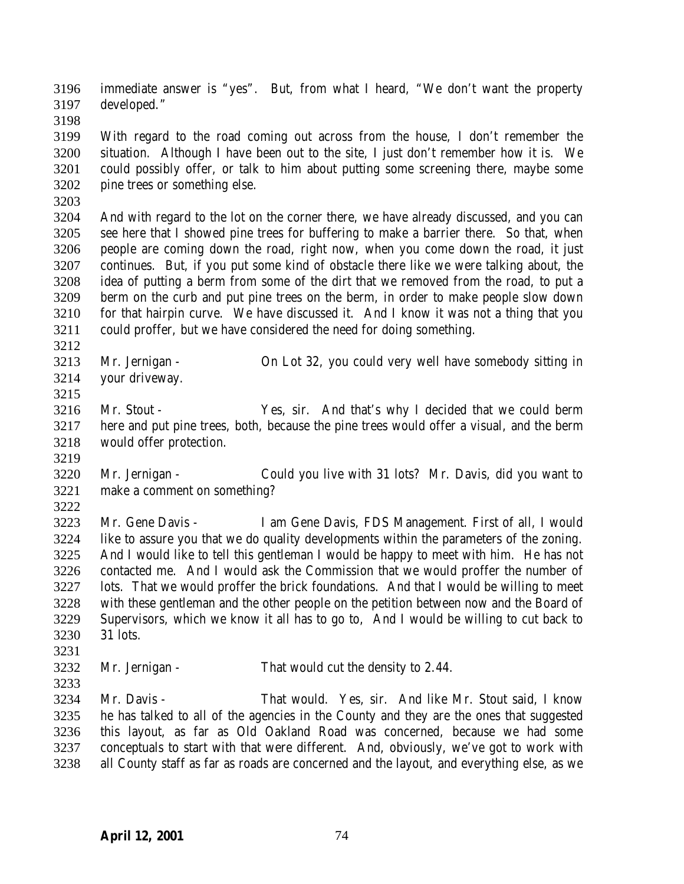immediate answer is "yes". But, from what I heard, "We don't want the property developed."

 With regard to the road coming out across from the house, I don't remember the situation. Although I have been out to the site, I just don't remember how it is. We could possibly offer, or talk to him about putting some screening there, maybe some pine trees or something else.

 And with regard to the lot on the corner there, we have already discussed, and you can see here that I showed pine trees for buffering to make a barrier there. So that, when people are coming down the road, right now, when you come down the road, it just continues. But, if you put some kind of obstacle there like we were talking about, the idea of putting a berm from some of the dirt that we removed from the road, to put a berm on the curb and put pine trees on the berm, in order to make people slow down for that hairpin curve. We have discussed it. And I know it was not a thing that you could proffer, but we have considered the need for doing something.

- Mr. Jernigan On Lot 32, you could very well have somebody sitting in your driveway.
- Mr. Stout Yes, sir. And that's why I decided that we could berm here and put pine trees, both, because the pine trees would offer a visual, and the berm would offer protection.
- Mr. Jernigan Could you live with 31 lots? Mr. Davis, did you want to make a comment on something?
- 

 Mr. Gene Davis - I am Gene Davis, FDS Management. First of all, I would like to assure you that we do quality developments within the parameters of the zoning. And I would like to tell this gentleman I would be happy to meet with him. He has not contacted me. And I would ask the Commission that we would proffer the number of lots. That we would proffer the brick foundations. And that I would be willing to meet with these gentleman and the other people on the petition between now and the Board of Supervisors, which we know it all has to go to, And I would be willing to cut back to 31 lots.

Mr. Jernigan - That would cut the density to 2.44.

 Mr. Davis - That would. Yes, sir. And like Mr. Stout said, I know he has talked to all of the agencies in the County and they are the ones that suggested this layout, as far as Old Oakland Road was concerned, because we had some conceptuals to start with that were different. And, obviously, we've got to work with all County staff as far as roads are concerned and the layout, and everything else, as we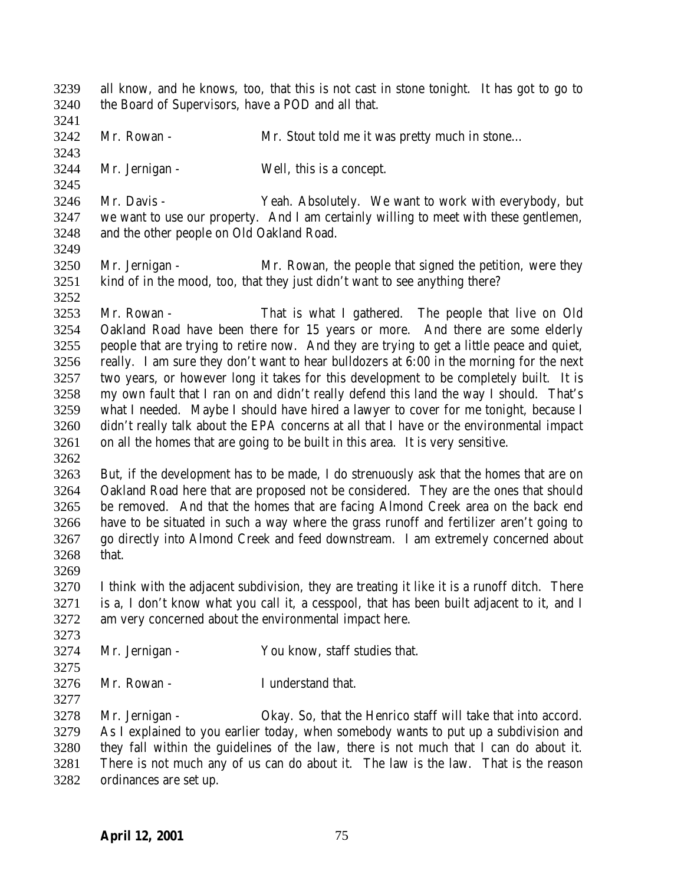all know, and he knows, too, that this is not cast in stone tonight. It has got to go to the Board of Supervisors, have a POD and all that. Mr. Rowan - Mr. Stout told me it was pretty much in stone… Mr. Jernigan - Well, this is a concept. Mr. Davis - Yeah. Absolutely. We want to work with everybody, but we want to use our property. And I am certainly willing to meet with these gentlemen, and the other people on Old Oakland Road. Mr. Jernigan - Mr. Rowan, the people that signed the petition, were they kind of in the mood, too, that they just didn't want to see anything there? Mr. Rowan - That is what I gathered. The people that live on Old Oakland Road have been there for 15 years or more. And there are some elderly people that are trying to retire now. And they are trying to get a little peace and quiet, really. I am sure they don't want to hear bulldozers at 6:00 in the morning for the next two years, or however long it takes for this development to be completely built. It is my own fault that I ran on and didn't really defend this land the way I should. That's what I needed. Maybe I should have hired a lawyer to cover for me tonight, because I didn't really talk about the EPA concerns at all that I have or the environmental impact on all the homes that are going to be built in this area. It is very sensitive. But, if the development has to be made, I do strenuously ask that the homes that are on Oakland Road here that are proposed not be considered. They are the ones that should be removed. And that the homes that are facing Almond Creek area on the back end have to be situated in such a way where the grass runoff and fertilizer aren't going to go directly into Almond Creek and feed downstream. I am extremely concerned about that. I think with the adjacent subdivision, they are treating it like it is a runoff ditch. There is a, I don't know what you call it, a cesspool, that has been built adjacent to it, and I am very concerned about the environmental impact here. Mr. Jernigan - You know, staff studies that. Mr. Rowan - I understand that. Mr. Jernigan - Okay. So, that the Henrico staff will take that into accord. As I explained to you earlier today, when somebody wants to put up a subdivision and they fall within the guidelines of the law, there is not much that I can do about it. There is not much any of us can do about it. The law is the law. That is the reason ordinances are set up.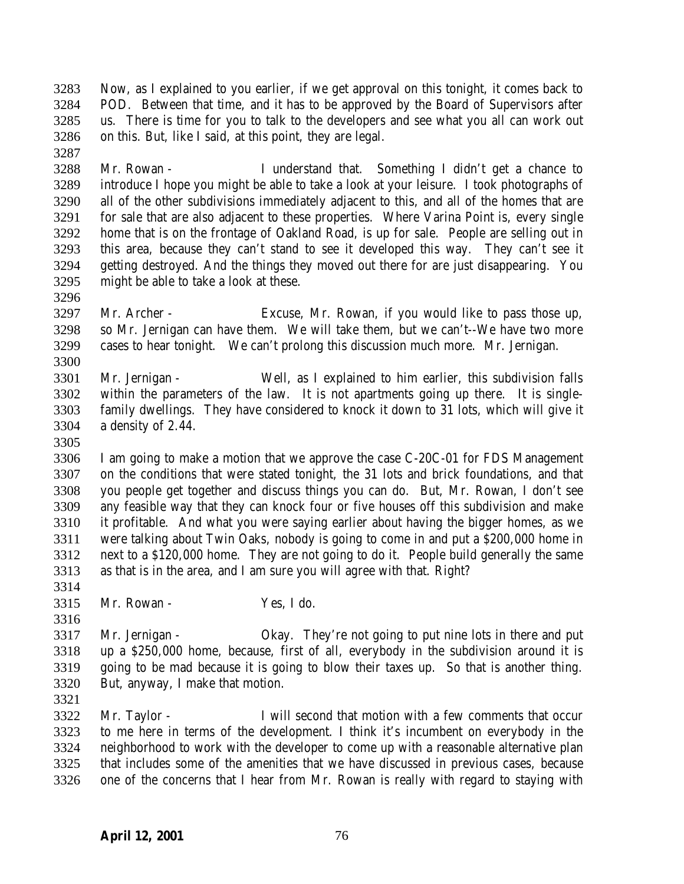Now, as I explained to you earlier, if we get approval on this tonight, it comes back to POD. Between that time, and it has to be approved by the Board of Supervisors after us. There is time for you to talk to the developers and see what you all can work out on this. But, like I said, at this point, they are legal.

 Mr. Rowan - I understand that. Something I didn't get a chance to introduce I hope you might be able to take a look at your leisure. I took photographs of all of the other subdivisions immediately adjacent to this, and all of the homes that are for sale that are also adjacent to these properties. Where Varina Point is, every single home that is on the frontage of Oakland Road, is up for sale. People are selling out in this area, because they can't stand to see it developed this way. They can't see it getting destroyed. And the things they moved out there for are just disappearing. You might be able to take a look at these.

- Mr. Archer Excuse, Mr. Rowan, if you would like to pass those up, so Mr. Jernigan can have them. We will take them, but we can't--We have two more cases to hear tonight. We can't prolong this discussion much more. Mr. Jernigan.
- Mr. Jernigan Well, as I explained to him earlier, this subdivision falls within the parameters of the law. It is not apartments going up there. It is single- family dwellings. They have considered to knock it down to 31 lots, which will give it a density of 2.44.
- 

 I am going to make a motion that we approve the case C-20C-01 for FDS Management on the conditions that were stated tonight, the 31 lots and brick foundations, and that you people get together and discuss things you can do. But, Mr. Rowan, I don't see any feasible way that they can knock four or five houses off this subdivision and make it profitable. And what you were saying earlier about having the bigger homes, as we were talking about Twin Oaks, nobody is going to come in and put a \$200,000 home in next to a \$120,000 home. They are not going to do it. People build generally the same as that is in the area, and I am sure you will agree with that. Right? 

- Mr. Rowan Yes, I do.
- Mr. Jernigan Okay. They're not going to put nine lots in there and put up a \$250,000 home, because, first of all, everybody in the subdivision around it is going to be mad because it is going to blow their taxes up. So that is another thing. But, anyway, I make that motion.
- 

 Mr. Taylor - I will second that motion with a few comments that occur to me here in terms of the development. I think it's incumbent on everybody in the neighborhood to work with the developer to come up with a reasonable alternative plan that includes some of the amenities that we have discussed in previous cases, because one of the concerns that I hear from Mr. Rowan is really with regard to staying with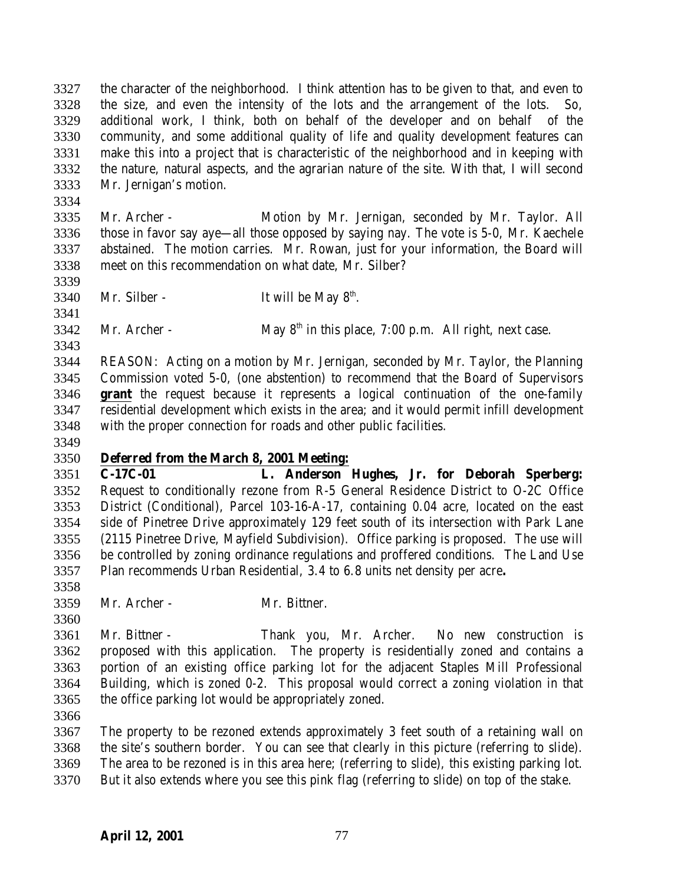the character of the neighborhood. I think attention has to be given to that, and even to the size, and even the intensity of the lots and the arrangement of the lots. So, additional work, I think, both on behalf of the developer and on behalf of the community, and some additional quality of life and quality development features can make this into a project that is characteristic of the neighborhood and in keeping with the nature, natural aspects, and the agrarian nature of the site. With that, I will second Mr. Jernigan's motion.

 Mr. Archer - Motion by Mr. Jernigan, seconded by Mr. Taylor. All those in favor say aye—all those opposed by saying nay. The vote is 5-0, Mr. Kaechele abstained. The motion carries. Mr. Rowan, just for your information, the Board will meet on this recommendation on what date, Mr. Silber?

3340 Mr. Silber - It will be May  $8<sup>th</sup>$ . 

3342 Mr. Archer - May  $8<sup>th</sup>$  in this place, 7:00 p.m. All right, next case.

 REASON: Acting on a motion by Mr. Jernigan, seconded by Mr. Taylor, the Planning Commission voted 5-0, (one abstention) to recommend that the Board of Supervisors **grant** the request because it represents a logical continuation of the one-family residential development which exists in the area; and it would permit infill development with the proper connection for roads and other public facilities.

## **Deferred from the March 8, 2001 Meeting:**

 **C-17C-01 L. Anderson Hughes, Jr. for Deborah Sperberg:** Request to conditionally rezone from R-5 General Residence District to O-2C Office District (Conditional), Parcel 103-16-A-17, containing 0.04 acre, located on the east side of Pinetree Drive approximately 129 feet south of its intersection with Park Lane (2115 Pinetree Drive, Mayfield Subdivision). Office parking is proposed. The use will be controlled by zoning ordinance regulations and proffered conditions. The Land Use Plan recommends Urban Residential, 3.4 to 6.8 units net density per acre**.**

Mr. Archer - Mr. Bittner.

 Mr. Bittner - Thank you, Mr. Archer. No new construction is proposed with this application. The property is residentially zoned and contains a portion of an existing office parking lot for the adjacent Staples Mill Professional Building, which is zoned 0-2. This proposal would correct a zoning violation in that the office parking lot would be appropriately zoned.

 The property to be rezoned extends approximately 3 feet south of a retaining wall on the site's southern border. You can see that clearly in this picture (referring to slide). The area to be rezoned is in this area here; (referring to slide), this existing parking lot. But it also extends where you see this pink flag (referring to slide) on top of the stake.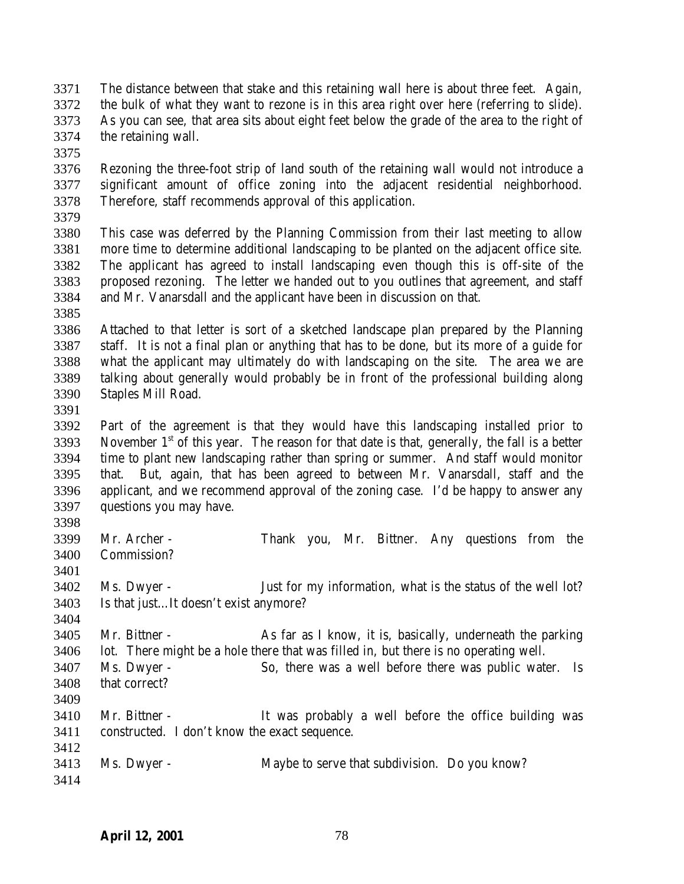- The distance between that stake and this retaining wall here is about three feet. Again, the bulk of what they want to rezone is in this area right over here (referring to slide). As you can see, that area sits about eight feet below the grade of the area to the right of the retaining wall.
- 

 Rezoning the three-foot strip of land south of the retaining wall would not introduce a significant amount of office zoning into the adjacent residential neighborhood. Therefore, staff recommends approval of this application.

 This case was deferred by the Planning Commission from their last meeting to allow more time to determine additional landscaping to be planted on the adjacent office site. The applicant has agreed to install landscaping even though this is off-site of the proposed rezoning. The letter we handed out to you outlines that agreement, and staff and Mr. Vanarsdall and the applicant have been in discussion on that.

 Attached to that letter is sort of a sketched landscape plan prepared by the Planning staff. It is not a final plan or anything that has to be done, but its more of a guide for what the applicant may ultimately do with landscaping on the site. The area we are talking about generally would probably be in front of the professional building along Staples Mill Road.

 Part of the agreement is that they would have this landscaping installed prior to 3393 November  $1<sup>st</sup>$  of this year. The reason for that date is that, generally, the fall is a better time to plant new landscaping rather than spring or summer. And staff would monitor that. But, again, that has been agreed to between Mr. Vanarsdall, staff and the applicant, and we recommend approval of the zoning case. I'd be happy to answer any questions you may have. 

| റാഴവ |                   |                                                              |
|------|-------------------|--------------------------------------------------------------|
|      | 3399 Mr. Archer - | Thank you, Mr. Bittner. Any questions from the               |
|      | 3400 Commission?  |                                                              |
| 3401 |                   |                                                              |
|      | 3402 Ms. Dwyer -  | Just for my information, what is the status of the well lot? |

Is that just…It doesn't exist anymore?

 Mr. Bittner - As far as I know, it is, basically, underneath the parking lot. There might be a hole there that was filled in, but there is no operating well. Ms. Dwyer - So, there was a well before there was public water. Is

 that correct? 

- Mr. Bittner It was probably a well before the office building was constructed. I don't know the exact sequence.
- Ms. Dwyer Maybe to serve that subdivision. Do you know?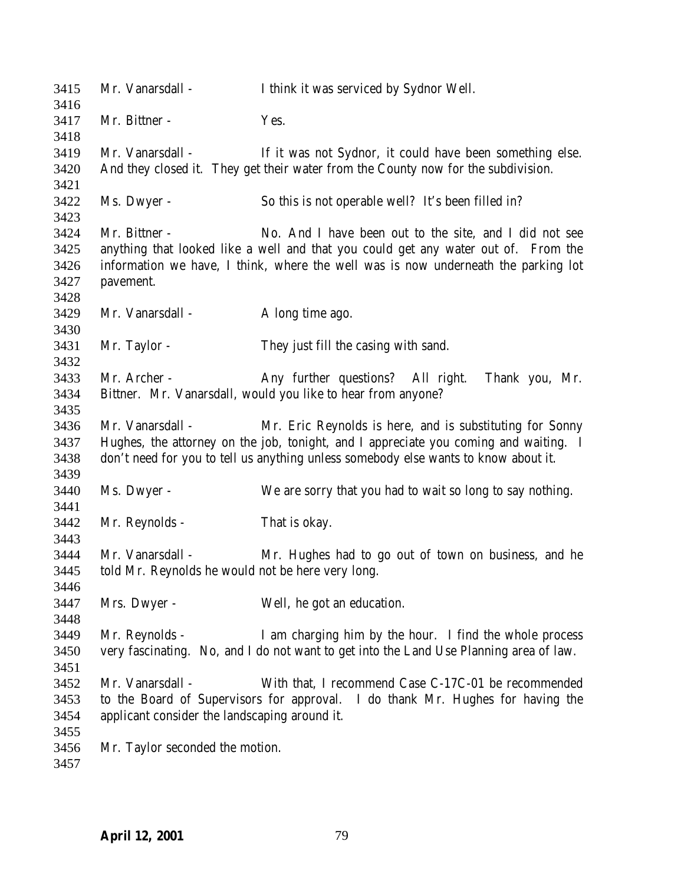| Mr. Bittner -                   | Yes.                                                                                                                                                                                                                                                                                                                                                                                                                   |
|---------------------------------|------------------------------------------------------------------------------------------------------------------------------------------------------------------------------------------------------------------------------------------------------------------------------------------------------------------------------------------------------------------------------------------------------------------------|
|                                 |                                                                                                                                                                                                                                                                                                                                                                                                                        |
|                                 |                                                                                                                                                                                                                                                                                                                                                                                                                        |
|                                 |                                                                                                                                                                                                                                                                                                                                                                                                                        |
|                                 | If it was not Sydnor, it could have been something else.                                                                                                                                                                                                                                                                                                                                                               |
|                                 | And they closed it. They get their water from the County now for the subdivision.                                                                                                                                                                                                                                                                                                                                      |
|                                 |                                                                                                                                                                                                                                                                                                                                                                                                                        |
|                                 | So this is not operable well? It's been filled in?                                                                                                                                                                                                                                                                                                                                                                     |
|                                 |                                                                                                                                                                                                                                                                                                                                                                                                                        |
|                                 | No. And I have been out to the site, and I did not see                                                                                                                                                                                                                                                                                                                                                                 |
|                                 | anything that looked like a well and that you could get any water out of. From the                                                                                                                                                                                                                                                                                                                                     |
|                                 | information we have, I think, where the well was is now underneath the parking lot                                                                                                                                                                                                                                                                                                                                     |
|                                 |                                                                                                                                                                                                                                                                                                                                                                                                                        |
|                                 |                                                                                                                                                                                                                                                                                                                                                                                                                        |
|                                 | A long time ago.                                                                                                                                                                                                                                                                                                                                                                                                       |
|                                 |                                                                                                                                                                                                                                                                                                                                                                                                                        |
|                                 | They just fill the casing with sand.                                                                                                                                                                                                                                                                                                                                                                                   |
|                                 |                                                                                                                                                                                                                                                                                                                                                                                                                        |
|                                 | Any further questions? All right.<br>Thank you, Mr.                                                                                                                                                                                                                                                                                                                                                                    |
|                                 |                                                                                                                                                                                                                                                                                                                                                                                                                        |
|                                 |                                                                                                                                                                                                                                                                                                                                                                                                                        |
|                                 | Mr. Eric Reynolds is here, and is substituting for Sonny                                                                                                                                                                                                                                                                                                                                                               |
|                                 | Hughes, the attorney on the job, tonight, and I appreciate you coming and waiting. I                                                                                                                                                                                                                                                                                                                                   |
|                                 | don't need for you to tell us anything unless somebody else wants to know about it.                                                                                                                                                                                                                                                                                                                                    |
|                                 |                                                                                                                                                                                                                                                                                                                                                                                                                        |
|                                 | We are sorry that you had to wait so long to say nothing.                                                                                                                                                                                                                                                                                                                                                              |
|                                 | That is okay.                                                                                                                                                                                                                                                                                                                                                                                                          |
|                                 |                                                                                                                                                                                                                                                                                                                                                                                                                        |
|                                 | Mr. Hughes had to go out of town on business, and he                                                                                                                                                                                                                                                                                                                                                                   |
|                                 |                                                                                                                                                                                                                                                                                                                                                                                                                        |
|                                 |                                                                                                                                                                                                                                                                                                                                                                                                                        |
|                                 | Well, he got an education.                                                                                                                                                                                                                                                                                                                                                                                             |
|                                 |                                                                                                                                                                                                                                                                                                                                                                                                                        |
|                                 | I am charging him by the hour. I find the whole process                                                                                                                                                                                                                                                                                                                                                                |
|                                 | very fascinating. No, and I do not want to get into the Land Use Planning area of law.                                                                                                                                                                                                                                                                                                                                 |
|                                 |                                                                                                                                                                                                                                                                                                                                                                                                                        |
|                                 | With that, I recommend Case C-17C-01 be recommended                                                                                                                                                                                                                                                                                                                                                                    |
|                                 | to the Board of Supervisors for approval. I do thank Mr. Hughes for having the                                                                                                                                                                                                                                                                                                                                         |
|                                 |                                                                                                                                                                                                                                                                                                                                                                                                                        |
|                                 |                                                                                                                                                                                                                                                                                                                                                                                                                        |
| Mr. Taylor seconded the motion. |                                                                                                                                                                                                                                                                                                                                                                                                                        |
|                                 |                                                                                                                                                                                                                                                                                                                                                                                                                        |
|                                 | Mr. Vanarsdall -<br>Ms. Dwyer -<br>Mr. Bittner -<br>pavement.<br>Mr. Vanarsdall -<br>Mr. Taylor -<br>Mr. Archer -<br>Bittner. Mr. Vanarsdall, would you like to hear from anyone?<br>Mr. Vanarsdall -<br>Ms. Dwyer -<br>Mr. Reynolds -<br>Mr. Vanarsdall -<br>told Mr. Reynolds he would not be here very long.<br>Mrs. Dwyer -<br>Mr. Reynolds -<br>Mr. Vanarsdall -<br>applicant consider the landscaping around it. |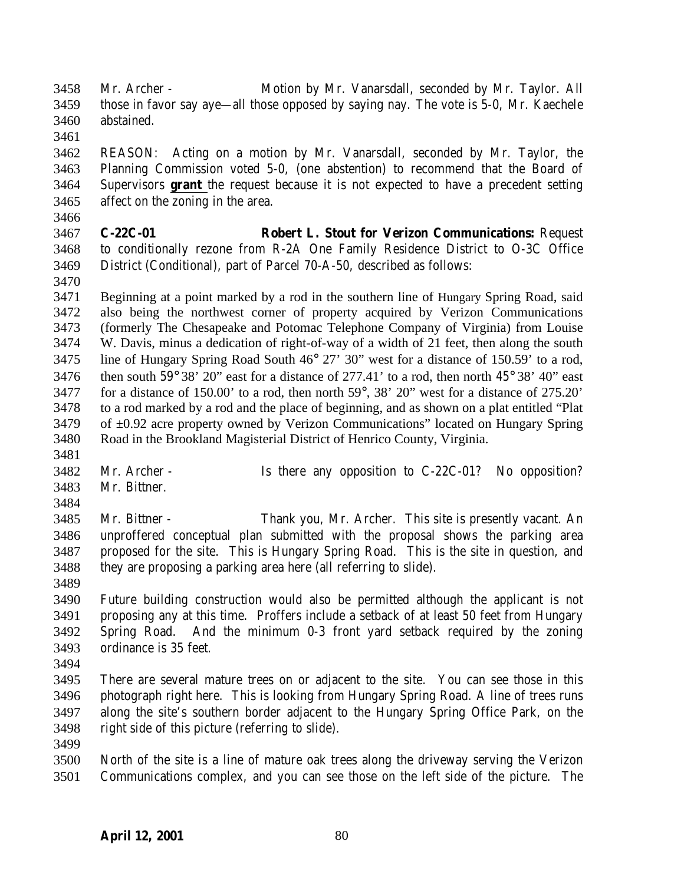Mr. Archer - Motion by Mr. Vanarsdall, seconded by Mr. Taylor. All those in favor say aye—all those opposed by saying nay. The vote is 5-0, Mr. Kaechele abstained.

 REASON: Acting on a motion by Mr. Vanarsdall, seconded by Mr. Taylor, the Planning Commission voted 5-0, (one abstention) to recommend that the Board of Supervisors **grant** the request because it is not expected to have a precedent setting affect on the zoning in the area.

 **C-22C-01 Robert L. Stout for Verizon Communications:** Request to conditionally rezone from R-2A One Family Residence District to O-3C Office District (Conditional), part of Parcel 70-A-50, described as follows:

 Beginning at a point marked by a rod in the southern line of Hungary Spring Road, said also being the northwest corner of property acquired by Verizon Communications (formerly The Chesapeake and Potomac Telephone Company of Virginia) from Louise W. Davis, minus a dedication of right-of-way of a width of 21 feet, then along the south line of Hungary Spring Road South 46° 27' 30" west for a distance of 150.59' to a rod, 3476 then south  $59^{\circ}$  38' 20" east for a distance of 277.41' to a rod, then north  $45^{\circ}$  38' 40" east for a distance of 150.00' to a rod, then north 59°, 38' 20" west for a distance of 275.20' to a rod marked by a rod and the place of beginning, and as shown on a plat entitled "Plat of ±0.92 acre property owned by Verizon Communications" located on Hungary Spring Road in the Brookland Magisterial District of Henrico County, Virginia. 

- Mr. Archer Is there any opposition to C-22C-01? No opposition? Mr. Bittner.
- 

 Mr. Bittner - Thank you, Mr. Archer. This site is presently vacant. An unproffered conceptual plan submitted with the proposal shows the parking area proposed for the site. This is Hungary Spring Road. This is the site in question, and they are proposing a parking area here (all referring to slide).

- Future building construction would also be permitted although the applicant is not proposing any at this time. Proffers include a setback of at least 50 feet from Hungary Spring Road. And the minimum 0-3 front yard setback required by the zoning ordinance is 35 feet.
- 

 There are several mature trees on or adjacent to the site. You can see those in this photograph right here. This is looking from Hungary Spring Road. A line of trees runs along the site's southern border adjacent to the Hungary Spring Office Park, on the right side of this picture (referring to slide).

 North of the site is a line of mature oak trees along the driveway serving the Verizon Communications complex, and you can see those on the left side of the picture. The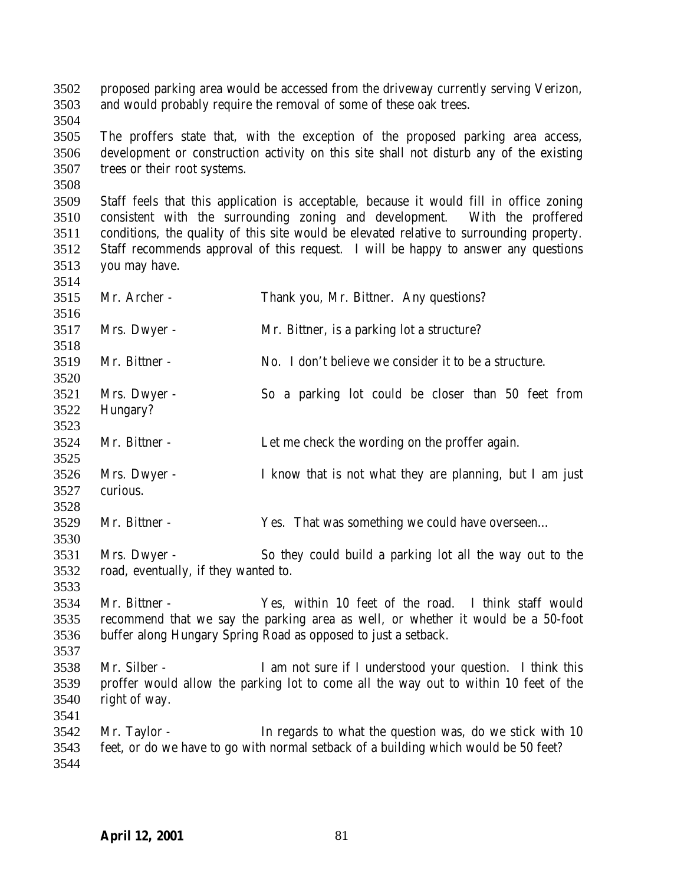proposed parking area would be accessed from the driveway currently serving Verizon, and would probably require the removal of some of these oak trees.

 The proffers state that, with the exception of the proposed parking area access, development or construction activity on this site shall not disturb any of the existing trees or their root systems.

 Staff feels that this application is acceptable, because it would fill in office zoning consistent with the surrounding zoning and development. With the proffered conditions, the quality of this site would be elevated relative to surrounding property. Staff recommends approval of this request. I will be happy to answer any questions you may have.

| 3515                                 | Mr. Archer -                                         | Thank you, Mr. Bittner. Any questions?                                                                                                                                                                     |
|--------------------------------------|------------------------------------------------------|------------------------------------------------------------------------------------------------------------------------------------------------------------------------------------------------------------|
| 3516<br>3517                         | Mrs. Dwyer -                                         | Mr. Bittner, is a parking lot a structure?                                                                                                                                                                 |
| 3518                                 |                                                      |                                                                                                                                                                                                            |
| 3519<br>3520                         | Mr. Bittner -                                        | No. I don't believe we consider it to be a structure.                                                                                                                                                      |
| 3521                                 | Mrs. Dwyer -                                         | So a parking lot could be closer than 50 feet from                                                                                                                                                         |
| 3522<br>3523                         | Hungary?                                             |                                                                                                                                                                                                            |
| 3524<br>3525                         | Mr. Bittner -                                        | Let me check the wording on the proffer again.                                                                                                                                                             |
| 3526<br>3527                         | Mrs. Dwyer -<br>curious.                             | I know that is not what they are planning, but I am just                                                                                                                                                   |
| 3528<br>3529<br>3530                 | Mr. Bittner -                                        | Yes. That was something we could have overseen                                                                                                                                                             |
| 3531<br>3532                         | Mrs. Dwyer -<br>road, eventually, if they wanted to. | So they could build a parking lot all the way out to the                                                                                                                                                   |
| 3533<br>3534<br>3535<br>3536<br>3537 | Mr. Bittner -                                        | Yes, within 10 feet of the road. I think staff would<br>recommend that we say the parking area as well, or whether it would be a 50-foot<br>buffer along Hungary Spring Road as opposed to just a setback. |
| 3538<br>3539<br>3540<br>3541         | Mr. Silber -<br>right of way.                        | I am not sure if I understood your question. I think this<br>proffer would allow the parking lot to come all the way out to within 10 feet of the                                                          |
| 3542<br>3543<br>3544                 | Mr. Taylor -                                         | In regards to what the question was, do we stick with 10<br>feet, or do we have to go with normal setback of a building which would be 50 feet?                                                            |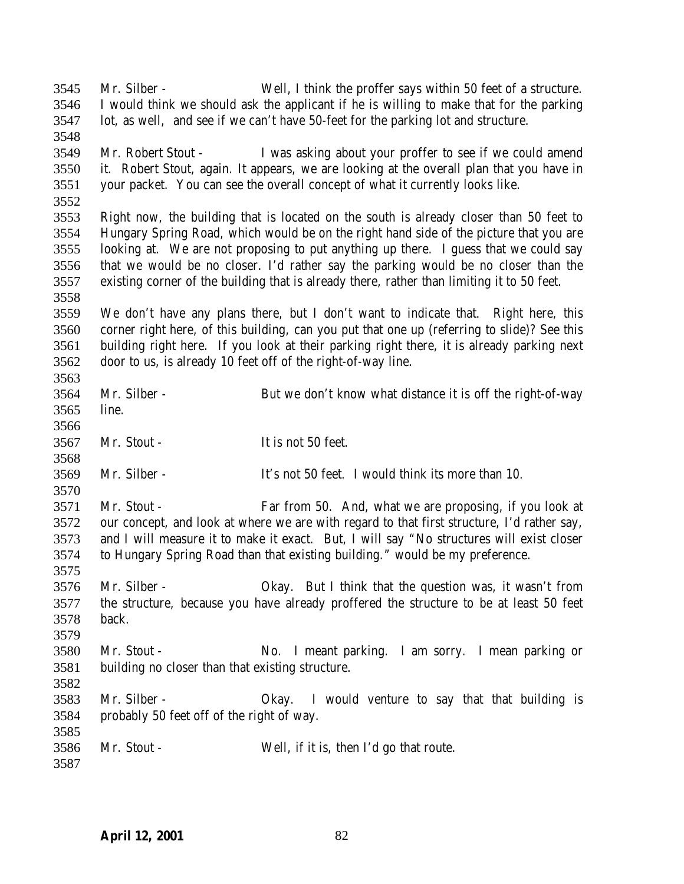| 3545 | Mr. Silber -                                     | Well, I think the proffer says within 50 feet of a structure.                               |
|------|--------------------------------------------------|---------------------------------------------------------------------------------------------|
| 3546 |                                                  | I would think we should ask the applicant if he is willing to make that for the parking     |
| 3547 |                                                  | lot, as well, and see if we can't have 50-feet for the parking lot and structure.           |
| 3548 |                                                  |                                                                                             |
| 3549 | Mr. Robert Stout -                               | I was asking about your proffer to see if we could amend                                    |
| 3550 |                                                  | it. Robert Stout, again. It appears, we are looking at the overall plan that you have in    |
| 3551 |                                                  | your packet. You can see the overall concept of what it currently looks like.               |
| 3552 |                                                  |                                                                                             |
| 3553 |                                                  | Right now, the building that is located on the south is already closer than 50 feet to      |
| 3554 |                                                  | Hungary Spring Road, which would be on the right hand side of the picture that you are      |
| 3555 |                                                  | looking at. We are not proposing to put anything up there. I guess that we could say        |
| 3556 |                                                  | that we would be no closer. I'd rather say the parking would be no closer than the          |
| 3557 |                                                  | existing corner of the building that is already there, rather than limiting it to 50 feet.  |
| 3558 |                                                  |                                                                                             |
| 3559 |                                                  | We don't have any plans there, but I don't want to indicate that. Right here, this          |
| 3560 |                                                  | corner right here, of this building, can you put that one up (referring to slide)? See this |
| 3561 |                                                  | building right here. If you look at their parking right there, it is already parking next   |
| 3562 |                                                  | door to us, is already 10 feet off of the right-of-way line.                                |
| 3563 |                                                  |                                                                                             |
| 3564 | Mr. Silber -                                     | But we don't know what distance it is off the right-of-way                                  |
| 3565 | line.                                            |                                                                                             |
| 3566 |                                                  |                                                                                             |
| 3567 | Mr. Stout -                                      | It is not 50 feet.                                                                          |
| 3568 |                                                  |                                                                                             |
| 3569 | Mr. Silber -                                     | It's not 50 feet. I would think its more than 10.                                           |
| 3570 |                                                  |                                                                                             |
| 3571 | Mr. Stout -                                      | Far from 50. And, what we are proposing, if you look at                                     |
| 3572 |                                                  | our concept, and look at where we are with regard to that first structure, I'd rather say,  |
| 3573 |                                                  | and I will measure it to make it exact. But, I will say "No structures will exist closer    |
| 3574 |                                                  | to Hungary Spring Road than that existing building." would be my preference.                |
| 3575 |                                                  |                                                                                             |
| 3576 | Mr. Silber -                                     | Okay. But I think that the question was, it wasn't from                                     |
| 3577 |                                                  | the structure, because you have already proffered the structure to be at least 50 feet      |
| 3578 | back.                                            |                                                                                             |
| 3579 |                                                  |                                                                                             |
| 3580 | Mr. Stout -                                      | No. I meant parking. I am sorry. I mean parking or                                          |
| 3581 | building no closer than that existing structure. |                                                                                             |
| 3582 |                                                  |                                                                                             |
| 3583 | Mr. Silber -                                     | Okay. I would venture to say that that building is                                          |
| 3584 | probably 50 feet off of the right of way.        |                                                                                             |
| 3585 |                                                  |                                                                                             |
| 3586 |                                                  |                                                                                             |
|      | Mr. Stout -                                      | Well, if it is, then I'd go that route.                                                     |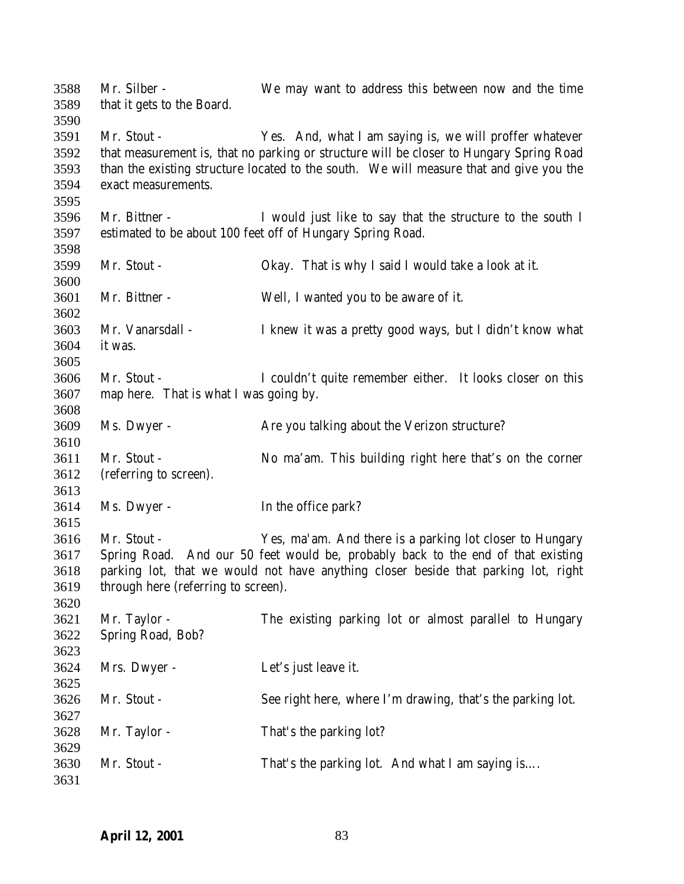Mr. Silber - We may want to address this between now and the time that it gets to the Board. Mr. Stout - Yes. And, what I am saying is, we will proffer whatever that measurement is, that no parking or structure will be closer to Hungary Spring Road than the existing structure located to the south. We will measure that and give you the exact measurements. Mr. Bittner - I would just like to say that the structure to the south I estimated to be about 100 feet off of Hungary Spring Road. Mr. Stout - Okay. That is why I said I would take a look at it. Mr. Bittner - Well, I wanted you to be aware of it. Mr. Vanarsdall - I knew it was a pretty good ways, but I didn't know what it was. Mr. Stout - I couldn't quite remember either. It looks closer on this map here. That is what I was going by. Ms. Dwyer - Are you talking about the Verizon structure? Mr. Stout - No ma'am. This building right here that's on the corner (referring to screen). Ms. Dwyer - In the office park? Mr. Stout - Yes, ma'am. And there is a parking lot closer to Hungary Spring Road. And our 50 feet would be, probably back to the end of that existing parking lot, that we would not have anything closer beside that parking lot, right through here (referring to screen). Mr. Taylor - The existing parking lot or almost parallel to Hungary Spring Road, Bob? Mrs. Dwyer - Let's just leave it. Mr. Stout - See right here, where I'm drawing, that's the parking lot. Mr. Taylor - That's the parking lot? 3630 Mr. Stout - That's the parking lot. And what I am saying is....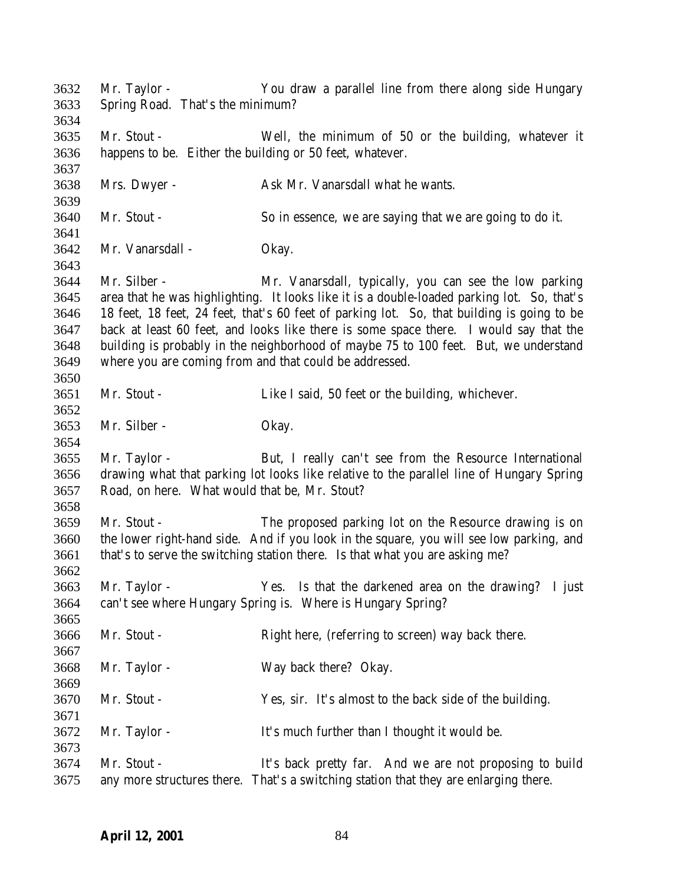| 3632 | Mr. Taylor -                                  | You draw a parallel line from there along side Hungary                                     |
|------|-----------------------------------------------|--------------------------------------------------------------------------------------------|
| 3633 | Spring Road. That's the minimum?              |                                                                                            |
| 3634 |                                               |                                                                                            |
| 3635 | Mr. Stout -                                   | Well, the minimum of 50 or the building, whatever it                                       |
| 3636 |                                               | happens to be. Either the building or 50 feet, whatever.                                   |
| 3637 |                                               |                                                                                            |
| 3638 | Mrs. Dwyer -                                  | Ask Mr. Vanarsdall what he wants.                                                          |
| 3639 |                                               |                                                                                            |
| 3640 | Mr. Stout -                                   | So in essence, we are saying that we are going to do it.                                   |
| 3641 |                                               |                                                                                            |
| 3642 | Mr. Vanarsdall -                              | Okay.                                                                                      |
| 3643 |                                               |                                                                                            |
| 3644 | Mr. Silber -                                  | Mr. Vanarsdall, typically, you can see the low parking                                     |
| 3645 |                                               | area that he was highlighting. It looks like it is a double-loaded parking lot. So, that's |
| 3646 |                                               | 18 feet, 18 feet, 24 feet, that's 60 feet of parking lot. So, that building is going to be |
| 3647 |                                               | back at least 60 feet, and looks like there is some space there. I would say that the      |
| 3648 |                                               | building is probably in the neighborhood of maybe 75 to 100 feet. But, we understand       |
| 3649 |                                               | where you are coming from and that could be addressed.                                     |
| 3650 |                                               |                                                                                            |
| 3651 | Mr. Stout -                                   | Like I said, 50 feet or the building, whichever.                                           |
| 3652 |                                               |                                                                                            |
| 3653 | Mr. Silber -                                  | Okay.                                                                                      |
| 3654 |                                               |                                                                                            |
| 3655 | Mr. Taylor -                                  | But, I really can't see from the Resource International                                    |
| 3656 |                                               | drawing what that parking lot looks like relative to the parallel line of Hungary Spring   |
| 3657 | Road, on here. What would that be, Mr. Stout? |                                                                                            |
| 3658 |                                               |                                                                                            |
| 3659 | Mr. Stout -                                   | The proposed parking lot on the Resource drawing is on                                     |
| 3660 |                                               | the lower right-hand side. And if you look in the square, you will see low parking, and    |
| 3661 |                                               | that's to serve the switching station there. Is that what you are asking me?               |
| 3662 |                                               |                                                                                            |
| 3663 | Mr. Taylor -                                  | Yes. Is that the darkened area on the drawing? I just                                      |
| 3664 |                                               | can't see where Hungary Spring is. Where is Hungary Spring?                                |
| 3665 |                                               |                                                                                            |
| 3666 | Mr. Stout -                                   | Right here, (referring to screen) way back there.                                          |
| 3667 |                                               |                                                                                            |
| 3668 | Mr. Taylor -                                  | Way back there? Okay.                                                                      |
| 3669 |                                               |                                                                                            |
| 3670 | Mr. Stout -                                   | Yes, sir. It's almost to the back side of the building.                                    |
| 3671 |                                               |                                                                                            |
| 3672 | Mr. Taylor -                                  | It's much further than I thought it would be.                                              |
| 3673 |                                               |                                                                                            |
| 3674 | Mr. Stout -                                   | It's back pretty far. And we are not proposing to build                                    |
| 3675 |                                               | any more structures there. That's a switching station that they are enlarging there.       |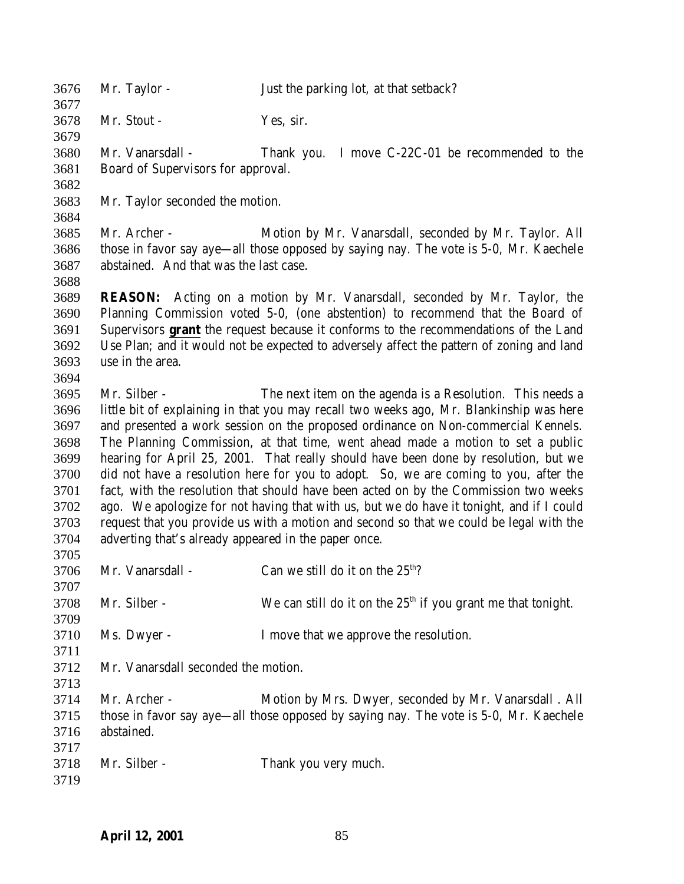| 3676<br>3677 | Mr. Taylor -                                         | Just the parking lot, at that setback?                                                    |
|--------------|------------------------------------------------------|-------------------------------------------------------------------------------------------|
| 3678         | Mr. Stout -                                          | Yes, sir.                                                                                 |
| 3679         |                                                      |                                                                                           |
| 3680         | Mr. Vanarsdall -                                     | I move C-22C-01 be recommended to the<br>Thank you.                                       |
| 3681         | Board of Supervisors for approval.                   |                                                                                           |
| 3682         |                                                      |                                                                                           |
| 3683         | Mr. Taylor seconded the motion.                      |                                                                                           |
| 3684         |                                                      |                                                                                           |
| 3685         | Mr. Archer -                                         | Motion by Mr. Vanarsdall, seconded by Mr. Taylor. All                                     |
| 3686         |                                                      | those in favor say aye—all those opposed by saying nay. The vote is 5-0, Mr. Kaechele     |
| 3687         | abstained. And that was the last case.               |                                                                                           |
| 3688         |                                                      |                                                                                           |
| 3689         | <b>REASON:</b>                                       | Acting on a motion by Mr. Vanarsdall, seconded by Mr. Taylor, the                         |
| 3690         |                                                      | Planning Commission voted 5-0, (one abstention) to recommend that the Board of            |
| 3691         |                                                      | Supervisors grant the request because it conforms to the recommendations of the Land      |
| 3692         |                                                      | Use Plan; and it would not be expected to adversely affect the pattern of zoning and land |
| 3693         | use in the area.                                     |                                                                                           |
| 3694         |                                                      |                                                                                           |
| 3695         | Mr. Silber -                                         | The next item on the agenda is a Resolution. This needs a                                 |
| 3696         |                                                      | little bit of explaining in that you may recall two weeks ago, Mr. Blankinship was here   |
| 3697         |                                                      | and presented a work session on the proposed ordinance on Non-commercial Kennels.         |
| 3698         |                                                      | The Planning Commission, at that time, went ahead made a motion to set a public           |
| 3699         |                                                      | hearing for April 25, 2001. That really should have been done by resolution, but we       |
| 3700         |                                                      | did not have a resolution here for you to adopt. So, we are coming to you, after the      |
| 3701         |                                                      | fact, with the resolution that should have been acted on by the Commission two weeks      |
| 3702         |                                                      | ago. We apologize for not having that with us, but we do have it tonight, and if I could  |
| 3703         |                                                      | request that you provide us with a motion and second so that we could be legal with the   |
| 3704         | adverting that's already appeared in the paper once. |                                                                                           |
| 3705         |                                                      |                                                                                           |
| 3706         | Mr. Vanarsdall -                                     | Can we still do it on the $25th$ ?                                                        |
| 3707         |                                                      |                                                                                           |
| 3708         | Mr. Silber -                                         | We can still do it on the $25th$ if you grant me that tonight.                            |
| 3709         |                                                      |                                                                                           |
| 3710         | Ms. Dwyer -                                          | I move that we approve the resolution.                                                    |
| 3711         |                                                      |                                                                                           |
| 3712         | Mr. Vanarsdall seconded the motion.                  |                                                                                           |
| 3713         |                                                      |                                                                                           |
| 3714         | Mr. Archer -                                         | Motion by Mrs. Dwyer, seconded by Mr. Vanarsdall. All                                     |
|              |                                                      |                                                                                           |
| 3715         | abstained.                                           | those in favor say aye—all those opposed by saying nay. The vote is 5-0, Mr. Kaechele     |
| 3716<br>3717 |                                                      |                                                                                           |
| 3718         | Mr. Silber -                                         |                                                                                           |
| 3719         |                                                      | Thank you very much.                                                                      |
|              |                                                      |                                                                                           |